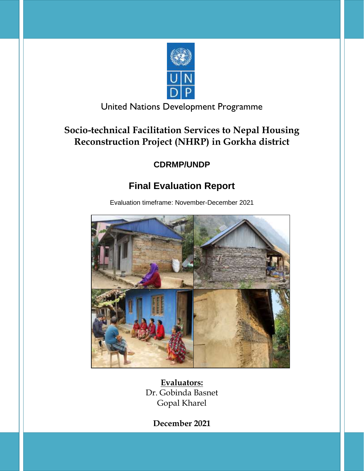

United Nations Development Programme

## **Socio-technical Facilitation Services to Nepal Housing Reconstruction Project (NHRP) in Gorkha district**

## **CDRMP/UNDP**

# **Final Evaluation Report**

Evaluation timeframe: November-December 2021



**Evaluators:** Dr. Gobinda Basnet Gopal Kharel

**December 2021**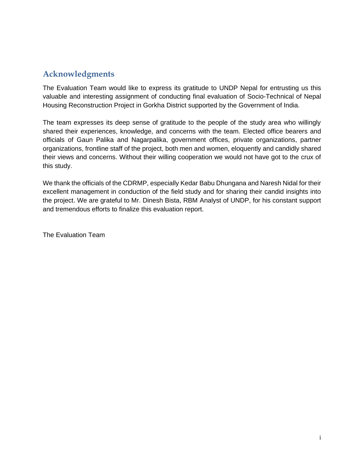## <span id="page-1-0"></span>**Acknowledgments**

The Evaluation Team would like to express its gratitude to UNDP Nepal for entrusting us this valuable and interesting assignment of conducting final evaluation of Socio-Technical of Nepal Housing Reconstruction Project in Gorkha District supported by the Government of India.

The team expresses its deep sense of gratitude to the people of the study area who willingly shared their experiences, knowledge, and concerns with the team. Elected office bearers and officials of Gaun Palika and Nagarpalika, government offices, private organizations, partner organizations, frontline staff of the project, both men and women, eloquently and candidly shared their views and concerns. Without their willing cooperation we would not have got to the crux of this study.

We thank the officials of the CDRMP, especially Kedar Babu Dhungana and Naresh Nidal for their excellent management in conduction of the field study and for sharing their candid insights into the project. We are grateful to Mr. Dinesh Bista, RBM Analyst of UNDP, for his constant support and tremendous efforts to finalize this evaluation report.

The Evaluation Team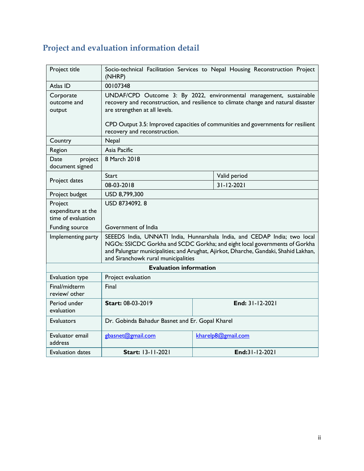# <span id="page-2-0"></span>**Project and evaluation information detail**

| Project title                                       | Socio-technical Facilitation Services to Nepal Housing Reconstruction Project<br>(NHRP)                                                                                                                                                                                                |                    |  |
|-----------------------------------------------------|----------------------------------------------------------------------------------------------------------------------------------------------------------------------------------------------------------------------------------------------------------------------------------------|--------------------|--|
| Atlas ID                                            | 00107348                                                                                                                                                                                                                                                                               |                    |  |
| Corporate<br>outcome and<br>output                  | UNDAF/CPD Outcome 3: By 2022, environmental management, sustainable<br>recovery and reconstruction, and resilience to climate change and natural disaster<br>are strengthen at all levels.                                                                                             |                    |  |
|                                                     | CPD Output 3.5: Improved capacities of communities and governments for resilient<br>recovery and reconstruction.                                                                                                                                                                       |                    |  |
| Country                                             | Nepal                                                                                                                                                                                                                                                                                  |                    |  |
| Region                                              | Asia Pacific                                                                                                                                                                                                                                                                           |                    |  |
| Date<br>project<br>document signed                  | 8 March 2018                                                                                                                                                                                                                                                                           |                    |  |
|                                                     | <b>Start</b>                                                                                                                                                                                                                                                                           | Valid period       |  |
| Project dates                                       | 08-03-2018                                                                                                                                                                                                                                                                             | $31 - 12 - 2021$   |  |
| Project budget                                      | USD 8,799,300                                                                                                                                                                                                                                                                          |                    |  |
| Project<br>expenditure at the<br>time of evaluation | USD 8734092.8                                                                                                                                                                                                                                                                          |                    |  |
| Funding source                                      | Government of India                                                                                                                                                                                                                                                                    |                    |  |
| Implementing party                                  | SEEEDS India, UNNATI India, Hunnarshala India, and CEDAP India; two local<br>NGOs: SSICDC Gorkha and SCDC Gorkha; and eight local governments of Gorkha<br>and Palungtar municipalities; and Arughat, Ajirkot, Dharche, Gandaki, Shahid Lakhan,<br>and Siranchowk rural municipalities |                    |  |
|                                                     | <b>Evaluation information</b>                                                                                                                                                                                                                                                          |                    |  |
| Evaluation type                                     | Project evaluation                                                                                                                                                                                                                                                                     |                    |  |
| Final/midterm<br>review/ other                      | Final                                                                                                                                                                                                                                                                                  |                    |  |
| Period under<br>evaluation                          | Start: 08-03-2019                                                                                                                                                                                                                                                                      | End: 31-12-2021    |  |
| <b>Evaluators</b>                                   | Dr. Gobinda Bahadur Basnet and Er. Gopal Kharel                                                                                                                                                                                                                                        |                    |  |
| Evaluator email<br>address                          | gbasnet@gmail.com                                                                                                                                                                                                                                                                      | kharelp8@gmail.com |  |
| <b>Evaluation dates</b>                             | Start: 13-11-2021<br>End:31-12-2021                                                                                                                                                                                                                                                    |                    |  |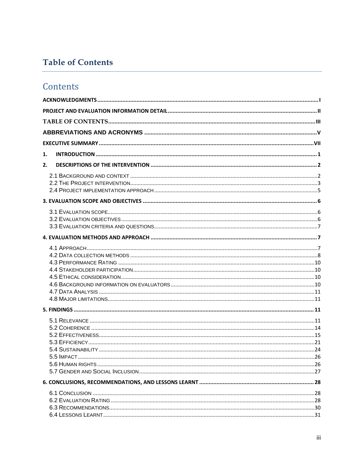## <span id="page-3-0"></span>**Table of Contents**

## Contents

| 1. |  |
|----|--|
| 2. |  |
|    |  |
|    |  |
|    |  |
|    |  |
|    |  |
|    |  |
|    |  |
|    |  |
|    |  |
|    |  |
|    |  |
|    |  |
|    |  |
|    |  |
|    |  |
|    |  |
|    |  |
|    |  |
|    |  |
|    |  |
|    |  |
|    |  |
|    |  |
|    |  |
|    |  |
|    |  |
|    |  |
|    |  |
|    |  |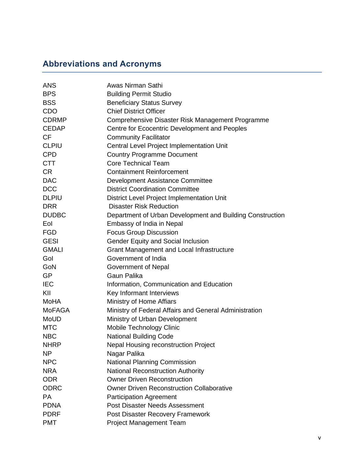# <span id="page-5-0"></span>**Abbreviations and Acronyms**

| <b>ANS</b>    | Awas Nirman Sathi                                         |
|---------------|-----------------------------------------------------------|
| <b>BPS</b>    | <b>Building Permit Studio</b>                             |
| <b>BSS</b>    | <b>Beneficiary Status Survey</b>                          |
| <b>CDO</b>    | <b>Chief District Officer</b>                             |
| <b>CDRMP</b>  | Comprehensive Disaster Risk Management Programme          |
| <b>CEDAP</b>  | Centre for Ecocentric Development and Peoples             |
| <b>CF</b>     | <b>Community Facilitator</b>                              |
| <b>CLPIU</b>  | Central Level Project Implementation Unit                 |
| <b>CPD</b>    | <b>Country Programme Document</b>                         |
| <b>CTT</b>    | <b>Core Technical Team</b>                                |
| <b>CR</b>     | <b>Containment Reinforcement</b>                          |
| <b>DAC</b>    | Development Assistance Committee                          |
| <b>DCC</b>    | <b>District Coordination Committee</b>                    |
| <b>DLPIU</b>  | District Level Project Implementation Unit                |
| <b>DRR</b>    | <b>Disaster Risk Reduction</b>                            |
| <b>DUDBC</b>  | Department of Urban Development and Building Construction |
| Eol           | Embassy of India in Nepal                                 |
| <b>FGD</b>    | <b>Focus Group Discussion</b>                             |
| <b>GESI</b>   | <b>Gender Equity and Social Inclusion</b>                 |
| <b>GMALI</b>  | Grant Management and Local Infrastructure                 |
| Gol           | Government of India                                       |
| GoN           | Government of Nepal                                       |
| <b>GP</b>     | Gaun Palika                                               |
| <b>IEC</b>    | Information, Communication and Education                  |
| KII           | Key Informant Interviews                                  |
| <b>MoHA</b>   | Ministry of Home Affiars                                  |
| <b>MoFAGA</b> | Ministry of Federal Affairs and General Administration    |
| <b>MoUD</b>   | Ministry of Urban Development                             |
| <b>MTC</b>    | Mobile Technology Clinic                                  |
| <b>NBC</b>    | <b>National Building Code</b>                             |
| <b>NHRP</b>   | <b>Nepal Housing reconstruction Project</b>               |
| <b>NP</b>     | Nagar Palika                                              |
| <b>NPC</b>    | <b>National Planning Commission</b>                       |
| <b>NRA</b>    | <b>National Reconstruction Authority</b>                  |
| <b>ODR</b>    | <b>Owner Driven Reconstruction</b>                        |
| <b>ODRC</b>   | <b>Owner Driven Reconstruction Collaborative</b>          |
| <b>PA</b>     | <b>Participation Agreement</b>                            |
| <b>PDNA</b>   | <b>Post Disaster Needs Assessment</b>                     |
| <b>PDRF</b>   | Post Disaster Recovery Framework                          |
| <b>PMT</b>    | <b>Project Management Team</b>                            |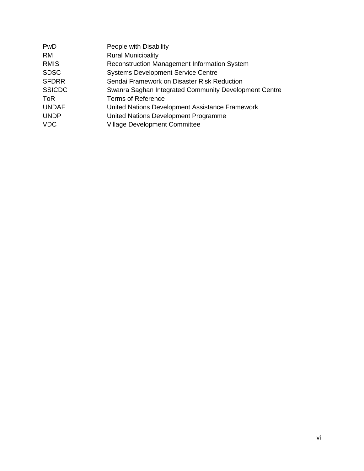| PwD           | People with Disability                                |
|---------------|-------------------------------------------------------|
| RM.           | <b>Rural Municipality</b>                             |
| <b>RMIS</b>   | Reconstruction Management Information System          |
| <b>SDSC</b>   | <b>Systems Development Service Centre</b>             |
| <b>SFDRR</b>  | Sendai Framework on Disaster Risk Reduction           |
| <b>SSICDC</b> | Swanra Saghan Integrated Community Development Centre |
| <b>ToR</b>    | <b>Terms of Reference</b>                             |
| <b>UNDAF</b>  | United Nations Development Assistance Framework       |
| <b>UNDP</b>   | United Nations Development Programme                  |
| <b>VDC</b>    | <b>Village Development Committee</b>                  |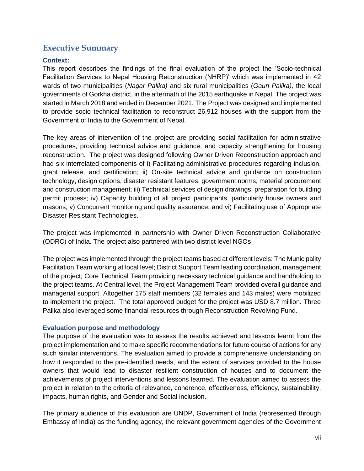## <span id="page-7-0"></span>**Executive Summary**

## **Context:**

This report describes the findings of the final evaluation of the project the 'Socio-technical Facilitation Services to Nepal Housing Reconstruction (NHRP)' which was implemented in 42 wards of two municipalities (*Nagar Palika)* and six rural municipalities (*Gaun Palika),* the local governments of Gorkha district, in the aftermath of the 2015 earthquake in Nepal. The project was started in March 2018 and ended in December 2021. The Project was designed and implemented to provide socio technical facilitation to reconstruct 26,912 houses with the support from the Government of India to the Government of Nepal.

The key areas of intervention of the project are providing social facilitation for administrative procedures, providing technical advice and guidance, and capacity strengthening for housing reconstruction. The project was designed following Owner Driven Reconstruction approach and had six interrelated components of i) Facilitating administrative procedures regarding inclusion, grant release, and certification; ii) On-site technical advice and guidance on construction technology, design options, disaster resistant features, government norms, material procurement and construction management; iii) Technical services of design drawings, preparation for building permit process; iv) Capacity building of all project participants, particularly house owners and masons; v) Concurrent monitoring and quality assurance; and vi) Facilitating use of Appropriate Disaster Resistant Technologies.

The project was implemented in partnership with Owner Driven Reconstruction Collaborative (ODRC) of India. The project also partnered with two district level NGOs.

The project was implemented through the project teams based at different levels: The Municipality Facilitation Team working at local level; District Support Team leading coordination, management of the project; Core Technical Team providing necessary technical guidance and handholding to the project teams. At Central level, the Project Management Team provided overall guidance and managerial support. Altogether 175 staff members (32 females and 143 males) were mobilized to implement the project. The total approved budget for the project was USD 8.7 million. Three Palika also leveraged some financial resources through Reconstruction Revolving Fund.

#### **Evaluation purpose and methodology**

The purpose of the evaluation was to assess the results achieved and lessons learnt from the project implementation and to make specific recommendations for future course of actions for any such similar interventions. The evaluation aimed to provide a comprehensive understanding on how it responded to the pre-identified needs, and the extent of services provided to the house owners that would lead to disaster resilient construction of houses and to document the achievements of project interventions and lessons learned. The evaluation aimed to assess the project in relation to the criteria of relevance, coherence, effectiveness, efficiency, sustainability, impacts, human rights, and Gender and Social inclusion.

The primary audience of this evaluation are UNDP, Government of India (represented through Embassy of India) as the funding agency, the relevant government agencies of the Government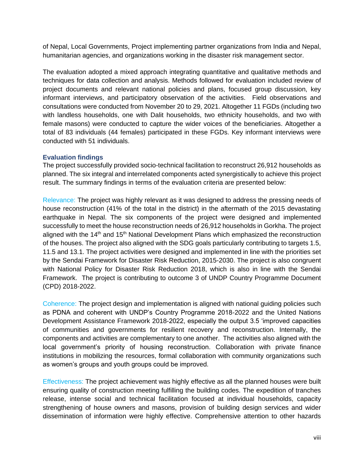of Nepal, Local Governments, Project implementing partner organizations from India and Nepal, humanitarian agencies, and organizations working in the disaster risk management sector.

The evaluation adopted a mixed approach integrating quantitative and qualitative methods and techniques for data collection and analysis. Methods followed for evaluation included review of project documents and relevant national policies and plans, focused group discussion, key informant interviews, and participatory observation of the activities. Field observations and consultations were conducted from November 20 to 29, 2021. Altogether 11 FGDs (including two with landless households, one with Dalit households, two ethnicity households, and two with female masons) were conducted to capture the wider voices of the beneficiaries. Altogether a total of 83 individuals (44 females) participated in these FGDs. Key informant interviews were conducted with 51 individuals.

#### **Evaluation findings**

The project successfully provided socio-technical facilitation to reconstruct 26,912 households as planned. The six integral and interrelated components acted synergistically to achieve this project result. The summary findings in terms of the evaluation criteria are presented below:

Relevance: The project was highly relevant as it was designed to address the pressing needs of house reconstruction (41% of the total in the district) in the aftermath of the 2015 devastating earthquake in Nepal. The six components of the project were designed and implemented successfully to meet the house reconstruction needs of 26,912 households in Gorkha. The project aligned with the  $14<sup>th</sup>$  and  $15<sup>th</sup>$  National Development Plans which emphasized the reconstruction of the houses. The project also aligned with the SDG goals particularly contributing to targets 1.5, 11.5 and 13.1. The project activities were designed and implemented in line with the priorities set by the Sendai Framework for Disaster Risk Reduction, 2015-2030. The project is also congruent with National Policy for Disaster Risk Reduction 2018, which is also in line with the Sendai Framework. The project is contributing to outcome 3 of UNDP Country Programme Document (CPD) 2018-2022.

Coherence: The project design and implementation is aligned with national guiding policies such as PDNA and coherent with UNDP's Country Programme 2018-2022 and the United Nations Development Assistance Framework 2018-2022, especially the output 3.5 'improved capacities of communities and governments for resilient recovery and reconstruction. Internally, the components and activities are complementary to one another. The activities also aligned with the local government's priority of housing reconstruction. Collaboration with private finance institutions in mobilizing the resources, formal collaboration with community organizations such as women's groups and youth groups could be improved.

Effectiveness: The project achievement was highly effective as all the planned houses were built ensuring quality of construction meeting fulfilling the building codes. The expedition of tranches release, intense social and technical facilitation focused at individual households, capacity strengthening of house owners and masons, provision of building design services and wider dissemination of information were highly effective. Comprehensive attention to other hazards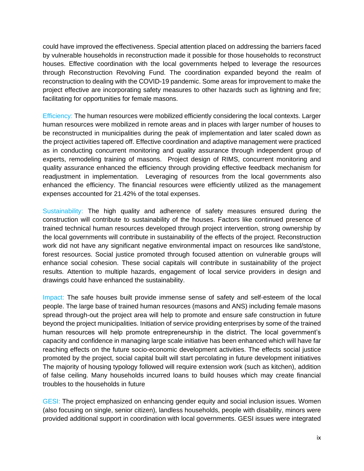could have improved the effectiveness. Special attention placed on addressing the barriers faced by vulnerable households in reconstruction made it possible for those households to reconstruct houses. Effective coordination with the local governments helped to leverage the resources through Reconstruction Revolving Fund. The coordination expanded beyond the realm of reconstruction to dealing with the COVID-19 pandemic. Some areas for improvement to make the project effective are incorporating safety measures to other hazards such as lightning and fire; facilitating for opportunities for female masons.

Efficiency: The human resources were mobilized efficiently considering the local contexts. Larger human resources were mobilized in remote areas and in places with larger number of houses to be reconstructed in municipalities during the peak of implementation and later scaled down as the project activities tapered off. Effective coordination and adaptive management were practiced as in conducting concurrent monitoring and quality assurance through independent group of experts, remodeling training of masons. Project design of RIMS, concurrent monitoring and quality assurance enhanced the efficiency through providing effective feedback mechanism for readjustment in implementation. Leveraging of resources from the local governments also enhanced the efficiency. The financial resources were efficiently utilized as the management expenses accounted for 21.42% of the total expenses.

Sustainability: The high quality and adherence of safety measures ensured during the construction will contribute to sustainability of the houses. Factors like continued presence of trained technical human resources developed through project intervention, strong ownership by the local governments will contribute in sustainability of the effects of the project. Reconstruction work did not have any significant negative environmental impact on resources like sand/stone, forest resources. Social justice promoted through focused attention on vulnerable groups will enhance social cohesion. These social capitals will contribute in sustainability of the project results. Attention to multiple hazards, engagement of local service providers in design and drawings could have enhanced the sustainability.

Impact: The safe houses built provide immense sense of safety and self-esteem of the local people. The large base of trained human resources (masons and ANS) including female masons spread through-out the project area will help to promote and ensure safe construction in future beyond the project municipalities. Initiation of service providing enterprises by some of the trained human resources will help promote entrepreneurship in the district. The local government's capacity and confidence in managing large scale initiative has been enhanced which will have far reaching effects on the future socio-economic development activities. The effects social justice promoted by the project, social capital built will start percolating in future development initiatives The majority of housing typology followed will require extension work (such as kitchen), addition of false ceiling. Many households incurred loans to build houses which may create financial troubles to the households in future

GESI: The project emphasized on enhancing gender equity and social inclusion issues. Women (also focusing on single, senior citizen), landless households, people with disability, minors were provided additional support in coordination with local governments. GESI issues were integrated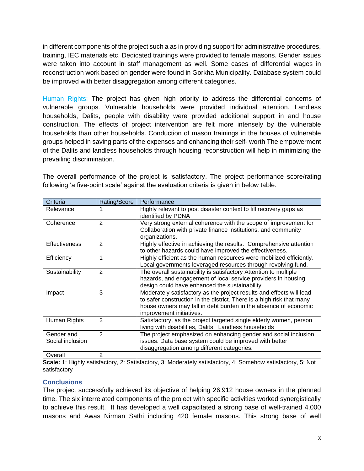in different components of the project such a as in providing support for administrative procedures, training, IEC materials etc. Dedicated trainings were provided to female masons. Gender issues were taken into account in staff management as well. Some cases of differential wages in reconstruction work based on gender were found in Gorkha Municipality. Database system could be improved with better disaggregation among different categories.

Human Rights: The project has given high priority to address the differential concerns of vulnerable groups. Vulnerable households were provided individual attention. Landless households, Dalits, people with disability were provided additional support in and house construction. The effects of project intervention are felt more intensely by the vulnerable households than other households. Conduction of mason trainings in the houses of vulnerable groups helped in saving parts of the expenses and enhancing their self- worth The empowerment of the Dalits and landless households through housing reconstruction will help in minimizing the prevailing discrimination.

The overall performance of the project is 'satisfactory. The project performance score/rating following 'a five-point scale' against the evaluation criteria is given in below table.

| Criteria                       | Rating/Score   | Performance                                                                                                                                                                                                                                  |
|--------------------------------|----------------|----------------------------------------------------------------------------------------------------------------------------------------------------------------------------------------------------------------------------------------------|
| Relevance                      |                | Highly relevant to post disaster context to fill recovery gaps as<br>identified by PDNA                                                                                                                                                      |
| Coherence                      | $\overline{2}$ | Very strong external coherence with the scope of improvement for<br>Collaboration with private finance institutions, and community<br>organizations.                                                                                         |
| <b>Effectiveness</b>           | 2              | Highly effective in achieving the results. Comprehensive attention<br>to other hazards could have improved the effectiveness.                                                                                                                |
| Efficiency                     | 1              | Highly efficient as the human resources were mobilized efficiently.<br>Local governments leveraged resources through revolving fund.                                                                                                         |
| Sustainability                 | 2              | The overall sustainability is satisfactory Attention to multiple<br>hazards, and engagement of local service providers in housing<br>design could have enhanced the sustainability.                                                          |
| Impact                         | 3              | Moderately satisfactory as the project results and effects will lead<br>to safer construction in the district. There is a high risk that many<br>house owners may fall in debt burden in the absence of economic<br>improvement initiatives. |
| Human Rights                   | $\mathbf{2}$   | Satisfactory, as the project targeted single elderly women, person<br>living with disabilities, Dalits, Landless households                                                                                                                  |
| Gender and<br>Social inclusion | $\mathbf{2}$   | The project emphasized on enhancing gender and social inclusion<br>issues. Data base system could be improved with better<br>disaggregation among different categories.                                                                      |
| Overall                        | 2              |                                                                                                                                                                                                                                              |

**Scale:** 1: Highly satisfactory, 2: Satisfactory, 3: Moderately satisfactory, 4: Somehow satisfactory, 5: Not satisfactory

## **Conclusions**

The project successfully achieved its objective of helping 26,912 house owners in the planned time. The six interrelated components of the project with specific activities worked synergistically to achieve this result. It has developed a well capacitated a strong base of well-trained 4,000 masons and Awas Nirman Sathi including 420 female masons. This strong base of well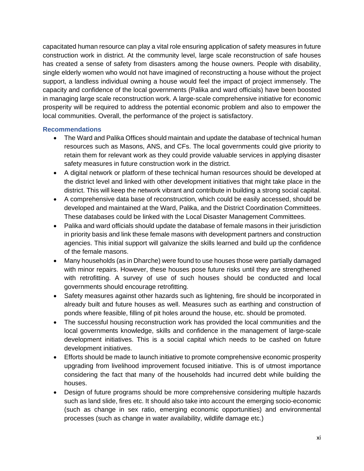capacitated human resource can play a vital role ensuring application of safety measures in future construction work in district. At the community level, large scale reconstruction of safe houses has created a sense of safety from disasters among the house owners. People with disability, single elderly women who would not have imagined of reconstructing a house without the project support, a landless individual owning a house would feel the impact of project immensely. The capacity and confidence of the local governments (Palika and ward officials) have been boosted in managing large scale reconstruction work. A large-scale comprehensive initiative for economic prosperity will be required to address the potential economic problem and also to empower the local communities. Overall, the performance of the project is satisfactory.

#### **Recommendations**

- The Ward and Palika Offices should maintain and update the database of technical human resources such as Masons, ANS, and CFs. The local governments could give priority to retain them for relevant work as they could provide valuable services in applying disaster safety measures in future construction work in the district.
- A digital network or platform of these technical human resources should be developed at the district level and linked with other development initiatives that might take place in the district. This will keep the network vibrant and contribute in building a strong social capital.
- A comprehensive data base of reconstruction, which could be easily accessed, should be developed and maintained at the Ward, Palika, and the District Coordination Committees. These databases could be linked with the Local Disaster Management Committees.
- Palika and ward officials should update the database of female masons in their jurisdiction in priority basis and link these female masons with development partners and construction agencies. This initial support will galvanize the skills learned and build up the confidence of the female masons.
- Many households (as in Dharche) were found to use houses those were partially damaged with minor repairs. However, these houses pose future risks until they are strengthened with retrofitting. A survey of use of such houses should be conducted and local governments should encourage retrofitting.
- Safety measures against other hazards such as lightening, fire should be incorporated in already built and future houses as well. Measures such as earthing and construction of ponds where feasible, filling of pit holes around the house, etc. should be promoted.
- The successful housing reconstruction work has provided the local communities and the local governments knowledge, skills and confidence in the management of large-scale development initiatives. This is a social capital which needs to be cashed on future development initiatives.
- Efforts should be made to launch initiative to promote comprehensive economic prosperity upgrading from livelihood improvement focused initiative. This is of utmost importance considering the fact that many of the households had incurred debt while building the houses.
- Design of future programs should be more comprehensive considering multiple hazards such as land slide, fires etc. It should also take into account the emerging socio-economic (such as change in sex ratio, emerging economic opportunities) and environmental processes (such as change in water availability, wildlife damage etc.)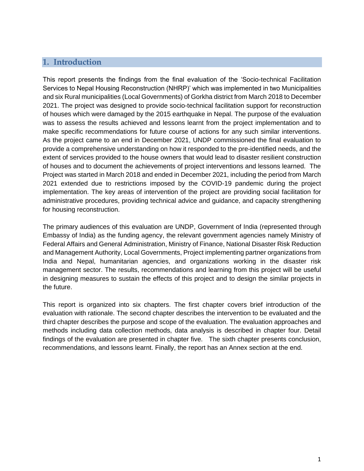## <span id="page-12-0"></span>**1. Introduction**

This report presents the findings from the final evaluation of the 'Socio-technical Facilitation Services to Nepal Housing Reconstruction (NHRP)' which was implemented in two Municipalities and six Rural municipalities (Local Governments) of Gorkha district from March 2018 to December 2021. The project was designed to provide socio-technical facilitation support for reconstruction of houses which were damaged by the 2015 earthquake in Nepal. The purpose of the evaluation was to assess the results achieved and lessons learnt from the project implementation and to make specific recommendations for future course of actions for any such similar interventions. As the project came to an end in December 2021, UNDP commissioned the final evaluation to provide a comprehensive understanding on how it responded to the pre-identified needs, and the extent of services provided to the house owners that would lead to disaster resilient construction of houses and to document the achievements of project interventions and lessons learned. The Project was started in March 2018 and ended in December 2021, including the period from March 2021 extended due to restrictions imposed by the COVID-19 pandemic during the project implementation. The key areas of intervention of the project are providing social facilitation for administrative procedures, providing technical advice and guidance, and capacity strengthening for housing reconstruction.

The primary audiences of this evaluation are UNDP, Government of India (represented through Embassy of India) as the funding agency, the relevant government agencies namely Ministry of Federal Affairs and General Administration, Ministry of Finance, National Disaster Risk Reduction and Management Authority, Local Governments, Project implementing partner organizations from India and Nepal, humanitarian agencies, and organizations working in the disaster risk management sector. The results, recommendations and learning from this project will be useful in designing measures to sustain the effects of this project and to design the similar projects in the future.

This report is organized into six chapters. The first chapter covers brief introduction of the evaluation with rationale. The second chapter describes the intervention to be evaluated and the third chapter describes the purpose and scope of the evaluation. The evaluation approaches and methods including data collection methods, data analysis is described in chapter four. Detail findings of the evaluation are presented in chapter five. The sixth chapter presents conclusion, recommendations, and lessons learnt. Finally, the report has an Annex section at the end.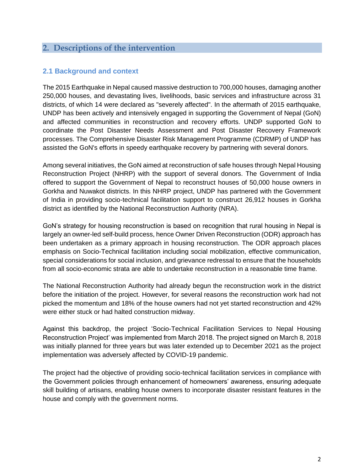## <span id="page-13-0"></span>**2. Descriptions of the intervention**

## <span id="page-13-1"></span>**2.1 Background and context**

The 2015 Earthquake in Nepal caused massive destruction to 700,000 houses, damaging another 250,000 houses, and devastating lives, livelihoods, basic services and infrastructure across 31 districts, of which 14 were declared as "severely affected". In the aftermath of 2015 earthquake, UNDP has been actively and intensively engaged in supporting the Government of Nepal (GoN) and affected communities in reconstruction and recovery efforts. UNDP supported GoN to coordinate the Post Disaster Needs Assessment and Post Disaster Recovery Framework processes. The Comprehensive Disaster Risk Management Programme (CDRMP) of UNDP has assisted the GoN's efforts in speedy earthquake recovery by partnering with several donors.

Among several initiatives, the GoN aimed at reconstruction of safe houses through Nepal Housing Reconstruction Project (NHRP) with the support of several donors. The Government of India offered to support the Government of Nepal to reconstruct houses of 50,000 house owners in Gorkha and Nuwakot districts. In this NHRP project, UNDP has partnered with the Government of India in providing socio-technical facilitation support to construct 26,912 houses in Gorkha district as identified by the National Reconstruction Authority (NRA).

GoN's strategy for housing reconstruction is based on recognition that rural housing in Nepal is largely an owner-led self-build process, hence Owner Driven Reconstruction (ODR) approach has been undertaken as a primary approach in housing reconstruction. The ODR approach places emphasis on Socio-Technical facilitation including social mobilization, effective communication, special considerations for social inclusion, and grievance redressal to ensure that the households from all socio-economic strata are able to undertake reconstruction in a reasonable time frame.

The National Reconstruction Authority had already begun the reconstruction work in the district before the initiation of the project. However, for several reasons the reconstruction work had not picked the momentum and 18% of the house owners had not yet started reconstruction and 42% were either stuck or had halted construction midway.

Against this backdrop, the project 'Socio-Technical Facilitation Services to Nepal Housing Reconstruction Project' was implemented from March 2018. The project signed on March 8, 2018 was initially planned for three years but was later extended up to December 2021 as the project implementation was adversely affected by COVID-19 pandemic.

The project had the objective of providing socio-technical facilitation services in compliance with the Government policies through enhancement of homeowners' awareness, ensuring adequate skill building of artisans, enabling house owners to incorporate disaster resistant features in the house and comply with the government norms.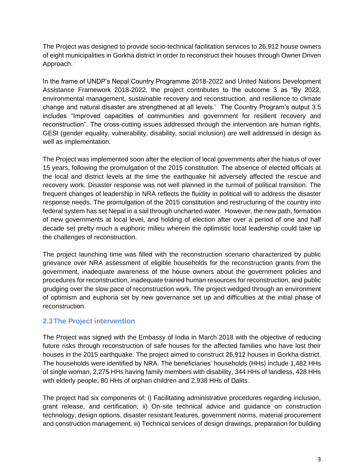The Project was designed to provide socio-technical facilitation services to 26,912 house owners of eight municipalities in Gorkha district in order to reconstruct their houses through Owner Driven Approach.

In the frame of UNDP's Nepal Country Programme 2018-2022 and United Nations Development Assistance Framework 2018-2022, the project contributes to the outcome 3 as "By 2022, environmental management, sustainable recovery and reconstruction, and resilience to climate change and natural disaster are strengthened at all levels.' The Country Program's output 3.5 includes "Improved capacities of communities and government for resilient recovery and reconstruction". The cross-cutting issues addressed through the intervention are human rights, GESI (gender equality, vulnerability, disability, social inclusion) are well addressed in design as well as implementation.

The Project was implemented soon after the election of local governments after the hiatus of over 15 years, following the promulgation of the 2015 constitution. The absence of elected officials at the local and district levels at the time the earthquake hit adversely affected the rescue and recovery work. Disaster response was not well planned in the turmoil of political transition. The frequent changes of leadership in NRA reflects the fluidity in political will to address the disaster response needs. The promulgation of the 2015 constitution and restructuring of the country into federal system has set Nepal in a sail through uncharted water. However, the new path, formation of new governments at local level, and holding of election after over a period of one and half decade set pretty much a euphoric milieu wherein the optimistic local leadership could take up the challenges of reconstruction.

The project launching time was filled with the reconstruction scenario characterized by public grievance over NRA assessment of eligible households for the reconstruction grants from the government, inadequate awareness of the house owners about the government policies and procedures for reconstruction, inadequate trained human resources for reconstruction, and public grudging over the slow pace of reconstruction work. The project wedged through an environment of optimism and euphoria set by new governance set up and difficulties at the initial phase of reconstruction.

## <span id="page-14-0"></span>**2.3The Project intervention**

The Project was signed with the Embassy of India in March 2018 with the objective of reducing future risks through reconstruction of safe houses for the affected families who have lost their houses in the 2015 earthquake. The project aimed to construct 26,912 houses in Gorkha district. The households were identified by NRA. The beneficiaries' households (HHs) include 1,482 HHs of single woman, 2,275 HHs having family members with disability, 344 HHs of landless, 428 HHs with elderly people, 80 HHs of orphan children and 2,938 HHs of Dalits.

The project had six components of: i) Facilitating administrative procedures regarding inclusion, grant release, and certification; ii) On-site technical advice and guidance on construction technology, design options, disaster resistant features, government norms, material procurement and construction management; iii) Technical services of design drawings, preparation for building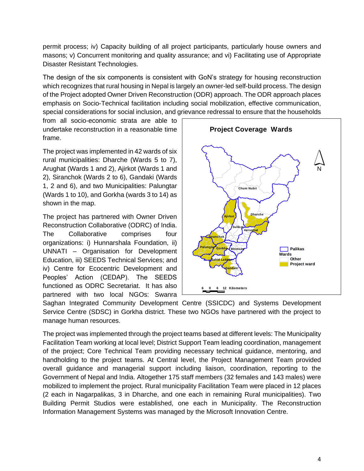permit process; iv) Capacity building of all project participants, particularly house owners and masons; v) Concurrent monitoring and quality assurance; and vi) Facilitating use of Appropriate Disaster Resistant Technologies.

The design of the six components is consistent with GoN's strategy for housing reconstruction which recognizes that rural housing in Nepal is largely an owner-led self-build process. The design of the Project adopted Owner Driven Reconstruction (ODR) approach. The ODR approach places emphasis on Socio-Technical facilitation including social mobilization, effective communication, special considerations for social inclusion, and grievance redressal to ensure that the households

from all socio-economic strata are able to undertake reconstruction in a reasonable time frame.

The project was implemented in 42 wards of six rural municipalities: Dharche (Wards 5 to 7), Arughat (Wards 1 and 2), Ajirkot (Wards 1 and 2), Siranchok (Wards 2 to 6), Gandaki (Wards 1, 2 and 6), and two Municipalities: Palungtar (Wards 1 to 10), and Gorkha (wards 3 to 14) as shown in the map.

The project has partnered with Owner Driven Reconstruction Collaborative (ODRC) of India. The Collaborative comprises four organizations: i) Hunnarshala Foundation, ii) UNNATI – Organisation for Development Education, iii) SEEDS Technical Services; and iv) Centre for Ecocentric Development and Peoples' Action (CEDAP). The SEEDS functioned as ODRC Secretariat. It has also partnered with two local NGOs: Swanra



Saghan Integrated Community Development Centre (SSICDC) and Systems Development Service Centre (SDSC) in Gorkha district. These two NGOs have partnered with the project to manage human resources.

The project was implemented through the project teams based at different levels: The Municipality Facilitation Team working at local level; District Support Team leading coordination, management of the project; Core Technical Team providing necessary technical guidance, mentoring, and handholding to the project teams. At Central level, the Project Management Team provided overall guidance and managerial support including liaison, coordination, reporting to the Government of Nepal and India. Altogether 175 staff members (32 females and 143 males) were mobilized to implement the project. Rural municipality Facilitation Team were placed in 12 places (2 each in Nagarpalikas, 3 in Dharche, and one each in remaining Rural municipalities). Two Building Permit Studios were established, one each in Municipality. The Reconstruction Information Management Systems was managed by the Microsoft Innovation Centre.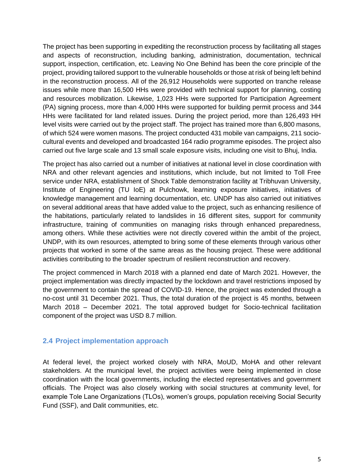The project has been supporting in expediting the reconstruction process by facilitating all stages and aspects of reconstruction, including banking, administration, documentation, technical support, inspection, certification, etc. Leaving No One Behind has been the core principle of the project, providing tailored support to the vulnerable households or those at risk of being left behind in the reconstruction process. All of the 26,912 Households were supported on tranche release issues while more than 16,500 HHs were provided with technical support for planning, costing and resources mobilization. Likewise, 1,023 HHs were supported for Participation Agreement (PA) signing process, more than 4,000 HHs were supported for building permit process and 344 HHs were facilitated for land related issues. During the project period, more than 126,493 HH level visits were carried out by the project staff. The project has trained more than 6,800 masons, of which 524 were women masons. The project conducted 431 mobile van campaigns, 211 sociocultural events and developed and broadcasted 164 radio programme episodes. The project also carried out five large scale and 13 small scale exposure visits, including one visit to Bhuj, India.

The project has also carried out a number of initiatives at national level in close coordination with NRA and other relevant agencies and institutions, which include, but not limited to Toll Free service under NRA, establishment of Shock Table demonstration facility at Tribhuvan University, Institute of Engineering (TU IoE) at Pulchowk, learning exposure initiatives, initiatives of knowledge management and learning documentation, etc. UNDP has also carried out initiatives on several additional areas that have added value to the project, such as enhancing resilience of the habitations, particularly related to landslides in 16 different sites, support for community infrastructure, training of communities on managing risks through enhanced preparedness, among others. While these activities were not directly covered within the ambit of the project, UNDP, with its own resources, attempted to bring some of these elements through various other projects that worked in some of the same areas as the housing project. These were additional activities contributing to the broader spectrum of resilient reconstruction and recovery.

The project commenced in March 2018 with a planned end date of March 2021. However, the project implementation was directly impacted by the lockdown and travel restrictions imposed by the government to contain the spread of COVID-19. Hence, the project was extended through a no-cost until 31 December 2021. Thus, the total duration of the project is 45 months, between March 2018 – December 2021. The total approved budget for Socio-technical facilitation component of the project was USD 8.7 million.

## <span id="page-16-0"></span>**2.4 Project implementation approach**

At federal level, the project worked closely with NRA, MoUD, MoHA and other relevant stakeholders. At the municipal level, the project activities were being implemented in close coordination with the local governments, including the elected representatives and government officials. The Project was also closely working with social structures at community level, for example Tole Lane Organizations (TLOs), women's groups, population receiving Social Security Fund (SSF), and Dalit communities, etc.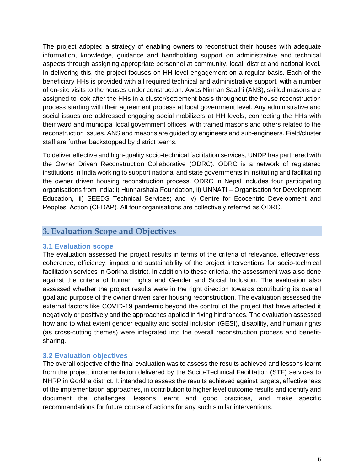The project adopted a strategy of enabling owners to reconstruct their houses with adequate information, knowledge, guidance and handholding support on administrative and technical aspects through assigning appropriate personnel at community, local, district and national level. In delivering this, the project focuses on HH level engagement on a regular basis. Each of the beneficiary HHs is provided with all required technical and administrative support, with a number of on-site visits to the houses under construction. Awas Nirman Saathi (ANS), skilled masons are assigned to look after the HHs in a cluster/settlement basis throughout the house reconstruction process starting with their agreement process at local government level. Any administrative and social issues are addressed engaging social mobilizers at HH levels, connecting the HHs with their ward and municipal local government offices, with trained masons and others related to the reconstruction issues. ANS and masons are guided by engineers and sub-engineers. Field/cluster staff are further backstopped by district teams.

To deliver effective and high-quality socio-technical facilitation services, UNDP has partnered with the Owner Driven Reconstruction Collaborative (ODRC). ODRC is a network of registered institutions in India working to support national and state governments in instituting and facilitating the owner driven housing reconstruction process. ODRC in Nepal includes four participating organisations from India: i) Hunnarshala Foundation, ii) UNNATI – Organisation for Development Education, iii) SEEDS Technical Services; and iv) Centre for Ecocentric Development and Peoples' Action (CEDAP). All four organisations are collectively referred as ODRC.

## <span id="page-17-0"></span>**3. Evaluation Scope and Objectives**

## <span id="page-17-1"></span>**3.1 Evaluation scope**

The evaluation assessed the project results in terms of the criteria of relevance, effectiveness, coherence, efficiency, impact and sustainability of the project interventions for socio-technical facilitation services in Gorkha district. In addition to these criteria, the assessment was also done against the criteria of human rights and Gender and Social Inclusion. The evaluation also assessed whether the project results were in the right direction towards contributing its overall goal and purpose of the owner driven safer housing reconstruction. The evaluation assessed the external factors like COVID-19 pandemic beyond the control of the project that have affected it negatively or positively and the approaches applied in fixing hindrances. The evaluation assessed how and to what extent gender equality and social inclusion (GESI), disability, and human rights (as cross-cutting themes) were integrated into the overall reconstruction process and benefitsharing.

## <span id="page-17-2"></span>**3.2 Evaluation objectives**

The overall objective of the final evaluation was to assess the results achieved and lessons learnt from the project implementation delivered by the Socio-Technical Facilitation (STF) services to NHRP in Gorkha district. It intended to assess the results achieved against targets, effectiveness of the implementation approaches, in contribution to higher level outcome results and identify and document the challenges, lessons learnt and good practices, and make specific recommendations for future course of actions for any such similar interventions.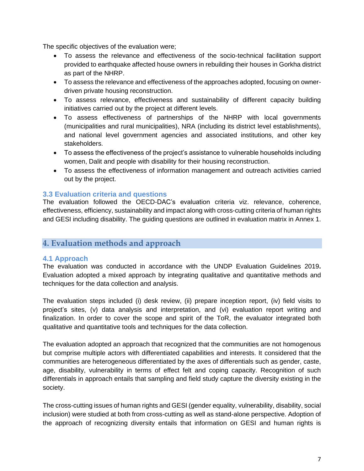The specific objectives of the evaluation were;

- To assess the relevance and effectiveness of the socio-technical facilitation support provided to earthquake affected house owners in rebuilding their houses in Gorkha district as part of the NHRP.
- To assess the relevance and effectiveness of the approaches adopted, focusing on ownerdriven private housing reconstruction.
- To assess relevance, effectiveness and sustainability of different capacity building initiatives carried out by the project at different levels.
- To assess effectiveness of partnerships of the NHRP with local governments (municipalities and rural municipalities), NRA (including its district level establishments), and national level government agencies and associated institutions, and other key stakeholders.
- To assess the effectiveness of the project's assistance to vulnerable households including women, Dalit and people with disability for their housing reconstruction.
- To assess the effectiveness of information management and outreach activities carried out by the project.

## <span id="page-18-0"></span>**3.3 Evaluation criteria and questions**

The evaluation followed the OECD-DAC's evaluation criteria viz. relevance, coherence, effectiveness, efficiency, sustainability and impact along with cross-cutting criteria of human rights and GESI including disability. The guiding questions are outlined in evaluation matrix in Annex 1.

## <span id="page-18-1"></span>**4. Evaluation methods and approach**

## <span id="page-18-2"></span>**4.1 Approach**

The evaluation was conducted in accordance with the UNDP Evaluation Guidelines 2019**.**  Evaluation adopted a mixed approach by integrating qualitative and quantitative methods and techniques for the data collection and analysis.

The evaluation steps included (i) desk review, (ii) prepare inception report, (iv) field visits to project's sites, (v) data analysis and interpretation, and (vi) evaluation report writing and finalization. In order to cover the scope and spirit of the ToR, the evaluator integrated both qualitative and quantitative tools and techniques for the data collection.

The evaluation adopted an approach that recognized that the communities are not homogenous but comprise multiple actors with differentiated capabilities and interests. It considered that the communities are heterogeneous differentiated by the axes of differentials such as gender, caste, age, disability, vulnerability in terms of effect felt and coping capacity. Recognition of such differentials in approach entails that sampling and field study capture the diversity existing in the society.

The cross-cutting issues of human rights and GESI (gender equality, vulnerability, disability, social inclusion) were studied at both from cross-cutting as well as stand-alone perspective. Adoption of the approach of recognizing diversity entails that information on GESI and human rights is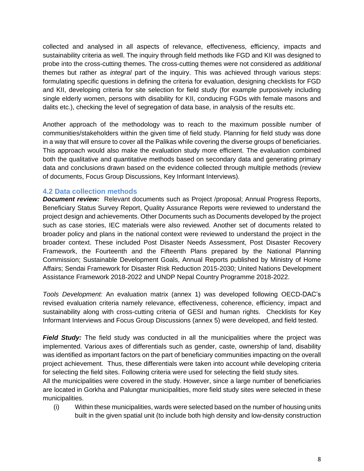collected and analysed in all aspects of relevance, effectiveness, efficiency, impacts and sustainability criteria as well. The inquiry through field methods like FGD and KII was designed to probe into the cross-cutting themes. The cross-cutting themes were not considered as *additional* themes but rather as *integral* part of the inquiry. This was achieved through various steps: formulating specific questions in defining the criteria for evaluation, designing checklists for FGD and KII, developing criteria for site selection for field study (for example purposively including single elderly women, persons with disability for KII, conducing FGDs with female masons and dalits etc.), checking the level of segregation of data base, in analysis of the results etc.

Another approach of the methodology was to reach to the maximum possible number of communities/stakeholders within the given time of field study. Planning for field study was done in a way that will ensure to cover all the Palikas while covering the diverse groups of beneficiaries. This approach would also make the evaluation study more efficient. The evaluation combined both the qualitative and quantitative methods based on secondary data and generating primary data and conclusions drawn based on the evidence collected through multiple methods (review of documents, Focus Group Discussions, Key Informant Interviews).

## <span id="page-19-0"></span>**4.2 Data collection methods**

*Document review:* Relevant documents such as Project /proposal; Annual Progress Reports, Beneficiary Status Survey Report, Quality Assurance Reports were reviewed to understand the project design and achievements. Other Documents such as Documents developed by the project such as case stories, IEC materials were also reviewed. Another set of documents related to broader policy and plans in the national context were reviewed to understand the project in the broader context. These included Post Disaster Needs Assessment, Post Disaster Recovery Framework, the Fourteenth and the Fifteenth Plans prepared by the National Planning Commission; Sustainable Development Goals, Annual Reports published by Ministry of Home Affairs; Sendai Framework for Disaster Risk Reduction 2015-2030; United Nations Development Assistance Framework 2018-2022 and UNDP Nepal Country Programme 2018-2022.

*Tools Development:* An evaluation matrix (annex 1) was developed following OECD-DAC's revised evaluation criteria namely relevance, effectiveness, coherence, efficiency, impact and sustainability along with cross-cutting criteria of GESI and human rights. Checklists for Key Informant Interviews and Focus Group Discussions (annex 5) were developed, and field tested.

*Field Study:* The field study was conducted in all the municipalities where the project was implemented. Various axes of differentials such as gender, caste, ownership of land, disability was identified as important factors on the part of beneficiary communities impacting on the overall project achievement. Thus, these differentials were taken into account while developing criteria for selecting the field sites. Following criteria were used for selecting the field study sites.

All the municipalities were covered in the study. However, since a large number of beneficiaries are located in Gorkha and Palungtar municipalities, more field study sites were selected in these municipalities.

(i) Within these municipalities, wards were selected based on the number of housing units built in the given spatial unit (to include both high density and low-density construction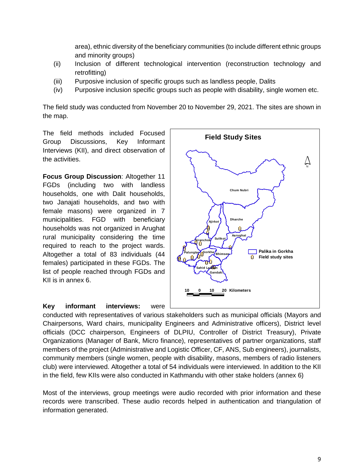area), ethnic diversity of the beneficiary communities (to include different ethnic groups and minority groups)

- (ii) Inclusion of different technological intervention (reconstruction technology and retrofitting)
- (iii) Purposive inclusion of specific groups such as landless people, Dalits
- (iv) Purposive inclusion specific groups such as people with disability, single women etc.

The field study was conducted from November 20 to November 29, 2021. The sites are shown in the map.

The field methods included Focused Group Discussions, Key Informant Interviews (KII), and direct observation of the activities.

**Focus Group Discussion**: Altogether 11 FGDs (including two with landless households, one with Dalit households, two Janajati households, and two with female masons) were organized in 7 municipalities. FGD with beneficiary households was not organized in Arughat rural municipality considering the time required to reach to the project wards. Altogether a total of 83 individuals (44 females) participated in these FGDs. The list of people reached through FGDs and KII is in annex 6.

**Key informant interviews:** were



conducted with representatives of various stakeholders such as municipal officials (Mayors and Chairpersons, Ward chairs, municipality Engineers and Administrative officers), District level officials (DCC chairperson, Engineers of DLPIU, Controller of District Treasury), Private Organizations (Manager of Bank, Micro finance), representatives of partner organizations, staff members of the project (Administrative and Logistic Officer, CF, ANS, Sub engineers), journalists, community members (single women, people with disability, masons, members of radio listeners club) were interviewed. Altogether a total of 54 individuals were interviewed. In addition to the KII in the field, few KIIs were also conducted in Kathmandu with other stake holders (annex 6)

Most of the interviews, group meetings were audio recorded with prior information and these records were transcribed. These audio records helped in authentication and triangulation of information generated.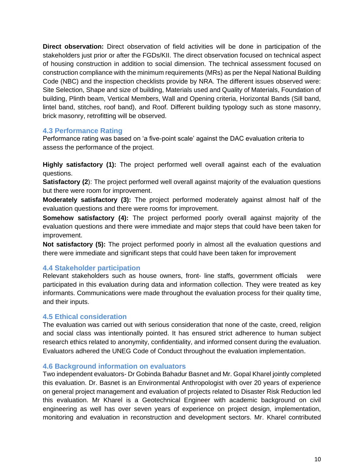**Direct observation:** Direct observation of field activities will be done in participation of the stakeholders just prior or after the FGDs/KII. The direct observation focused on technical aspect of housing construction in addition to social dimension. The technical assessment focused on construction compliance with the minimum requirements (MRs) as per the Nepal National Building Code (NBC) and the inspection checklists provide by NRA. The different issues observed were: Site Selection, Shape and size of building, Materials used and Quality of Materials, Foundation of building, Plinth beam, Vertical Members, Wall and Opening criteria, Horizontal Bands (Sill band, lintel band, stitches, roof band), and Roof. Different building typology such as stone masonry, brick masonry, retrofitting will be observed.

## <span id="page-21-0"></span>**4.3 Performance Rating**

Performance rating was based on 'a five-point scale' against the DAC evaluation criteria to assess the performance of the project.

**Highly satisfactory (1):** The project performed well overall against each of the evaluation questions.

**Satisfactory (2):** The project performed well overall against majority of the evaluation questions but there were room for improvement.

**Moderately satisfactory (3):** The project performed moderately against almost half of the evaluation questions and there were rooms for improvement.

**Somehow satisfactory (4):** The project performed poorly overall against majority of the evaluation questions and there were immediate and major steps that could have been taken for improvement.

**Not satisfactory (5):** The project performed poorly in almost all the evaluation questions and there were immediate and significant steps that could have been taken for improvement

## <span id="page-21-1"></span>**4.4 Stakeholder participation**

Relevant stakeholders such as house owners, front- line staffs, government officials were participated in this evaluation during data and information collection. They were treated as key informants. Communications were made throughout the evaluation process for their quality time, and their inputs.

## <span id="page-21-2"></span>**4.5 Ethical consideration**

The evaluation was carried out with serious consideration that none of the caste, creed, religion and social class was intentionally pointed. It has ensured strict adherence to human subject research ethics related to anonymity, confidentiality, and informed consent during the evaluation. Evaluators adhered the UNEG Code of Conduct throughout the evaluation implementation.

## <span id="page-21-3"></span>**4.6 Background information on evaluators**

Two independent evaluators- Dr Gobinda Bahadur Basnet and Mr. Gopal Kharel jointly completed this evaluation. Dr. Basnet is an Environmental Anthropologist with over 20 years of experience on general project management and evaluation of projects related to Disaster Risk Reduction led this evaluation. Mr Kharel is a Geotechnical Engineer with academic background on civil engineering as well has over seven years of experience on project design, implementation, monitoring and evaluation in reconstruction and development sectors. Mr. Kharel contributed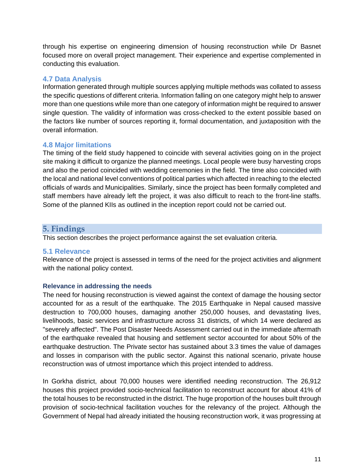through his expertise on engineering dimension of housing reconstruction while Dr Basnet focused more on overall project management. Their experience and expertise complemented in conducting this evaluation.

## <span id="page-22-0"></span>**4.7 Data Analysis**

Information generated through multiple sources applying multiple methods was collated to assess the specific questions of different criteria. Information falling on one category might help to answer more than one questions while more than one category of information might be required to answer single question. The validity of information was cross-checked to the extent possible based on the factors like number of sources reporting it, formal documentation, and juxtaposition with the overall information.

## <span id="page-22-1"></span>**4.8 Major limitations**

The timing of the field study happened to coincide with several activities going on in the project site making it difficult to organize the planned meetings. Local people were busy harvesting crops and also the period coincided with wedding ceremonies in the field. The time also coincided with the local and national level conventions of political parties which affected in reaching to the elected officials of wards and Municipalities. Similarly, since the project has been formally completed and staff members have already left the project, it was also difficult to reach to the front-line staffs. Some of the planned KIIs as outlined in the inception report could not be carried out.

## <span id="page-22-2"></span>**5. Findings**

This section describes the project performance against the set evaluation criteria.

## <span id="page-22-3"></span>**5.1 Relevance**

Relevance of the project is assessed in terms of the need for the project activities and alignment with the national policy context.

## **Relevance in addressing the needs**

The need for housing reconstruction is viewed against the context of damage the housing sector accounted for as a result of the earthquake. The 2015 Earthquake in Nepal caused massive destruction to 700,000 houses, damaging another 250,000 houses, and devastating lives, livelihoods, basic services and infrastructure across 31 districts, of which 14 were declared as "severely affected". The Post Disaster Needs Assessment carried out in the immediate aftermath of the earthquake revealed that housing and settlement sector accounted for about 50% of the earthquake destruction. The Private sector has sustained about 3.3 times the value of damages and losses in comparison with the public sector. Against this national scenario, private house reconstruction was of utmost importance which this project intended to address.

In Gorkha district, about 70,000 houses were identified needing reconstruction. The 26,912 houses this project provided socio-technical facilitation to reconstruct account for about 41% of the total houses to be reconstructed in the district. The huge proportion of the houses built through provision of socio-technical facilitation vouches for the relevancy of the project. Although the Government of Nepal had already initiated the housing reconstruction work, it was progressing at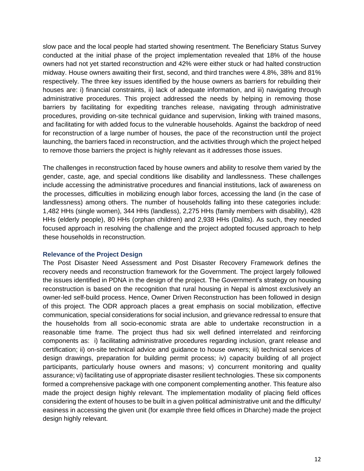slow pace and the local people had started showing resentment. The Beneficiary Status Survey conducted at the initial phase of the project implementation revealed that 18% of the house owners had not yet started reconstruction and 42% were either stuck or had halted construction midway. House owners awaiting their first, second, and third tranches were 4.8%, 38% and 81% respectively. The three key issues identified by the house owners as barriers for rebuilding their houses are: i) financial constraints, ii) lack of adequate information, and iii) navigating through administrative procedures. This project addressed the needs by helping in removing those barriers by facilitating for expediting tranches release, navigating through administrative procedures, providing on-site technical guidance and supervision, linking with trained masons, and facilitating for with added focus to the vulnerable households. Against the backdrop of need for reconstruction of a large number of houses, the pace of the reconstruction until the project launching, the barriers faced in reconstruction, and the activities through which the project helped to remove those barriers the project is highly relevant as it addresses those issues.

The challenges in reconstruction faced by house owners and ability to resolve them varied by the gender, caste, age, and special conditions like disability and landlessness. These challenges include accessing the administrative procedures and financial institutions, lack of awareness on the processes, difficulties in mobilizing enough labor forces, accessing the land (in the case of landlessness) among others. The number of households falling into these categories include: 1,482 HHs (single women), 344 HHs (landless), 2,275 HHs (family members with disability), 428 HHs (elderly people), 80 HHs (orphan children) and 2,938 HHs (Dalits). As such, they needed focused approach in resolving the challenge and the project adopted focused approach to help these households in reconstruction.

#### **Relevance of the Project Design**

The Post Disaster Need Assessment and Post Disaster Recovery Framework defines the recovery needs and reconstruction framework for the Government. The project largely followed the issues identified in PDNA in the design of the project. The Government's strategy on housing reconstruction is based on the recognition that rural housing in Nepal is almost exclusively an owner-led self-build process. Hence, Owner Driven Reconstruction has been followed in design of this project. The ODR approach places a great emphasis on social mobilization, effective communication, special considerations for social inclusion, and grievance redressal to ensure that the households from all socio-economic strata are able to undertake reconstruction in a reasonable time frame. The project thus had six well defined interrelated and reinforcing components as: i) facilitating administrative procedures regarding inclusion, grant release and certification; ii) on-site technical advice and guidance to house owners; iii) technical services of design drawings, preparation for building permit process; iv) capacity building of all project participants, particularly house owners and masons; v) concurrent monitoring and quality assurance; vi) facilitating use of appropriate disaster resilient technologies. These six components formed a comprehensive package with one component complementing another. This feature also made the project design highly relevant. The implementation modality of placing field offices considering the extent of houses to be built in a given political administrative unit and the difficulty/ easiness in accessing the given unit (for example three field offices in Dharche) made the project design highly relevant.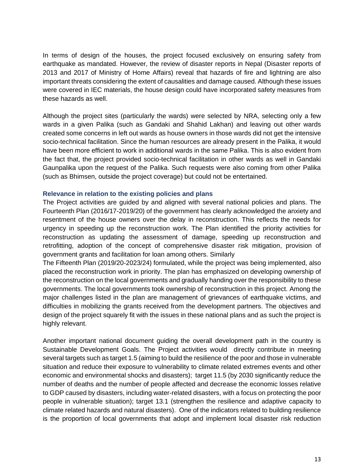In terms of design of the houses, the project focused exclusively on ensuring safety from earthquake as mandated. However, the review of disaster reports in Nepal (Disaster reports of 2013 and 2017 of Ministry of Home Affairs) reveal that hazards of fire and lightning are also important threats considering the extent of causalities and damage caused. Although these issues were covered in IEC materials, the house design could have incorporated safety measures from these hazards as well.

Although the project sites (particularly the wards) were selected by NRA, selecting only a few wards in a given Palika (such as Gandaki and Shahid Lakhan) and leaving out other wards created some concerns in left out wards as house owners in those wards did not get the intensive socio-technical facilitation. Since the human resources are already present in the Palika, it would have been more efficient to work in additional wards in the same Palika. This is also evident from the fact that, the project provided socio-technical facilitation in other wards as well in Gandaki Gaunpalika upon the request of the Palika. Such requests were also coming from other Palika (such as Bhimsen, outside the project coverage) but could not be entertained.

#### **Relevance in relation to the existing policies and plans**

The Project activities are guided by and aligned with several national policies and plans. The Fourteenth Plan (2016/17-2019/20) of the government has clearly acknowledged the anxiety and resentment of the house owners over the delay in reconstruction. This reflects the needs for urgency in speeding up the reconstruction work. The Plan identified the priority activities for reconstruction as updating the assessment of damage, speeding up reconstruction and retrofitting, adoption of the concept of comprehensive disaster risk mitigation, provision of government grants and facilitation for loan among others. Similarly

The Fifteenth Plan (2019/20-2023/24) formulated, while the project was being implemented, also placed the reconstruction work in priority. The plan has emphasized on developing ownership of the reconstruction on the local governments and gradually handing over the responsibility to these governments. The local governments took ownership of reconstruction in this project. Among the major challenges listed in the plan are management of grievances of earthquake victims, and difficulties in mobilizing the grants received from the development partners. The objectives and design of the project squarely fit with the issues in these national plans and as such the project is highly relevant.

Another important national document guiding the overall development path in the country is Sustainable Development Goals. The Project activities would directly contribute in meeting several targets such as target 1.5 (aiming to build the resilience of the poor and those in vulnerable situation and reduce their exposure to vulnerability to climate related extremes events and other economic and environmental shocks and disasters); target 11.5 (by 2030 significantly reduce the number of deaths and the number of people affected and decrease the economic losses relative to GDP caused by disasters, including water-related disasters, with a focus on protecting the poor people in vulnerable situation); target 13.1 (strengthen the resilience and adaptive capacity to climate related hazards and natural disasters). One of the indicators related to building resilience is the proportion of local governments that adopt and implement local disaster risk reduction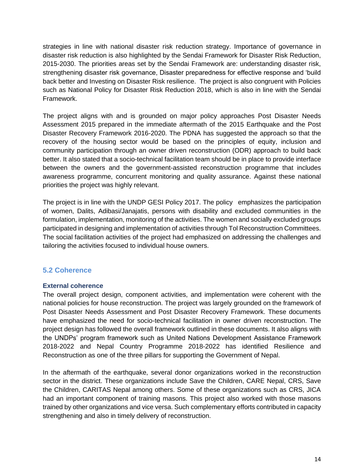strategies in line with national disaster risk reduction strategy. Importance of governance in disaster risk reduction is also highlighted by the Sendai Framework for Disaster Risk Reduction, 2015-2030. The priorities areas set by the Sendai Framework are: understanding disaster risk, strengthening disaster risk governance, Disaster preparedness for effective response and 'build back better and Investing on Disaster Risk resilience. The project is also congruent with Policies such as National Policy for Disaster Risk Reduction 2018, which is also in line with the Sendai Framework.

The project aligns with and is grounded on major policy approaches Post Disaster Needs Assessment 2015 prepared in the immediate aftermath of the 2015 Earthquake and the Post Disaster Recovery Framework 2016-2020. The PDNA has suggested the approach so that the recovery of the housing sector would be based on the principles of equity, inclusion and community participation through an owner driven reconstruction (ODR) approach to build back better. It also stated that a socio-technical facilitation team should be in place to provide interface between the owners and the government-assisted reconstruction programme that includes awareness programme, concurrent monitoring and quality assurance. Against these national priorities the project was highly relevant.

The project is in line with the UNDP GESI Policy 2017. The policy emphasizes the participation of women, Dalits, Adibasi/Janajatis, persons with disability and excluded communities in the formulation, implementation, monitoring of the activities. The women and socially excluded groups participated in designing and implementation of activities through Tol Reconstruction Committees. The social facilitation activities of the project had emphasized on addressing the challenges and tailoring the activities focused to individual house owners.

## <span id="page-25-0"></span>**5.2 Coherence**

#### **External coherence**

The overall project design, component activities, and implementation were coherent with the national policies for house reconstruction. The project was largely grounded on the framework of Post Disaster Needs Assessment and Post Disaster Recovery Framework. These documents have emphasized the need for socio-technical facilitation in owner driven reconstruction. The project design has followed the overall framework outlined in these documents. It also aligns with the UNDPs' program framework such as United Nations Development Assistance Framework 2018-2022 and Nepal Country Programme 2018-2022 has identified Resilience and Reconstruction as one of the three pillars for supporting the Government of Nepal.

In the aftermath of the earthquake, several donor organizations worked in the reconstruction sector in the district. These organizations include Save the Children, CARE Nepal, CRS, Save the Children, CARITAS Nepal among others. Some of these organizations such as CRS, JICA had an important component of training masons. This project also worked with those masons trained by other organizations and vice versa. Such complementary efforts contributed in capacity strengthening and also in timely delivery of reconstruction.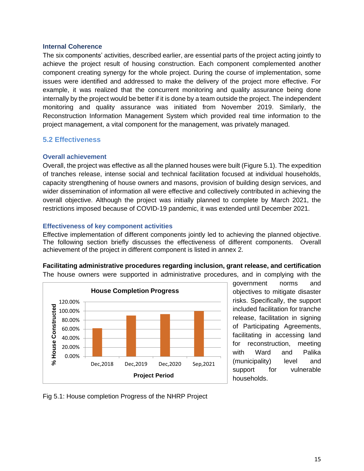#### **Internal Coherence**

The six components' activities, described earlier, are essential parts of the project acting jointly to achieve the project result of housing construction. Each component complemented another component creating synergy for the whole project. During the course of implementation, some issues were identified and addressed to make the delivery of the project more effective. For example, it was realized that the concurrent monitoring and quality assurance being done internally by the project would be better if it is done by a team outside the project. The independent monitoring and quality assurance was initiated from November 2019. Similarly, the Reconstruction Information Management System which provided real time information to the project management, a vital component for the management, was privately managed.

#### <span id="page-26-0"></span>**5.2 Effectiveness**

#### **Overall achievement**

Overall, the project was effective as all the planned houses were built (Figure 5.1). The expedition of tranches release, intense social and technical facilitation focused at individual households, capacity strengthening of house owners and masons, provision of building design services, and wider dissemination of information all were effective and collectively contributed in achieving the overall objective. Although the project was initially planned to complete by March 2021, the restrictions imposed because of COVID-19 pandemic, it was extended until December 2021.

#### **Effectiveness of key component activities**

Effective implementation of different components jointly led to achieving the planned objective. The following section briefly discusses the effectiveness of different components. Overall achievement of the project in different component is listed in annex 2.





government norms and objectives to mitigate disaster risks. Specifically, the support included facilitation for tranche release, facilitation in signing of Participating Agreements, facilitating in accessing land for reconstruction, meeting with Ward and Palika (municipality) level and support for vulnerable households.

Fig 5.1: House completion Progress of the NHRP Project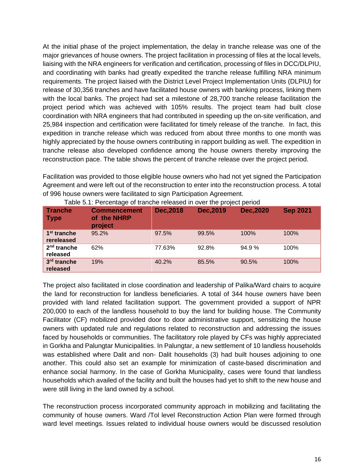At the initial phase of the project implementation, the delay in tranche release was one of the major grievances of house owners. The project facilitation in processing of files at the local levels, liaising with the NRA engineers for verification and certification, processing of files in DCC/DLPIU, and coordinating with banks had greatly expedited the tranche release fulfilling NRA minimum requirements. The project liaised with the District Level Project Implementation Units (DLPIU) for release of 30,356 tranches and have facilitated house owners with banking process, linking them with the local banks. The project had set a milestone of 28,700 tranche release facilitation the project period which was achieved with 105% results. The project team had built close coordination with NRA engineers that had contributed in speeding up the on-site verification, and 25,984 inspection and certification were facilitated for timely release of the tranche. In fact, this expedition in tranche release which was reduced from about three months to one month was highly appreciated by the house owners contributing in rapport building as well. The expedition in tranche release also developed confidence among the house owners thereby improving the reconstruction pace. The table shows the percent of tranche release over the project period.

Facilitation was provided to those eligible house owners who had not yet signed the Participation Agreement and were left out of the reconstruction to enter into the reconstruction process. A total of 996 house owners were facilitated to sign Participation Agreement.

| <b>Tranche</b><br>$\blacksquare$ Type | <b>Commencement</b><br>of the NHRP<br>project | Dec.2018 | Dec, 2019 | <b>Dec.2020</b> | <b>Sep 2021</b> |
|---------------------------------------|-----------------------------------------------|----------|-----------|-----------------|-----------------|
| 1 <sup>st</sup> tranche<br>rereleased | 95.2%                                         | 97.5%    | 99.5%     | 100%            | 100%            |
| $2nd$ tranche<br>released             | 62%                                           | 77.63%   | 92.8%     | 94.9%           | 100%            |
| 3rd tranche<br>released               | 19%                                           | 40.2%    | 85.5%     | 90.5%           | 100%            |

Table 5.1: Percentage of tranche released in over the project period

The project also facilitated in close coordination and leadership of Palika/Ward chairs to acquire the land for reconstruction for landless beneficiaries. A total of 344 house owners have been provided with land related facilitation support. The government provided a support of NPR 200,000 to each of the landless household to buy the land for building house. The Community Facilitator (CF) mobilized provided door to door administrative support, sensitizing the house owners with updated rule and regulations related to reconstruction and addressing the issues faced by households or communities. The facilitatory role played by CFs was highly appreciated in Gorkha and Palungtar Municipalities. In Palungtar, a new settlement of 10 landless households was established where Dalit and non- Dalit households (3) had built houses adjoining to one another. This could also set an example for minimization of caste-based discrimination and enhance social harmony. In the case of Gorkha Municipality, cases were found that landless households which availed of the facility and built the houses had yet to shift to the new house and were still living in the land owned by a school.

The reconstruction process incorporated community approach in mobilizing and facilitating the community of house owners. Ward /Tol level Reconstruction Action Plan were formed through ward level meetings. Issues related to individual house owners would be discussed resolution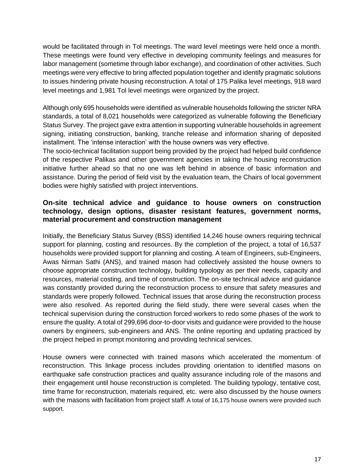would be facilitated through in Tol meetings. The ward level meetings were held once a month. These meetings were found very effective in developing community feelings and measures for labor management (sometime through labor exchange), and coordination of other activities. Such meetings were very effective to bring affected population together and identify pragmatic solutions to issues hindering private housing reconstruction. A total of 175 Palika level meetings, 918 ward level meetings and 1,981 Tol level meetings were organized by the project.

Although only 695 households were identified as vulnerable households following the stricter NRA standards, a total of 8,021 households were categorized as vulnerable following the Beneficiary Status Survey. The project gave extra attention in supporting vulnerable households in agreement signing, initiating construction, banking, tranche release and information sharing of deposited installment. The 'intense interaction' with the house owners was very effective.

The socio-technical facilitation support being provided by the project had helped build confidence of the respective Palikas and other government agencies in taking the housing reconstruction initiative further ahead so that no one was left behind in absence of basic information and assistance. During the period of field visit by the evaluation team, the Chairs of local government bodies were highly satisfied with project interventions.

## **On-site technical advice and guidance to house owners on construction technology, design options, disaster resistant features, government norms, material procurement and construction management**

Initially, the Beneficiary Status Survey (BSS) identified 14,246 house owners requiring technical support for planning, costing and resources. By the completion of the project, a total of 16,537 households were provided support for planning and costing. A team of Engineers, sub-Engineers, Awas Nirman Sathi (ANS), and trained mason had collectively assisted the house owners to choose appropriate construction technology, building typology as per their needs, capacity and resources, material costing, and time of construction. The on-site technical advice and guidance was constantly provided during the reconstruction process to ensure that safety measures and standards were properly followed. Technical issues that arose during the reconstruction process were also resolved. As reported during the field study, there were several cases when the technical supervision during the construction forced workers to redo some phases of the work to ensure the quality. A total of 299,696 door-to-door visits and guidance were provided to the house owners by engineers, sub-engineers and ANS. The online reporting and updating practiced by the project helped in prompt monitoring and providing technical services.

House owners were connected with trained masons which accelerated the momentum of reconstruction. This linkage process includes providing orientation to identified masons on earthquake safe construction practices and quality assurance including role of the masons and their engagement until house reconstruction is completed. The building typology, tentative cost, time frame for reconstruction, materials required, etc. were also discussed by the house owners with the masons with facilitation from project staff. A total of 16,175 house owners were provided such support.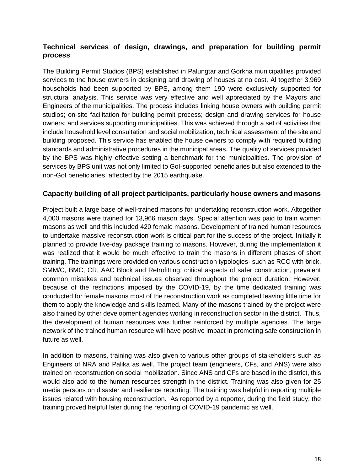## **Technical services of design, drawings, and preparation for building permit process**

The Building Permit Studios (BPS) established in Palungtar and Gorkha municipalities provided services to the house owners in designing and drawing of houses at no cost. Al together 3,969 households had been supported by BPS, among them 190 were exclusively supported for structural analysis. This service was very effective and well appreciated by the Mayors and Engineers of the municipalities. The process includes linking house owners with building permit studios; on-site facilitation for building permit process; design and drawing services for house owners; and services supporting municipalities. This was achieved through a set of activities that include household level consultation and social mobilization, technical assessment of the site and building proposed. This service has enabled the house owners to comply with required building standards and administrative procedures in the municipal areas. The quality of services provided by the BPS was highly effective setting a benchmark for the municipalities. The provision of services by BPS unit was not only limited to GoI-supported beneficiaries but also extended to the non-GoI beneficiaries, affected by the 2015 earthquake.

## **Capacity building of all project participants, particularly house owners and masons**

Project built a large base of well-trained masons for undertaking reconstruction work. Altogether 4,000 masons were trained for 13,966 mason days. Special attention was paid to train women masons as well and this included 420 female masons. Development of trained human resources to undertake massive reconstruction work is critical part for the success of the project. Initially it planned to provide five-day package training to masons. However, during the implementation it was realized that it would be much effective to train the masons in different phases of short training. The trainings were provided on various construction typologies- such as RCC with brick, SMM/C, BMC, CR, AAC Block and Retrofitting; critical aspects of safer construction, prevalent common mistakes and technical issues observed throughout the project duration. However, because of the restrictions imposed by the COVID-19, by the time dedicated training was conducted for female masons most of the reconstruction work as completed leaving little time for them to apply the knowledge and skills learned. Many of the masons trained by the project were also trained by other development agencies working in reconstruction sector in the district. Thus, the development of human resources was further reinforced by multiple agencies. The large network of the trained human resource will have positive impact in promoting safe construction in future as well.

In addition to masons, training was also given to various other groups of stakeholders such as Engineers of NRA and Palika as well. The project team (engineers, CFs, and ANS) were also trained on reconstruction on social mobilization. Since ANS and CFs are based in the district, this would also add to the human resources strength in the district. Training was also given for 25 media persons on disaster and resilience reporting. The training was helpful in reporting multiple issues related with housing reconstruction. As reported by a reporter, during the field study, the training proved helpful later during the reporting of COVID-19 pandemic as well.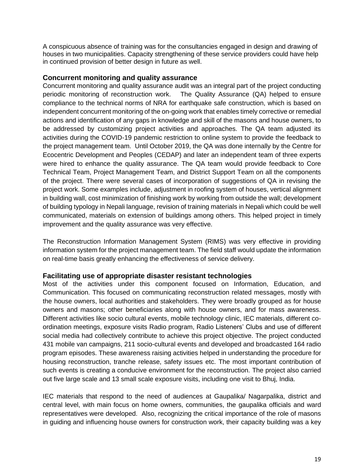A conspicuous absence of training was for the consultancies engaged in design and drawing of houses in two municipalities. Capacity strengthening of these service providers could have help in continued provision of better design in future as well.

#### **Concurrent monitoring and quality assurance**

Concurrent monitoring and quality assurance audit was an integral part of the project conducting periodic monitoring of reconstruction work. The Quality Assurance (QA) helped to ensure compliance to the technical norms of NRA for earthquake safe construction, which is based on independent concurrent monitoring of the on-going work that enables timely corrective or remedial actions and identification of any gaps in knowledge and skill of the masons and house owners, to be addressed by customizing project activities and approaches. The QA team adjusted its activities during the COVID-19 pandemic restriction to online system to provide the feedback to the project management team. Until October 2019, the QA was done internally by the Centre for Ecocentric Development and Peoples (CEDAP) and later an independent team of three experts were hired to enhance the quality assurance. The QA team would provide feedback to Core Technical Team, Project Management Team, and District Support Team on all the components of the project. There were several cases of incorporation of suggestions of QA in revising the project work. Some examples include, adjustment in roofing system of houses, vertical alignment in building wall, cost minimization of finishing work by working from outside the wall; development of building typology in Nepali language, revision of training materials in Nepali which could be well communicated, materials on extension of buildings among others. This helped project in timely improvement and the quality assurance was very effective.

The Reconstruction Information Management System (RIMS) was very effective in providing information system for the project management team. The field staff would update the information on real-time basis greatly enhancing the effectiveness of service delivery.

#### **Facilitating use of appropriate disaster resistant technologies**

Most of the activities under this component focused on Information, Education, and Communication. This focused on communicating reconstruction related messages, mostly with the house owners, local authorities and stakeholders. They were broadly grouped as for house owners and masons; other beneficiaries along with house owners, and for mass awareness. Different activities like socio cultural events, mobile technology clinic, IEC materials, different coordination meetings, exposure visits Radio program, Radio Listeners' Clubs and use of different social media had collectively contribute to achieve this project objective. The project conducted 431 mobile van campaigns, 211 socio-cultural events and developed and broadcasted 164 radio program episodes. These awareness raising activities helped in understanding the procedure for housing reconstruction, tranche release, safety issues etc. The most important contribution of such events is creating a conducive environment for the reconstruction. The project also carried out five large scale and 13 small scale exposure visits, including one visit to Bhuj, India.

IEC materials that respond to the need of audiences at Gaupalika/ Nagarpalika, district and central level, with main focus on home owners, communities, the gaupalika officials and ward representatives were developed. Also, recognizing the critical importance of the role of masons in guiding and influencing house owners for construction work, their capacity building was a key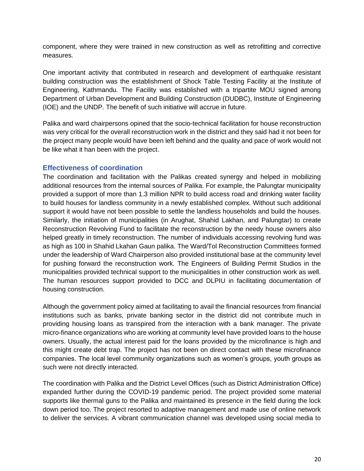component, where they were trained in new construction as well as retrofitting and corrective measures.

One important activity that contributed in research and development of earthquake resistant building construction was the establishment of Shock Table Testing Facility at the Institute of Engineering, Kathmandu. The Facility was established with a tripartite MOU signed among Department of Urban Development and Building Construction (DUDBC), Institute of Engineering (IOE) and the UNDP. The benefit of such initiative will accrue in future.

Palika and ward chairpersons opined that the socio-technical facilitation for house reconstruction was very critical for the overall reconstruction work in the district and they said had it not been for the project many people would have been left behind and the quality and pace of work would not be like what it han been with the project.

#### **Effectiveness of coordination**

The coordination and facilitation with the Palikas created synergy and helped in mobilizing additional resources from the internal sources of Palika. For example, the Palungtar municipality provided a support of more than 1.3 million NPR to build access road and drinking water facility to build houses for landless community in a newly established complex. Without such additional support it would have not been possible to settle the landless households and build the houses. Similarly, the initiation of municipalities (in Arughat, Shahid Lakhan, and Palungtar) to create Reconstruction Revolving Fund to facilitate the reconstruction by the needy house owners also helped greatly in timely reconstruction. The number of individuals accessing revolving fund was as high as 100 in Shahid Lkahan Gaun palika. The Ward/Tol Reconstruction Committees formed under the leadership of Ward Chairperson also provided institutional base at the community level for pushing forward the reconstruction work. The Engineers of Building Permit Studios in the municipalities provided technical support to the municipalities in other construction work as well. The human resources support provided to DCC and DLPIU in facilitating documentation of housing construction.

Although the government policy aimed at facilitating to avail the financial resources from financial institutions such as banks, private banking sector in the district did not contribute much in providing housing loans as transpired from the interaction with a bank manager. The private micro-finance organizations who are working at community level have provided loans to the house owners. Usually, the actual interest paid for the loans provided by the microfinance is high and this might create debt trap. The project has not been on direct contact with these microfinance companies. The local level community organizations such as women's groups, youth groups as such were not directly interacted.

The coordination with Palika and the District Level Offices (such as District Administration Office) expanded further during the COVID-19 pandemic period. The project provided some material supports like thermal guns to the Palika and maintained its presence in the field during the lock down period too. The project resorted to adaptive management and made use of online network to deliver the services. A vibrant communication channel was developed using social media to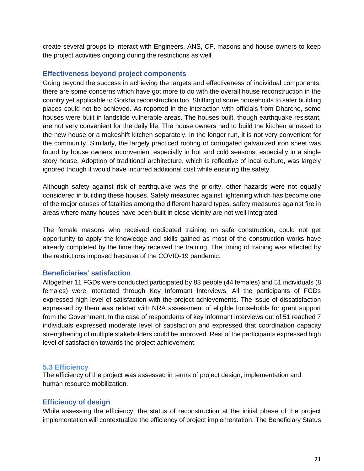create several groups to interact with Engineers, ANS, CF, masons and house owners to keep the project activities ongoing during the restrictions as well.

#### **Effectiveness beyond project components**

Going beyond the success in achieving the targets and effectiveness of individual components, there are some concerns which have got more to do with the overall house reconstruction in the country yet applicable to Gorkha reconstruction too. Shifting of some households to safer building places could not be achieved. As reported in the interaction with officials from Dharche, some houses were built in landslide vulnerable areas. The houses built, though earthquake resistant, are not very convenient for the daily life. The house owners had to build the kitchen annexed to the new house or a makeshift kitchen separately. In the longer run, it is not very convenient for the community. Similarly, the largely practiced roofing of corrugated galvanized iron sheet was found by house owners inconvenient especially in hot and cold seasons, especially in a single story house. Adoption of traditional architecture, which is reflective of local culture, was largely ignored though it would have incurred additional cost while ensuring the safety.

Although safety against risk of earthquake was the priority, other hazards were not equally considered in building these houses. Safety measures against lightening which has become one of the major causes of fatalities among the different hazard types, safety measures against fire in areas where many houses have been built in close vicinity are not well integrated.

The female masons who received dedicated training on safe construction, could not get opportunity to apply the knowledge and skills gained as most of the construction works have already completed by the time they received the training. The timing of training was affected by the restrictions imposed because of the COVID-19 pandemic.

## **Beneficiaries' satisfaction**

Altogether 11 FGDs were conducted participated by 83 people (44 females) and 51 individuals (8 females) were interacted through Key Informant Interviews. All the participants of FGDs expressed high level of satisfaction with the project achievements. The issue of dissatisfaction expressed by them was related with NRA assessment of eligible households for grant support from the Government. In the case of respondents of key informant interviews out of 51 reached 7 individuals expressed moderate level of satisfaction and expressed that coordination capacity strengthening of multiple stakeholders could be improved. Rest of the participants expressed high level of satisfaction towards the project achievement.

#### <span id="page-32-0"></span>**5.3 Efficiency**

The efficiency of the project was assessed in terms of project design, implementation and human resource mobilization.

#### **Efficiency of design**

While assessing the efficiency, the status of reconstruction at the initial phase of the project implementation will contextualize the efficiency of project implementation. The Beneficiary Status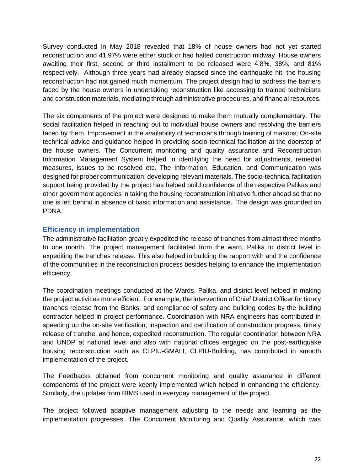Survey conducted in May 2018 revealed that 18% of house owners had not yet started reconstruction and 41.97% were either stuck or had halted construction midway. House owners awaiting their first, second or third installment to be released were 4.8%, 38%, and 81% respectively. Although three years had already elapsed since the earthquake hit, the housing reconstruction had not gained much momentum. The project design had to address the barriers faced by the house owners in undertaking reconstruction like accessing to trained technicians and construction materials, mediating through administrative procedures, and financial resources.

The six components of the project were designed to make them mutually complementary. The social facilitation helped in reaching out to individual house owners and resolving the barriers faced by them. Improvement in the availability of technicians through training of masons; On-site technical advice and guidance helped in providing socio-technical facilitation at the doorstep of the house owners. The Concurrent monitoring and quality assurance and Reconstruction Information Management System helped in identifying the need for adjustments, remedial measures, issues to be resolved etc. The Information, Education, and Communication was designed for proper communication, developing relevant materials. The socio-technical facilitation support being provided by the project has helped build confidence of the respective Palikas and other government agencies in taking the housing reconstruction initiative further ahead so that no one is left behind in absence of basic information and assistance. The design was grounded on PDNA.

## **Efficiency in implementation**

The administrative facilitation greatly expedited the release of tranches from almost three months to one month. The project management facilitated from the ward, Palika to district level in expediting the tranches release. This also helped in building the rapport with and the confidence of the communities in the reconstruction process besides helping to enhance the implementation efficiency.

The coordination meetings conducted at the Wards, Palika, and district level helped in making the project activities more efficient. For example, the intervention of Chief District Officer for timely tranches release from the Banks, and compliance of safety and building codes by the building contractor helped in project performance. Coordination with NRA engineers has contributed in speeding up the on-site verification, inspection and certification of construction progress, timely release of tranche, and hence, expedited reconstruction. The regular coordination between NRA and UNDP at national level and also with national offices engaged on the post-earthquake housing reconstruction such as CLPIU-GMALI, CLPIU-Building, has contributed in smooth implementation of the project.

The Feedbacks obtained from concurrent monitoring and quality assurance in different components of the project were keenly implemented which helped in enhancing the efficiency. Similarly, the updates from RIMS used in everyday management of the project.

The project followed adaptive management adjusting to the needs and learning as the implementation progresses. The Concurrent Monitoring and Quality Assurance, which was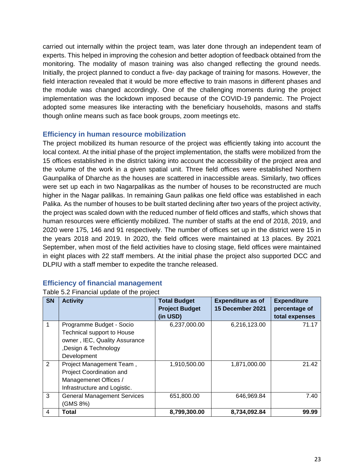carried out internally within the project team, was later done through an independent team of experts. This helped in improving the cohesion and better adoption of feedback obtained from the monitoring. The modality of mason training was also changed reflecting the ground needs. Initially, the project planned to conduct a five- day package of training for masons. However, the field interaction revealed that it would be more effective to train masons in different phases and the module was changed accordingly. One of the challenging moments during the project implementation was the lockdown imposed because of the COVID-19 pandemic. The Project adopted some measures like interacting with the beneficiary households, masons and staffs though online means such as face book groups, zoom meetings etc.

#### **Efficiency in human resource mobilization**

The project mobilized its human resource of the project was efficiently taking into account the local context. At the initial phase of the project implementation, the staffs were mobilized from the 15 offices established in the district taking into account the accessibility of the project area and the volume of the work in a given spatial unit. Three field offices were established Northern Gaunpalika of Dharche as the houses are scattered in inaccessible areas. Similarly, two offices were set up each in two Nagarpalikas as the number of houses to be reconstructed are much higher in the Nagar palilkas. In remaining Gaun palikas one field office was established in each Palika. As the number of houses to be built started declining after two years of the project activity, the project was scaled down with the reduced number of field offices and staffs, which shows that human resources were efficiently mobilized. The number of staffs at the end of 2018, 2019, and 2020 were 175, 146 and 91 respectively. The number of offices set up in the district were 15 in the years 2018 and 2019. In 2020, the field offices were maintained at 13 places. By 2021 September, when most of the field activities have to closing stage, field offices were maintained in eight places with 22 staff members. At the initial phase the project also supported DCC and DLPIU with a staff member to expedite the tranche released.

## **Efficiency of financial management**

| Table 5.2 Financial update of the project |
|-------------------------------------------|
|-------------------------------------------|

| <b>SN</b> | <b>Activity</b>                                                                                                                      | <b>Total Budget</b><br><b>Project Budget</b><br>(in USD) | <b>Expenditure as of</b><br>15 December 2021 | <b>Expenditure</b><br>percentage of<br>total expenses |
|-----------|--------------------------------------------------------------------------------------------------------------------------------------|----------------------------------------------------------|----------------------------------------------|-------------------------------------------------------|
| 1         | Programme Budget - Socio<br><b>Technical support to House</b><br>owner, IEC, Quality Assurance<br>Design & Technology<br>Development | 6,237,000.00                                             | 6,216,123.00                                 | 71.17                                                 |
| 2         | Project Management Team,<br>Project Coordination and<br>Managemenet Offices /<br>Infrastructure and Logistic.                        | 1,910,500.00                                             | 1,871,000.00                                 | 21.42                                                 |
| 3         | <b>General Management Services</b><br>(GMS 8%)                                                                                       | 651,800.00                                               | 646,969.84                                   | 7.40                                                  |
| 4         | Total                                                                                                                                | 8,799,300.00                                             | 8,734,092.84                                 | 99.99                                                 |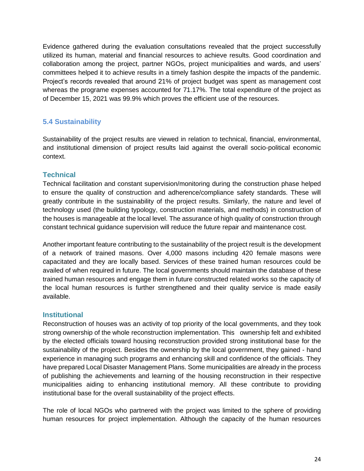Evidence gathered during the evaluation consultations revealed that the project successfully utilized its human, material and financial resources to achieve results. Good coordination and collaboration among the project, partner NGOs, project municipalities and wards, and users' committees helped it to achieve results in a timely fashion despite the impacts of the pandemic. Project's records revealed that around 21% of project budget was spent as management cost whereas the programe expenses accounted for 71.17%. The total expenditure of the project as of December 15, 2021 was 99.9% which proves the efficient use of the resources.

## <span id="page-35-0"></span>**5.4 Sustainability**

Sustainability of the project results are viewed in relation to technical, financial, environmental, and institutional dimension of project results laid against the overall socio-political economic context.

## **Technical**

Technical facilitation and constant supervision/monitoring during the construction phase helped to ensure the quality of construction and adherence/compliance safety standards. These will greatly contribute in the sustainability of the project results. Similarly, the nature and level of technology used (the building typology, construction materials, and methods) in construction of the houses is manageable at the local level. The assurance of high quality of construction through constant technical guidance supervision will reduce the future repair and maintenance cost.

Another important feature contributing to the sustainability of the project result is the development of a network of trained masons. Over 4,000 masons including 420 female masons were capacitated and they are locally based. Services of these trained human resources could be availed of when required in future. The local governments should maintain the database of these trained human resources and engage them in future constructed related works so the capacity of the local human resources is further strengthened and their quality service is made easily available.

## **Institutional**

Reconstruction of houses was an activity of top priority of the local governments, and they took strong ownership of the whole reconstruction implementation. This ownership felt and exhibited by the elected officials toward housing reconstruction provided strong institutional base for the sustainability of the project. Besides the ownership by the local government, they gained - hand experience in managing such programs and enhancing skill and confidence of the officials. They have prepared Local Disaster Management Plans. Some municipalities are already in the process of publishing the achievements and learning of the housing reconstruction in their respective municipalities aiding to enhancing institutional memory. All these contribute to providing institutional base for the overall sustainability of the project effects.

The role of local NGOs who partnered with the project was limited to the sphere of providing human resources for project implementation. Although the capacity of the human resources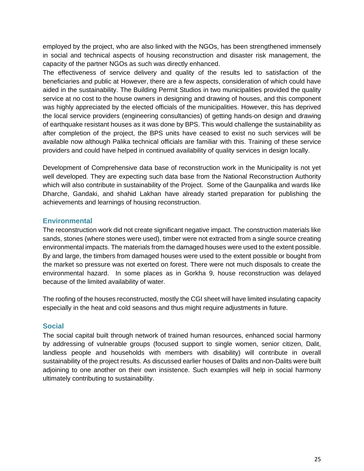employed by the project, who are also linked with the NGOs, has been strengthened immensely in social and technical aspects of housing reconstruction and disaster risk management, the capacity of the partner NGOs as such was directly enhanced.

The effectiveness of service delivery and quality of the results led to satisfaction of the beneficiaries and public at However, there are a few aspects, consideration of which could have aided in the sustainability. The Building Permit Studios in two municipalities provided the quality service at no cost to the house owners in designing and drawing of houses, and this component was highly appreciated by the elected officials of the municipalities. However, this has deprived the local service providers (engineering consultancies) of getting hands-on design and drawing of earthquake resistant houses as it was done by BPS. This would challenge the sustainability as after completion of the project, the BPS units have ceased to exist no such services will be available now although Palika technical officials are familiar with this. Training of these service providers and could have helped in continued availability of quality services in design locally.

Development of Comprehensive data base of reconstruction work in the Municipality is not yet well developed. They are expecting such data base from the National Reconstruction Authority which will also contribute in sustainability of the Project. Some of the Gaunpalika and wards like Dharche, Gandaki, and shahid Lakhan have already started preparation for publishing the achievements and learnings of housing reconstruction.

# **Environmental**

The reconstruction work did not create significant negative impact. The construction materials like sands, stones (where stones were used), timber were not extracted from a single source creating environmental impacts. The materials from the damaged houses were used to the extent possible. By and large, the timbers from damaged houses were used to the extent possible or bought from the market so pressure was not exerted on forest. There were not much disposals to create the environmental hazard. In some places as in Gorkha 9, house reconstruction was delayed because of the limited availability of water.

The roofing of the houses reconstructed, mostly the CGI sheet will have limited insulating capacity especially in the heat and cold seasons and thus might require adjustments in future.

## **Social**

The social capital built through network of trained human resources, enhanced social harmony by addressing of vulnerable groups (focused support to single women, senior citizen, Dalit, landless people and households with members with disability) will contribute in overall sustainability of the project results. As discussed earlier houses of Dalits and non-Dalits were built adjoining to one another on their own insistence. Such examples will help in social harmony ultimately contributing to sustainability.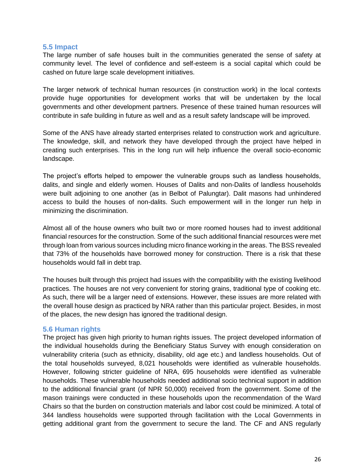#### **5.5 Impact**

The large number of safe houses built in the communities generated the sense of safety at community level. The level of confidence and self-esteem is a social capital which could be cashed on future large scale development initiatives.

The larger network of technical human resources (in construction work) in the local contexts provide huge opportunities for development works that will be undertaken by the local governments and other development partners. Presence of these trained human resources will contribute in safe building in future as well and as a result safety landscape will be improved.

Some of the ANS have already started enterprises related to construction work and agriculture. The knowledge, skill, and network they have developed through the project have helped in creating such enterprises. This in the long run will help influence the overall socio-economic landscape.

The project's efforts helped to empower the vulnerable groups such as landless households, dalits, and single and elderly women. Houses of Dalits and non-Dalits of landless households were built adjoining to one another (as in Belbot of Palungtar). Dalit masons had unhindered access to build the houses of non-dalits. Such empowerment will in the longer run help in minimizing the discrimination.

Almost all of the house owners who built two or more roomed houses had to invest additional financial resources for the construction. Some of the such additional financial resources were met through loan from various sources including micro finance working in the areas. The BSS revealed that 73% of the households have borrowed money for construction. There is a risk that these households would fall in debt trap.

The houses built through this project had issues with the compatibility with the existing livelihood practices. The houses are not very convenient for storing grains, traditional type of cooking etc. As such, there will be a larger need of extensions. However, these issues are more related with the overall house design as practiced by NRA rather than this particular project. Besides, in most of the places, the new design has ignored the traditional design.

#### **5.6 Human rights**

The project has given high priority to human rights issues. The project developed information of the individual households during the Beneficiary Status Survey with enough consideration on vulnerability criteria (such as ethnicity, disability, old age etc.) and landless households. Out of the total households surveyed, 8,021 households were identified as vulnerable households. However, following stricter guideline of NRA, 695 households were identified as vulnerable households. These vulnerable households needed additional socio technical support in addition to the additional financial grant (of NPR 50,000) received from the government. Some of the mason trainings were conducted in these households upon the recommendation of the Ward Chairs so that the burden on construction materials and labor cost could be minimized. A total of 344 landless households were supported through facilitation with the Local Governments in getting additional grant from the government to secure the land. The CF and ANS regularly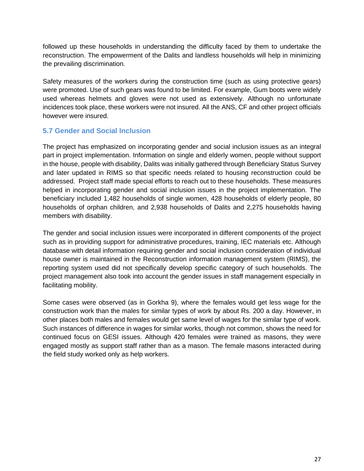followed up these households in understanding the difficulty faced by them to undertake the reconstruction. The empowerment of the Dalits and landless households will help in minimizing the prevailing discrimination.

Safety measures of the workers during the construction time (such as using protective gears) were promoted. Use of such gears was found to be limited. For example, Gum boots were widely used whereas helmets and gloves were not used as extensively. Although no unfortunate incidences took place, these workers were not insured. All the ANS, CF and other project officials however were insured.

# **5.7 Gender and Social Inclusion**

The project has emphasized on incorporating gender and social inclusion issues as an integral part in project implementation. Information on single and elderly women, people without support in the house, people with disability, Dalits was initially gathered through Beneficiary Status Survey and later updated in RIMS so that specific needs related to housing reconstruction could be addressed. Project staff made special efforts to reach out to these households. These measures helped in incorporating gender and social inclusion issues in the project implementation. The beneficiary included 1,482 households of single women, 428 households of elderly people, 80 households of orphan children, and 2,938 households of Dalits and 2,275 households having members with disability.

The gender and social inclusion issues were incorporated in different components of the project such as in providing support for administrative procedures, training, IEC materials etc. Although database with detail information requiring gender and social inclusion consideration of individual house owner is maintained in the Reconstruction information management system (RIMS), the reporting system used did not specifically develop specific category of such households. The project management also took into account the gender issues in staff management especially in facilitating mobility.

Some cases were observed (as in Gorkha 9), where the females would get less wage for the construction work than the males for similar types of work by about Rs. 200 a day. However, in other places both males and females would get same level of wages for the similar type of work. Such instances of difference in wages for similar works, though not common, shows the need for continued focus on GESI issues. Although 420 females were trained as masons, they were engaged mostly as support staff rather than as a mason. The female masons interacted during the field study worked only as help workers.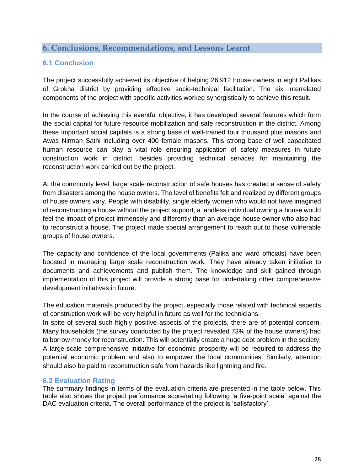# **6. Conclusions, Recommendations, and Lessons Learnt**

# **6.1 Conclusion**

The project successfully achieved its objective of helping 26,912 house owners in eight Palikas of Grokha district by providing effective socio-technical facilitation. The six interrelated components of the project with specific activities worked synergistically to achieve this result.

In the course of achieving this eventful objective, it has developed several features which form the social capital for future resource mobilization and safe reconstruction in the district. Among these important social capitals is a strong base of well-trained four thousand plus masons and Awas Nirman Sathi including over 400 female masons. This strong base of well capacitated human resource can play a vital role ensuring application of safety measures in future construction work in district, besides providing technical services for maintaining the reconstruction work carried out by the project.

At the community level, large scale reconstruction of safe houses has created a sense of safety from disasters among the house owners. The level of benefits felt and realized by different groups of house owners vary. People with disability, single elderly women who would not have imagined of reconstructing a house without the project support, a landless individual owning a house would feel the impact of project immensely and differently than an average house owner who also had to reconstruct a house. The project made special arrangement to reach out to those vulnerable groups of house owners.

The capacity and confidence of the local governments (Palika and ward officials) have been boosted in managing large scale reconstruction work. They have already taken initiative to documents and achievements and publish them. The knowledge and skill gained through implementation of this project will provide a strong base for undertaking other comprehensive development initiatives in future.

The education materials produced by the project, especially those related with technical aspects of construction work will be very helpful in future as well for the technicians.

In spite of several such highly positive aspects of the projects, there are of potential concern. Many households (the survey conducted by the project revealed 73% of the house owners) had to borrow money for reconstruction. This will potentially create a huge debt problem in the society. A large-scale comprehensive initiative for economic prosperity will be required to address the potential economic problem and also to empower the local communities. Similarly, attention should also be paid to reconstruction safe from hazards like lightning and fire.

#### **6.2 Evaluation Rating**

The summary findings in terms of the evaluation criteria are presented in the table below. This table also shows the project performance score/rating following 'a five-point scale' against the DAC evaluation criteria. The overall performance of the project is 'satisfactory'.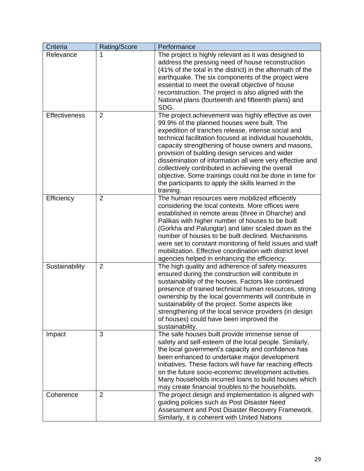| Criteria             | Rating/Score   | Performance                                                                                                                                                                                                                                                                                                                                                                                                                                                                                                                                                                    |
|----------------------|----------------|--------------------------------------------------------------------------------------------------------------------------------------------------------------------------------------------------------------------------------------------------------------------------------------------------------------------------------------------------------------------------------------------------------------------------------------------------------------------------------------------------------------------------------------------------------------------------------|
| Relevance            | 1              | The project is highly relevant as it was designed to<br>address the pressing need of house reconstruction<br>(41% of the total in the district) in the aftermath of the<br>earthquake. The six components of the project were<br>essential to meet the overall objective of house<br>reconstruction. The project is also aligned with the<br>National plans (fourteenth and fifteenth plans) and<br>SDG.                                                                                                                                                                       |
| <b>Effectiveness</b> | 2              | The project achievement was highly effective as over<br>99.9% of the planned houses were built. The<br>expedition of tranches release, intense social and<br>technical facilitation focused at individual households,<br>capacity strengthening of house owners and masons,<br>provision of building design services and wider<br>dissemination of information all were very effective and<br>collectively contributed in achieving the overall<br>objective. Some trainings could not be done in time for<br>the participants to apply the skills learned in the<br>training. |
| Efficiency           | 2              | The human resources were mobilized efficiently<br>considering the local contexts. More offices were<br>established in remote areas (three in Dharche) and<br>Palikas with higher number of houses to be built<br>(Gorkha and Palungtar) and later scaled down as the<br>number of houses to be built declined. Mechanisms<br>were set to constant monitoring of field issues and staff<br>mobilization. Effective coordination with district level<br>agencies helped in enhancing the efficiency.                                                                             |
| Sustainability       | $\overline{2}$ | The high quality and adherence of safety measures<br>ensured during the construction will contribute in<br>sustainability of the houses. Factors like continued<br>presence of trained technical human resources, strong<br>ownership by the local governments will contribute in<br>sustainability of the project. Some aspects like<br>strengthening of the local service providers (in design<br>of houses) could have been improved the<br>sustainability.                                                                                                                 |
| Impact               | 3              | The safe houses built provide immense sense of<br>safety and self-esteem of the local people. Similarly,<br>the local government's capacity and confidence has<br>been enhanced to undertake major development<br>initiatives. These factors will have far reaching effects<br>on the future socio-economic development activities.<br>Many households incurred loans to build houses which<br>may create financial troubles to the households.                                                                                                                                |
| Coherence            | 2              | The project design and implementation is aligned with<br>guiding policies such as Post Disaster Need<br>Assessment and Post Disaster Recovery Framework.<br>Similarly, it is coherent with United Nations                                                                                                                                                                                                                                                                                                                                                                      |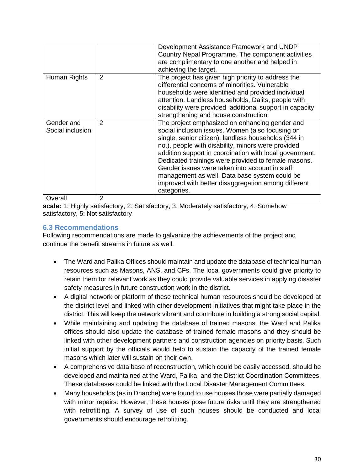|                                |   | Development Assistance Framework and UNDP<br>Country Nepal Programme. The component activities<br>are complimentary to one another and helped in<br>achieving the target.                                                                                                                                                                                                                                                                                                                                   |
|--------------------------------|---|-------------------------------------------------------------------------------------------------------------------------------------------------------------------------------------------------------------------------------------------------------------------------------------------------------------------------------------------------------------------------------------------------------------------------------------------------------------------------------------------------------------|
| Human Rights                   | 2 | The project has given high priority to address the<br>differential concerns of minorities. Vulnerable<br>households were identified and provided individual<br>attention. Landless households, Dalits, people with<br>disability were provided additional support in capacity<br>strengthening and house construction.                                                                                                                                                                                      |
| Gender and<br>Social inclusion | 2 | The project emphasized on enhancing gender and<br>social inclusion issues. Women (also focusing on<br>single, senior citizen), landless households (344 in<br>no.), people with disability, minors were provided<br>addition support in coordination with local government.<br>Dedicated trainings were provided to female masons.<br>Gender issues were taken into account in staff<br>management as well. Data base system could be<br>improved with better disaggregation among different<br>categories. |
| Overall                        | 2 |                                                                                                                                                                                                                                                                                                                                                                                                                                                                                                             |

**scale:** 1: Highly satisfactory, 2: Satisfactory, 3: Moderately satisfactory, 4: Somehow satisfactory, 5: Not satisfactory

# **6.3 Recommendations**

Following recommendations are made to galvanize the achievements of the project and continue the benefit streams in future as well.

- The Ward and Palika Offices should maintain and update the database of technical human resources such as Masons, ANS, and CFs. The local governments could give priority to retain them for relevant work as they could provide valuable services in applying disaster safety measures in future construction work in the district.
- A digital network or platform of these technical human resources should be developed at the district level and linked with other development initiatives that might take place in the district. This will keep the network vibrant and contribute in building a strong social capital.
- While maintaining and updating the database of trained masons, the Ward and Palika offices should also update the database of trained female masons and they should be linked with other development partners and construction agencies on priority basis. Such initial support by the officials would help to sustain the capacity of the trained female masons which later will sustain on their own.
- A comprehensive data base of reconstruction, which could be easily accessed, should be developed and maintained at the Ward, Palika, and the District Coordination Committees. These databases could be linked with the Local Disaster Management Committees.
- Many households (as in Dharche) were found to use houses those were partially damaged with minor repairs. However, these houses pose future risks until they are strengthened with retrofitting. A survey of use of such houses should be conducted and local governments should encourage retrofitting.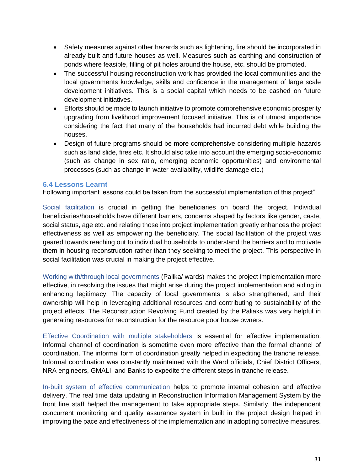- Safety measures against other hazards such as lightening, fire should be incorporated in already built and future houses as well. Measures such as earthing and construction of ponds where feasible, filling of pit holes around the house, etc. should be promoted.
- The successful housing reconstruction work has provided the local communities and the local governments knowledge, skills and confidence in the management of large scale development initiatives. This is a social capital which needs to be cashed on future development initiatives.
- Efforts should be made to launch initiative to promote comprehensive economic prosperity upgrading from livelihood improvement focused initiative. This is of utmost importance considering the fact that many of the households had incurred debt while building the houses.
- Design of future programs should be more comprehensive considering multiple hazards such as land slide, fires etc. It should also take into account the emerging socio-economic (such as change in sex ratio, emerging economic opportunities) and environmental processes (such as change in water availability, wildlife damage etc.)

### **6.4 Lessons Learnt**

Following important lessons could be taken from the successful implementation of this project"

Social facilitation is crucial in getting the beneficiaries on board the project. Individual beneficiaries/households have different barriers, concerns shaped by factors like gender, caste, social status, age etc. and relating those into project implementation greatly enhances the project effectiveness as well as empowering the beneficiary. The social facilitation of the project was geared towards reaching out to individual households to understand the barriers and to motivate them in housing reconstruction rather than they seeking to meet the project. This perspective in social facilitation was crucial in making the project effective.

Working with/through local governments (Palika/ wards) makes the project implementation more effective, in resolving the issues that might arise during the project implementation and aiding in enhancing legitimacy. The capacity of local governments is also strengthened, and their ownership will help in leveraging additional resources and contributing to sustainability of the project effects. The Reconstruction Revolving Fund created by the Paliaks was very helpful in generating resources for reconstruction for the resource poor house owners.

Effective Coordination with multiple stakeholders is essential for effective implementation. Informal channel of coordination is sometime even more effective than the formal channel of coordination. The informal form of coordination greatly helped in expediting the tranche release. Informal coordination was constantly maintained with the Ward officials, Chief District Officers, NRA engineers, GMALI, and Banks to expedite the different steps in tranche release.

In-built system of effective communication helps to promote internal cohesion and effective delivery. The real time data updating in Reconstruction Information Management System by the front line staff helped the management to take appropriate steps. Similarly, the independent concurrent monitoring and quality assurance system in built in the project design helped in improving the pace and effectiveness of the implementation and in adopting corrective measures.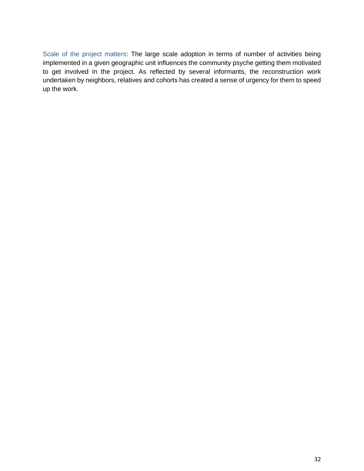Scale of the project matters: The large scale adoption in terms of number of activities being implemented in a given geographic unit influences the community psyche getting them motivated to get involved in the project. As reflected by several informants, the reconstruction work undertaken by neighbors, relatives and cohorts has created a sense of urgency for them to speed up the work.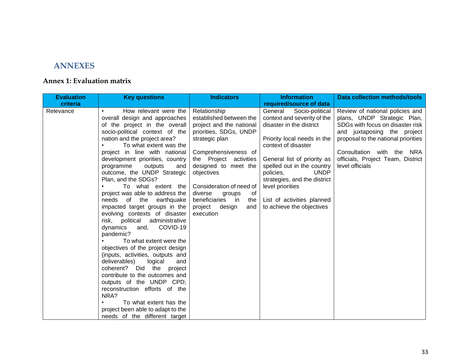# **ANNEXES**

## **Annex 1: Evaluation matrix**

| How relevant were the<br>overall design and approaches                                                                                                                                                                                                                                                                                                                                                                                                                                                                                                                                                                                                                                                                                                                                                                                                                          | Relationship                                                                                                                                                                                                                                                                                                             | required/source of data                                                                                                                                                                                                                                                                                                                             |                                                                                                                                                                                                                                                               |
|---------------------------------------------------------------------------------------------------------------------------------------------------------------------------------------------------------------------------------------------------------------------------------------------------------------------------------------------------------------------------------------------------------------------------------------------------------------------------------------------------------------------------------------------------------------------------------------------------------------------------------------------------------------------------------------------------------------------------------------------------------------------------------------------------------------------------------------------------------------------------------|--------------------------------------------------------------------------------------------------------------------------------------------------------------------------------------------------------------------------------------------------------------------------------------------------------------------------|-----------------------------------------------------------------------------------------------------------------------------------------------------------------------------------------------------------------------------------------------------------------------------------------------------------------------------------------------------|---------------------------------------------------------------------------------------------------------------------------------------------------------------------------------------------------------------------------------------------------------------|
|                                                                                                                                                                                                                                                                                                                                                                                                                                                                                                                                                                                                                                                                                                                                                                                                                                                                                 |                                                                                                                                                                                                                                                                                                                          |                                                                                                                                                                                                                                                                                                                                                     |                                                                                                                                                                                                                                                               |
| of the project in the overall<br>socio-political context of the<br>nation and the project area?<br>To what extent was the<br>project in line with national<br>development priorities, country<br>programme<br>outputs<br>and<br>outcome, the UNDP Strategic<br>Plan, and the SDGs?<br>To what extent the<br>project was able to address the<br>of the earthquake<br>needs<br>impacted target groups in the<br>evolving contexts of disaster<br>political<br>administrative<br>risk.<br>COVID-19<br>dynamics<br>and,<br>pandemic?<br>To what extent were the<br>objectives of the project design<br>(inputs, activities, outputs and<br>deliverables)<br>logical<br>and<br>coherent? Did<br>the<br>project<br>contribute to the outcomes and<br>outputs of the UNDP CPD;<br>reconstruction efforts of the<br>NRA?<br>To what extent has the<br>project been able to adapt to the | established between the<br>project and the national<br>priorities, SDGs, UNDP<br>strategic plan<br>Comprehensiveness of<br>the Project activities<br>designed to meet the<br>objectives<br>Consideration of need of<br>diverse<br>groups<br>of<br>beneficiaries<br>in in<br>the<br>project<br>design<br>and<br>execution | General<br>Socio-political<br>context and severity of the<br>disaster in the district<br>Priority local needs in the<br>context of disaster<br>General list of priority as<br>spelled out in the country<br><b>UNDP</b><br>policies,<br>strategies, and the district<br>level priorities<br>List of activities planned<br>to achieve the objectives | Review of national policies and<br>plans, UNDP Strategic Plan,<br>SDGs with focus on disaster risk<br>and juxtaposing the project<br>proposal to the national priorities<br>Consultation with the NRA<br>officials, Project Team, District<br>level officials |
|                                                                                                                                                                                                                                                                                                                                                                                                                                                                                                                                                                                                                                                                                                                                                                                                                                                                                 | needs of the different target                                                                                                                                                                                                                                                                                            |                                                                                                                                                                                                                                                                                                                                                     |                                                                                                                                                                                                                                                               |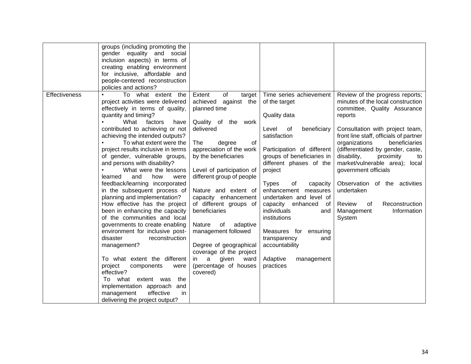| minutes of the local construction<br>project activities were delivered<br>achieved<br>against the<br>of the target<br>effectively in terms of quality,<br>planned time<br>committee, Quality Assurance<br>quantity and timing?<br>Quality data<br>reports<br>What<br>factors<br>Quality of the work<br>have<br>contributed to achieving or not<br>delivered<br>Level<br>of<br>beneficiary<br>Consultation with project team,<br>achieving the intended outputs?<br>satisfaction<br>To what extent were the<br>organizations<br>The<br>beneficiaries<br>degree<br>0f<br>appreciation of the work<br>project results inclusive in terms<br>Participation of different<br>(differentiated by gender, caste,<br>groups of beneficiaries in<br>of gender, vulnerable groups,<br>by the beneficiaries<br>disability,<br>proximity<br>to<br>market/vulnerable area); local<br>and persons with disability?<br>different phases of the<br>What were the lessons<br>Level of participation of<br>project<br>government officials<br>different group of people<br>learned<br>and<br>how<br>were<br>feedback/learning incorporated<br>Observation of the activities<br><b>Types</b><br>of<br>capacity<br>in the subsequent process of<br>Nature and extent of<br>enhancement measures<br>undertaken<br>planning and implementation?<br>capacity enhancement<br>undertaken and level of<br>of different groups of<br>How effective has the project<br>Reconstruction<br>capacity enhanced<br>Review<br>of<br>of<br>beneficiaries<br>individuals<br>been in enhancing the capacity<br>Management<br>Information<br>and<br>of the communities and local<br>institutions<br>System<br>governments to create enabling<br>Nature<br>of<br>adaptive<br>management followed<br>environment for inclusive post-<br>Measures for<br>ensuring<br>disaster<br>reconstruction<br>transparency<br>and<br>Degree of geographical<br>accountability<br>management?<br>coverage of the project<br>To what extent the different<br>a a<br>given<br>ward<br>Adaptive<br>management<br>in.<br>(percentage of houses<br>project<br>practices<br>components<br>were<br>effective?<br>covered)<br>To what extent was<br>the |                      | groups (including promoting the<br>gender equality and social<br>inclusion aspects) in terms of<br>creating enabling environment<br>for inclusive, affordable and<br>people-centered reconstruction<br>policies and actions? |                        |                         |                                                                           |
|-------------------------------------------------------------------------------------------------------------------------------------------------------------------------------------------------------------------------------------------------------------------------------------------------------------------------------------------------------------------------------------------------------------------------------------------------------------------------------------------------------------------------------------------------------------------------------------------------------------------------------------------------------------------------------------------------------------------------------------------------------------------------------------------------------------------------------------------------------------------------------------------------------------------------------------------------------------------------------------------------------------------------------------------------------------------------------------------------------------------------------------------------------------------------------------------------------------------------------------------------------------------------------------------------------------------------------------------------------------------------------------------------------------------------------------------------------------------------------------------------------------------------------------------------------------------------------------------------------------------------------------------------------------------------------------------------------------------------------------------------------------------------------------------------------------------------------------------------------------------------------------------------------------------------------------------------------------------------------------------------------------------------------------------------------------------------------------------------------------------------------------------------------------------------------------------|----------------------|------------------------------------------------------------------------------------------------------------------------------------------------------------------------------------------------------------------------------|------------------------|-------------------------|---------------------------------------------------------------------------|
| and<br>effective<br>in<br>management<br>delivering the project output?                                                                                                                                                                                                                                                                                                                                                                                                                                                                                                                                                                                                                                                                                                                                                                                                                                                                                                                                                                                                                                                                                                                                                                                                                                                                                                                                                                                                                                                                                                                                                                                                                                                                                                                                                                                                                                                                                                                                                                                                                                                                                                                    | <b>Effectiveness</b> | To what extent the<br>implementation approach                                                                                                                                                                                | of<br>Extent<br>target | Time series achievement | Review of the progress reports;<br>front line staff, officials of partner |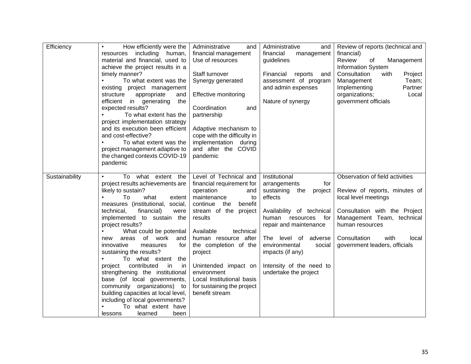| Efficiency     | How efficiently were the<br>$\bullet$<br>including human,<br>resources<br>material and financial, used to<br>achieve the project results in a<br>timely manner?<br>To what extent was the<br>existing project management<br>appropriate<br>structure<br>and<br>efficient<br>in generating<br>the<br>expected results?<br>To what extent has the<br>project implementation strategy<br>and its execution been efficient<br>and cost-effective?<br>To what extent was the<br>project management adaptive to<br>the changed contexts COVID-19<br>pandemic                                                                                                                              | Administrative<br>and<br>financial management<br>Use of resources<br>Staff turnover<br>Synergy generated<br><b>Effective monitoring</b><br>Coordination<br>and<br>partnership<br>Adaptive mechanism to<br>cope with the difficulty in<br>implementation during<br>and after the COVID<br>pandemic                                                                        | Administrative<br>and<br>financial<br>management<br>guidelines<br>Financial<br>reports<br>and<br>assessment of program<br>and admin expenses<br>Nature of synergy                                                                                                                               | Review of reports (technical and<br>financial)<br>Review<br>Management<br>οf<br><b>Information System</b><br>Consultation<br>with<br>Project<br>Management<br>Team;<br>Partner<br>Implementing<br>organizations;<br>Local<br>government officials |
|----------------|-------------------------------------------------------------------------------------------------------------------------------------------------------------------------------------------------------------------------------------------------------------------------------------------------------------------------------------------------------------------------------------------------------------------------------------------------------------------------------------------------------------------------------------------------------------------------------------------------------------------------------------------------------------------------------------|--------------------------------------------------------------------------------------------------------------------------------------------------------------------------------------------------------------------------------------------------------------------------------------------------------------------------------------------------------------------------|-------------------------------------------------------------------------------------------------------------------------------------------------------------------------------------------------------------------------------------------------------------------------------------------------|---------------------------------------------------------------------------------------------------------------------------------------------------------------------------------------------------------------------------------------------------|
| Sustainability | To what extent the<br>$\bullet$<br>project results achievements are<br>likely to sustain?<br>To<br>what<br>extent<br>measures (institutional, social,<br>technical,<br>financial)<br>were<br>implemented to sustain the<br>project results?<br>What could be potential<br>$\bullet$<br>of<br>work<br>areas<br>and<br>new<br>innovative<br>measures<br>for<br>sustaining the results?<br>To what extent<br>the<br>contributed<br>in<br>project<br>in<br>strengthening the institutional<br>base (of local governments,<br>community organizations) to<br>building capacities at local level,<br>including of local governments?<br>To what extent have<br>lessons<br>learned<br>been | Level of Technical and<br>financial requirement for<br>operation<br>and<br>maintenance<br>to<br>continue<br>the<br>benefit<br>stream of the project<br>results<br>Available<br>technical<br>human resource after<br>the completion of the<br>project<br>Unintended impact on<br>environment<br>Local Institutional basis<br>for sustaining the project<br>benefit stream | Institutional<br>arrangements<br>for<br>sustaining<br>the<br>project<br>effects<br>Availability of technical<br>human<br>resources<br>for<br>repair and maintenance<br>The level of adverse<br>environmental<br>social<br>impacts (if any)<br>Intensity of the need to<br>undertake the project | Observation of field activities<br>Review of reports, minutes of<br>local level meetings<br>Consultation with the Project<br>Management Team, technical<br>human resources<br>Consultation<br>with<br>local<br>government leaders, officials      |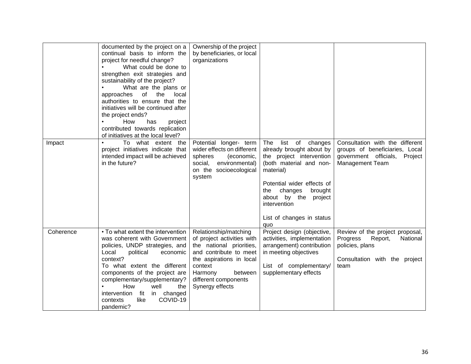|           | documented by the project on a<br>continual basis to inform the<br>project for needful change?<br>What could be done to<br>strengthen exit strategies and<br>sustainability of the project?<br>What are the plans or<br>of<br>the<br>approaches<br>local<br>authorities to ensure that the<br>initiatives will be continued after<br>the project ends?<br>How<br>project<br>has<br>$\bullet$<br>contributed towards replication<br>of initiatives at the local level? | Ownership of the project<br>by beneficiaries, or local<br>organizations                                                                                                                                           |                                                                                                                                                                                                                                                                     |                                                                                                                                |
|-----------|-----------------------------------------------------------------------------------------------------------------------------------------------------------------------------------------------------------------------------------------------------------------------------------------------------------------------------------------------------------------------------------------------------------------------------------------------------------------------|-------------------------------------------------------------------------------------------------------------------------------------------------------------------------------------------------------------------|---------------------------------------------------------------------------------------------------------------------------------------------------------------------------------------------------------------------------------------------------------------------|--------------------------------------------------------------------------------------------------------------------------------|
| Impact    | To what extent the<br>project initiatives indicate that<br>intended impact will be achieved<br>in the future?                                                                                                                                                                                                                                                                                                                                                         | Potential longer- term<br>wider effects on different<br>spheres<br>(economic,<br>social, environmental)<br>on the socioecological<br>system                                                                       | The<br>list<br>of<br>changes<br>already brought about by<br>the project intervention<br>(both material and non-<br>material)<br>Potential wider effects of<br>changes<br>brought<br>the<br>about by the project<br>intervention<br>List of changes in status<br>quo | Consultation with the different<br>groups of beneficiaries, Local<br>government officials,<br>Project<br>Management Team       |
| Coherence | • To what extent the intervention<br>was coherent with Government<br>policies, UNDP strategies, and<br>Local<br>political<br>economic<br>context?<br>To what extent the different<br>components of the project are<br>complementary/supplementary?<br>How<br>well<br>the<br>intervention<br>fit<br>in changed<br>like<br>COVID-19<br>contexts<br>pandemic?                                                                                                            | Relationship/matching<br>of project activities with<br>the national priorities,<br>and contribute to meet<br>the aspirations in local<br>context<br>Harmony<br>between<br>different components<br>Synergy effects | Project design (objective,<br>activities, implementation<br>arrangement) contribution<br>in meeting objectives<br>List of complementary/<br>supplementary effects                                                                                                   | Review of the project proposal,<br>Progress<br>Report,<br>National<br>policies, plans<br>Consultation with the project<br>team |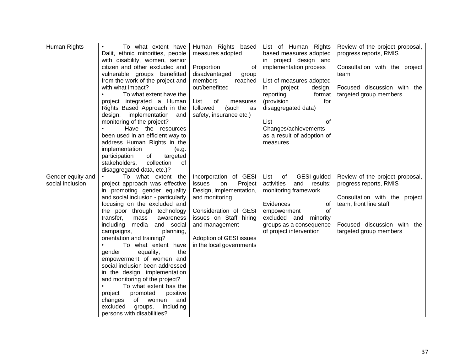| Human Rights      | To what extent have<br>$\bullet$                     | Human Rights based            | List of Human Rights                 | Review of the project proposal, |
|-------------------|------------------------------------------------------|-------------------------------|--------------------------------------|---------------------------------|
|                   | Dalit, ethnic minorities, people                     | measures adopted              | based measures adopted               | progress reports, RMIS          |
|                   | with disability, women, senior                       |                               | in project design and                |                                 |
|                   | citizen and other excluded and                       | Proportion<br>of              | implementation process               | Consultation with the project   |
|                   | vulnerable groups benefitted                         | disadvantaged<br>group        |                                      | team                            |
|                   | from the work of the project and                     | members<br>reached            | List of measures adopted             |                                 |
|                   | with what impact?                                    | out/benefitted                | in<br>project<br>design,             | Focused discussion with the     |
|                   | To what extent have the<br>$\bullet$                 |                               | reporting<br>format                  | targeted group members          |
|                   | project integrated a Human                           | List<br>0f<br>measures        | (provision<br>for                    |                                 |
|                   | Rights Based Approach in the                         | followed<br>(such<br>as       | disaggregated data)                  |                                 |
|                   | design, implementation<br>and                        | safety, insurance etc.)       |                                      |                                 |
|                   | monitoring of the project?                           |                               | List<br>οf                           |                                 |
|                   | Have the resources                                   |                               | Changes/achievements                 |                                 |
|                   | been used in an efficient way to                     |                               | as a result of adoption of           |                                 |
|                   | address Human Rights in the                          |                               | measures                             |                                 |
|                   | implementation<br>(e.g.                              |                               |                                      |                                 |
|                   | participation<br>of                                  |                               |                                      |                                 |
|                   | targeted<br>stakeholders,<br>collection<br>0f        |                               |                                      |                                 |
|                   | disaggregated data, etc.)?                           |                               |                                      |                                 |
| Gender equity and | $\bullet$ .<br>To what extent the                    | Incorporation of GESI         | List<br>of<br>GESI-guided            | Review of the project proposal, |
| social inclusion  | project approach was effective                       | issues<br>Project             | and<br>activities<br>results;        | progress reports, RMIS          |
|                   | in promoting gender equality                         | on<br>Design, implementation, | monitoring framework                 |                                 |
|                   | and social inclusion - particularly                  | and monitoring                |                                      | Consultation with the project   |
|                   | focusing on the excluded and                         |                               | Evidences<br>0f                      | team, front line staff          |
|                   | the poor through technology                          | Consideration of GESI         | of                                   |                                 |
|                   | transfer,<br>mass<br>awareness                       | issues on Staff hiring        | empowerment<br>excluded and minority |                                 |
|                   | including media<br>and social                        | and management                | groups as a consequence              | Focused discussion with the     |
|                   |                                                      |                               | of project intervention              | targeted group members          |
|                   | campaigns,<br>planning,<br>orientation and training? | Adoption of GESI issues       |                                      |                                 |
|                   | To what extent have                                  | in the local governments      |                                      |                                 |
|                   | equality,<br>the<br>gender                           |                               |                                      |                                 |
|                   | empowerment of women and                             |                               |                                      |                                 |
|                   | social inclusion been addressed                      |                               |                                      |                                 |
|                   | in the design, implementation                        |                               |                                      |                                 |
|                   | and monitoring of the project?                       |                               |                                      |                                 |
|                   | To what extent has the<br>$\bullet$                  |                               |                                      |                                 |
|                   | promoted<br>positive<br>project                      |                               |                                      |                                 |
|                   | changes<br>of<br>women<br>and                        |                               |                                      |                                 |
|                   | excluded<br>including                                |                               |                                      |                                 |
|                   | groups,                                              |                               |                                      |                                 |
|                   | persons with disabilities?                           |                               |                                      |                                 |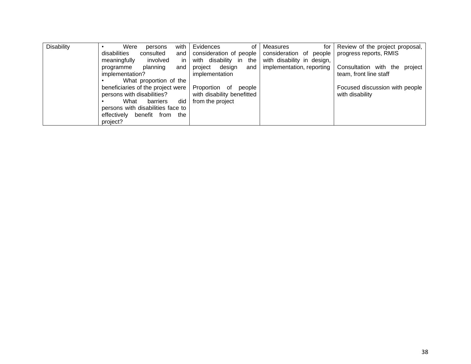| <b>Disability</b> | with<br>Were<br>persons           | Evidences<br>οf                     | Measures<br>for I          | Review of the project proposal, |
|-------------------|-----------------------------------|-------------------------------------|----------------------------|---------------------------------|
|                   | disabilities<br>consulted<br>and  | consideration of people             | consideration of people    | progress reports, RMIS          |
|                   | meaningfully<br>involved          | in.<br>with disability<br>the<br>in | with disability in design, |                                 |
|                   | planning<br>programme<br>and      | design<br>project<br>and            | implementation, reporting  | Consultation with the project   |
|                   | implementation?                   | implementation                      |                            | team, front line staff          |
|                   | What proportion of the            |                                     |                            |                                 |
|                   | beneficiaries of the project were | Proportion of<br>people             |                            | Focused discussion with people  |
|                   | persons with disabilities?        | with disability benefitted          |                            | with disability                 |
|                   | What<br>barriers                  | did<br>from the project             |                            |                                 |
|                   | persons with disabilities face to |                                     |                            |                                 |
|                   | effectively<br>benefit from the   |                                     |                            |                                 |
|                   | project?                          |                                     |                            |                                 |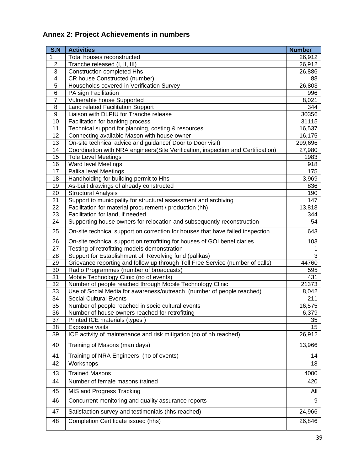# **Annex 2: Project Achievements in numbers**

| S.N | <b>Activities</b>                                                                | <b>Number</b> |
|-----|----------------------------------------------------------------------------------|---------------|
| 1   | Total houses reconstructed                                                       | 26,912        |
| 2   | Tranche released (I, II, III)                                                    | 26,912        |
| 3   | <b>Construction completed Hhs</b>                                                | 26,886        |
| 4   | CR house Constructed (number)                                                    | 88            |
| 5   | Households covered in Verification Survey                                        | 26,803        |
| 6   | PA sign Facilitation                                                             | 996           |
| 7   | Vulnerable house Supported                                                       | 8,021         |
| 8   | Land related Facilitation Support                                                | 344           |
| 9   | Liaison with DLPIU for Tranche release                                           | 30356         |
| 10  | Facilitation for banking process                                                 | 31115         |
| 11  | Technical support for planning, costing & resources                              | 16,537        |
| 12  | Connecting available Mason with house owner                                      | 16,175        |
| 13  | On-site technical advice and guidance( Door to Door visit)                       | 299,696       |
| 14  | Coordination with NRA engineers(Site Verification, inspection and Certification) | 27,980        |
| 15  | <b>Tole Level Meetings</b>                                                       | 1983          |
| 16  | Ward level Meetings                                                              | 918           |
| 17  | Palika level Meetings                                                            | 175           |
| 18  | Handholding for building permit to Hhs                                           | 3,969         |
| 19  | As-built drawings of already constructed                                         | 836           |
| 20  | Structural Analysis                                                              | 190           |
| 21  | Support to municipality for structural assessment and archiving                  | 147           |
| 22  | Facilitation for material procurement / production (hh)                          | 13,818        |
| 23  | Facilitation for land, if needed                                                 | 344           |
| 24  | Supporting house owners for relocation and subsequently reconstruction           | 54            |
| 25  | On-site technical support on correction for houses that have failed inspection   | 643           |
| 26  | On-site technical support on retrofitting for houses of GOI beneficiaries        | 103           |
| 27  | Testing of retrofitting models demonstration                                     |               |
| 28  | Support for Establishment of Revolving fund (palikas)                            | 3             |
| 29  | Grievance reporting and follow up through Toll Free Service (number of calls)    | 44760         |
| 30  | Radio Programmes (number of broadcasts)                                          | 595           |
| 31  | Mobile Technology Clinic (no of events)                                          | 431           |
| 32  | Number of people reached through Mobile Technology Clinic                        | 21373         |
| 33  | Use of Social Media for awareness/outreach (number of people reached)            | 8,042         |
| 34  | <b>Social Cultural Events</b>                                                    | 211           |
| 35  | Number of people reached in socio cultural events                                | 16,575        |
| 36  | Number of house owners reached for retrofitting                                  | 6,379         |
| 37  | Printed ICE materials (types)                                                    | 35            |
| 38  | <b>Exposure visits</b>                                                           | 15            |
| 39  | ICE activity of maintenance and risk mitigation (no of hh reached)               | 26,912        |
| 40  | Training of Masons (man days)                                                    | 13,966        |
| 41  | Training of NRA Engineers (no of events)                                         | 14            |
| 42  | Workshops                                                                        | 18            |
| 43  | <b>Trained Masons</b>                                                            | 4000          |
| 44  | Number of female masons trained                                                  | 420           |
| 45  | MIS and Progress Tracking                                                        | All           |
| 46  | Concurrent monitoring and quality assurance reports                              | 9             |
| 47  | Satisfaction survey and testimonials (hhs reached)                               | 24,966        |
| 48  | Completion Certificate issued (hhs)                                              | 26,846        |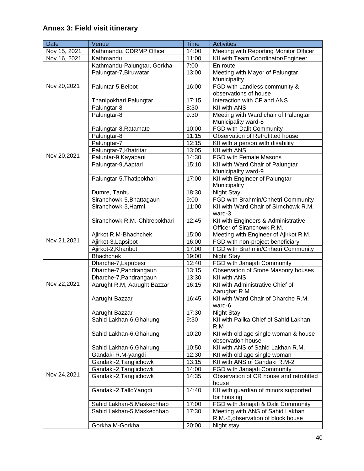# **Annex 3: Field visit itinerary**

| <b>Date</b>  | Venue                                        | <b>Time</b> | <b>Activities</b>                                                      |
|--------------|----------------------------------------------|-------------|------------------------------------------------------------------------|
| Nov 15, 2021 | Kathmandu, CDRMP Office                      | 14:00       | Meeting with Reporting Monitor Officer                                 |
| Nov 16, 2021 | Kathmandu                                    | 11:00       | KII with Team Coordinator/Engineer                                     |
|              | Kathmandu-Palungtar, Gorkha                  | 7:00        | En route                                                               |
|              | Palungtar-7, Biruwatar                       | 13:00       | Meeting with Mayor of Palungtar                                        |
|              |                                              |             | Municipality                                                           |
| Nov 20,2021  | Paluntar-5, Belbot                           | 16:00       | FGD with Landless community &                                          |
|              |                                              |             | observations of house                                                  |
|              | Thanipokhari, Palungtar                      | 17:15       | Interaction with CF and ANS                                            |
|              | Palungtar-8                                  | 8:30        | KII with ANS                                                           |
|              | Palungtar-8                                  | 9:30        | Meeting with Ward chair of Palungtar                                   |
|              |                                              |             | Municipality ward-8                                                    |
|              | Palungtar-8, Ratamate                        | 10:00       | FGD with Dalit Community                                               |
|              | Palungtar-8                                  | 11:15       | Observation of Retrofitted house                                       |
|              | Palungtar-7                                  | 12:15       | KII with a person with disability                                      |
|              | Palungtar-7, Khatritar                       | 13:05       | <b>KII with ANS</b>                                                    |
| Nov 20,2021  | Paluntar-9, Kayapani                         | 14:30       | FGD with Female Masons                                                 |
|              | Palungtar-9, Aaptari                         | 15:10       | KII with Ward Chair of Palungtar                                       |
|              |                                              |             | Municipality ward-9                                                    |
|              | Palungtar-5, Thatipokhari                    | 17:00       | KII with Engineer of Palungtar                                         |
|              |                                              |             | Municipality                                                           |
|              | Dumre, Tanhu                                 | 18:30       | <b>Night Stay</b>                                                      |
|              | Siranchowk-5, Bhattagaun                     | 9:00        | FGD with Brahmin/Chhetri Community                                     |
|              | Siranchowk-3, Harmi                          | 11:00       | KII with Ward Chair of Sirnchowk R.M.                                  |
|              |                                              |             | ward-3                                                                 |
|              | Siranchowk R.M.-Chitrepokhari                | 12:45       | KII with Engineers & Administrative                                    |
|              |                                              | 15:00       | Officer of Siranchowk R.M.                                             |
| Nov 21,2021  | Ajirkot R.M-Bhachchek<br>Ajirkot-3, Lapsibot | 16:00       | Meeting with Engineer of Ajirkot R.M.                                  |
|              | Ajirkot-2, Kharibot                          | 17:00       | FGD with non-project beneficiary<br>FGD with Brahmin/Chhetri Community |
|              | Bhachchek                                    | 19:00       | Night Stay                                                             |
|              | Dharche-7, Lapubesi                          | 12:40       | FGD with Janajati Community                                            |
|              | Dharche-7, Pandrangaun                       | 13:15       | Observation of Stone Masonry houses                                    |
|              | Dharche-7, Pandrangaun                       | 13:30       | <b>KII with ANS</b>                                                    |
| Nov 22,2021  | Aarught R.M, Aarught Bazzar                  | 16:15       | KII with Administrative Chief of                                       |
|              |                                              |             | Aarughat R.M                                                           |
|              | Aarught Bazzar                               | 16:45       | KII with Ward Chair of Dharche R.M.                                    |
|              |                                              |             | ward-6                                                                 |
|              | Aarught Bazzar                               | 17:30       | <b>Night Stay</b>                                                      |
|              | Sahid Lakhan-6, Ghairung                     | 9:30        | KII with Palika Chief of Sahid Lakhan                                  |
|              |                                              |             | R.M                                                                    |
|              | Sahid Lakhan-6, Ghairung                     | 10:20       | KII with old age single woman & house                                  |
|              |                                              |             | observation house                                                      |
|              | Sahid Lakhan-6, Ghairung                     | 10:50       | KII with ANS of Sahid Lakhan R.M.                                      |
|              | Gandaki R.M-yangdi                           | 12:30       | KII with old age single woman                                          |
|              | Gandaki-2, Tanglichowk                       | 13:15       | KII with ANS of Gandaki R.M-2                                          |
|              | Gandaki-2, Tanglichowk                       | 14:00       | FGD with Janajati Community                                            |
| Nov 24,2021  | Gandaki-2, Tanglichowk                       | 14:35       | Observation of CR house and retrofitted                                |
|              |                                              |             | house                                                                  |
|              | Gandaki-2, Tallo Yangdi                      | 14:40       | KII with guardian of minors supported                                  |
|              |                                              |             | for housing                                                            |
|              | Sahid Lakhan-5, Maskechhap                   | 17:00       | FGD with Janajati & Dalit Community                                    |
|              | Sahid Lakhan-5, Maskechhap                   | 17:30       | Meeting with ANS of Sahid Lakhan                                       |
|              |                                              |             | R.M.-5, observation of block house                                     |
|              | Gorkha M-Gorkha                              | 20:00       | Night stay                                                             |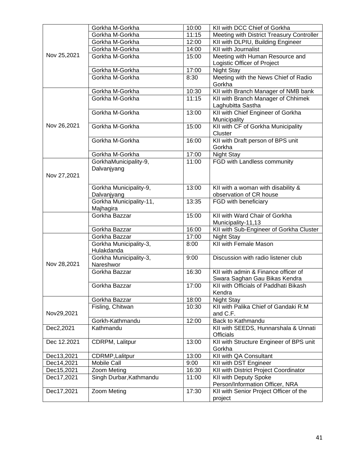|             | Gorkha M-Gorkha                        | 10:00 | KII with DCC Chief of Gorkha                                  |
|-------------|----------------------------------------|-------|---------------------------------------------------------------|
|             | Gorkha M-Gorkha                        | 11:15 | Meeting with District Treasury Controller                     |
|             | Gorkha M-Gorkha                        | 12:00 | KII with DLPIU, Building Engineer                             |
|             | Gorkha M-Gorkha                        | 14:00 | KII with Journalist                                           |
| Nov 25,2021 | Gorkha M-Gorkha                        | 15:00 | Meeting with Human Resource and                               |
|             |                                        |       | Logistic Officer of Project                                   |
|             | Gorkha M-Gorkha                        | 17:00 | Night Stay                                                    |
|             | Gorkha M-Gorkha                        | 8:30  | Meeting with the News Chief of Radio                          |
|             |                                        |       | Gorkha                                                        |
|             | Gorkha M-Gorkha                        | 10:30 | KII with Branch Manager of NMB bank                           |
|             | Gorkha M-Gorkha                        | 11:15 | KII with Branch Manager of Chhimek                            |
|             |                                        |       | Laghubitta Sastha                                             |
|             | Gorkha M-Gorkha                        | 13:00 | KII with Chief Engineer of Gorkha                             |
|             |                                        |       | Municipality                                                  |
| Nov 26,2021 | Gorkha M-Gorkha                        | 15:00 | KII with CF of Gorkha Municipality                            |
|             |                                        |       | Cluster                                                       |
|             | Gorkha M-Gorkha                        | 16:00 | KII with Draft person of BPS unit                             |
|             |                                        |       | Gorkha                                                        |
|             | Gorkha M-Gorkha                        | 17:00 | <b>Night Stay</b>                                             |
|             | GorkhaMunicipality-9,                  | 11:00 | FGD with Landless community                                   |
|             | Dalvanjyang                            |       |                                                               |
| Nov 27,2021 |                                        |       |                                                               |
|             |                                        | 13:00 |                                                               |
|             | Gorkha Municipality-9,                 |       | KII with a woman with disability &<br>observation of CR house |
|             | Dalvanjyang<br>Gorkha Municipality-11, | 13:35 | FGD with beneficiary                                          |
|             | Majhagira                              |       |                                                               |
|             | Gorkha Bazzar                          | 15:00 | KII with Ward Chair of Gorkha                                 |
|             |                                        |       | Municipality-11,13                                            |
|             | Gorkha Bazzar                          | 16:00 | KII with Sub-Engineer of Gorkha Cluster                       |
|             | Gorkha Bazzar                          | 17:00 | Night Stay                                                    |
|             | Gorkha Municipality-3,                 | 8:00  | KII with Female Mason                                         |
|             | Hulakdanda                             |       |                                                               |
|             | Gorkha Municipality-3,                 | 9:00  | Discussion with radio listener club                           |
| Nov 28,2021 | Nareshwor                              |       |                                                               |
|             | Gorkha Bazzar                          | 16:30 | KII with admin & Finance officer of                           |
|             |                                        |       | Swara Saghan Gau Bikas Kendra                                 |
|             | Gorkha Bazzar                          | 17:00 | KII with Officials of Paddhati Bikash                         |
|             |                                        |       | Kendra                                                        |
|             | Gorkha Bazzar                          | 18:00 | Night Stay                                                    |
|             | Fisling, Chitwan                       | 10:30 | KII with Palika Chief of Gandaki R.M                          |
| Nov29,2021  |                                        |       | and C.F.                                                      |
|             | Gorkh-Kathmandu                        | 12:00 | Back to Kathmandu                                             |
| Dec2,2021   | Kathmandu                              |       | KII with SEEDS, Hunnarshala & Unnati                          |
|             |                                        |       |                                                               |
| Dec 12.2021 |                                        |       | Officials                                                     |
|             | CDRPM, Lalitpur                        | 13:00 | KII with Structure Engineer of BPS unit                       |
|             |                                        |       | Gorkha                                                        |
| Dec13,2021  | CDRMP, Lalitpur                        | 13:00 | KII with QA Consultant                                        |
| Dec14,2021  | <b>Mobile Call</b>                     | 9:00  | KII with DST Engineer                                         |
| Dec15,2021  | Zoom Meting                            | 16:30 | KII with District Project Coordinator                         |
| Dec17,2021  | Singh Durbar, Kathmandu                | 11:00 | KII with Deputy Spoke                                         |
|             |                                        |       | Person/Information Officer, NRA                               |
| Dec17,2021  | Zoom Meting                            | 17:30 | KII with Senior Project Officer of the                        |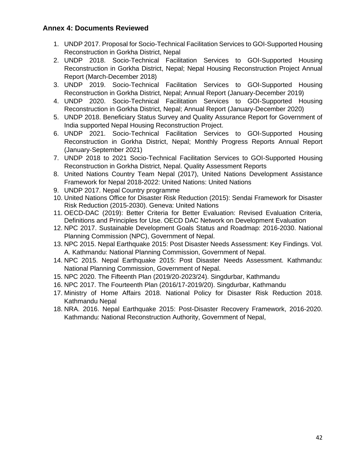## **Annex 4: Documents Reviewed**

- 1. UNDP 2017. Proposal for Socio-Technical Facilitation Services to GOI-Supported Housing Reconstruction in Gorkha District, Nepal
- 2. UNDP 2018. Socio-Technical Facilitation Services to GOI-Supported Housing Reconstruction in Gorkha District, Nepal; Nepal Housing Reconstruction Project Annual Report (March-December 2018)
- 3. UNDP 2019. Socio-Technical Facilitation Services to GOI-Supported Housing Reconstruction in Gorkha District, Nepal; Annual Report (January-December 2019)
- 4. UNDP 2020. Socio-Technical Facilitation Services to GOI-Supported Housing Reconstruction in Gorkha District, Nepal; Annual Report (January-December 2020)
- 5. UNDP 2018. Beneficiary Status Survey and Quality Assurance Report for Government of India supported Nepal Housing Reconstruction Project.
- 6. UNDP 2021. Socio-Technical Facilitation Services to GOI-Supported Housing Reconstruction in Gorkha District, Nepal; Monthly Progress Reports Annual Report (January-September 2021)
- 7. UNDP 2018 to 2021 Socio-Technical Facilitation Services to GOI-Supported Housing Reconstruction in Gorkha District, Nepal. Quality Assessment Reports
- 8. United Nations Country Team Nepal (2017), United Nations Development Assistance Framework for Nepal 2018-2022: United Nations: United Nations
- 9. UNDP 2017. Nepal Country programme
- 10. United Nations Office for Disaster Risk Reduction (2015): Sendai Framework for Disaster Risk Reduction (2015-2030). Geneva: United Nations
- 11. OECD-DAC (2019): Better Criteria for Better Evaluation: Revised Evaluation Criteria, Definitions and Principles for Use. OECD DAC Network on Development Evaluation
- 12. NPC 2017. Sustainable Development Goals Status and Roadmap: 2016-2030. National Planning Commission (NPC), Government of Nepal.
- 13. NPC 2015. Nepal Earthquake 2015: Post Disaster Needs Assessment: Key Findings. Vol. A. Kathmandu: National Planning Commission, Government of Nepal.
- 14. NPC 2015. Nepal Earthquake 2015: Post Disaster Needs Assessment. Kathmandu: National Planning Commission, Government of Nepal.
- 15. NPC 2020. The Fifteenth Plan (2019/20-2023/24). Singdurbar, Kathmandu
- 16. NPC 2017. The Fourteenth Plan (2016/17-2019/20). Singdurbar, Kathmandu
- 17. Ministry of Home Affairs 2018. National Policy for Disaster Risk Reduction 2018. Kathmandu Nepal
- 18. NRA. 2016. Nepal Earthquake 2015: Post-Disaster Recovery Framework, 2016-2020. Kathmandu: National Reconstruction Authority, Government of Nepal,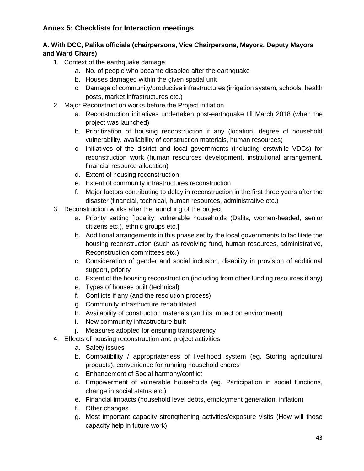# **Annex 5: Checklists for Interaction meetings**

## **A. With DCC, Palika officials (chairpersons, Vice Chairpersons, Mayors, Deputy Mayors and Ward Chairs)**

- 1. Context of the earthquake damage
	- a. No. of people who became disabled after the earthquake
	- b. Houses damaged within the given spatial unit
	- c. Damage of community/productive infrastructures (irrigation system, schools, health posts, market infrastructures etc.)
- 2. Major Reconstruction works before the Project initiation
	- a. Reconstruction initiatives undertaken post-earthquake till March 2018 (when the project was launched)
	- b. Prioritization of housing reconstruction if any (location, degree of household vulnerability, availability of construction materials, human resources)
	- c. Initiatives of the district and local governments (including erstwhile VDCs) for reconstruction work (human resources development, institutional arrangement, financial resource allocation)
	- d. Extent of housing reconstruction
	- e. Extent of community infrastructures reconstruction
	- f. Major factors contributing to delay in reconstruction in the first three years after the disaster (financial, technical, human resources, administrative etc.)
- 3. Reconstruction works after the launching of the project
	- a. Priority setting [locality, vulnerable households (Dalits, women-headed, senior citizens etc.), ethnic groups etc.]
	- b. Additional arrangements in this phase set by the local governments to facilitate the housing reconstruction (such as revolving fund, human resources, administrative, Reconstruction committees etc.)
	- c. Consideration of gender and social inclusion, disability in provision of additional support, priority
	- d. Extent of the housing reconstruction (including from other funding resources if any)
	- e. Types of houses built (technical)
	- f. Conflicts if any (and the resolution process)
	- g. Community infrastructure rehabilitated
	- h. Availability of construction materials (and its impact on environment)
	- i. New community infrastructure built
	- j. Measures adopted for ensuring transparency
- 4. Effects of housing reconstruction and project activities
	- a. Safety issues
	- b. Compatibility / appropriateness of livelihood system (eg. Storing agricultural products), convenience for running household chores
	- c. Enhancement of Social harmony/conflict
	- d. Empowerment of vulnerable households (eg. Participation in social functions, change in social status etc.)
	- e. Financial impacts (household level debts, employment generation, inflation)
	- f. Other changes
	- g. Most important capacity strengthening activities/exposure visits (How will those capacity help in future work)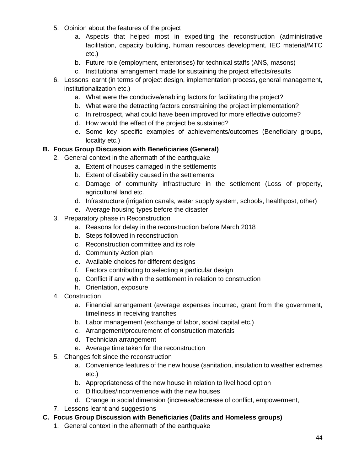- 5. Opinion about the features of the project
	- a. Aspects that helped most in expediting the reconstruction (administrative facilitation, capacity building, human resources development, IEC material/MTC etc.)
	- b. Future role (employment, enterprises) for technical staffs (ANS, masons)
	- c. Institutional arrangement made for sustaining the project effects/results
- 6. Lessons learnt (in terms of project design, implementation process, general management, institutionalization etc.)
	- a. What were the conducive/enabling factors for facilitating the project?
	- b. What were the detracting factors constraining the project implementation?
	- c. In retrospect, what could have been improved for more effective outcome?
	- d. How would the effect of the project be sustained?
	- e. Some key specific examples of achievements/outcomes (Beneficiary groups, locality etc.)

# **B. Focus Group Discussion with Beneficiaries (General)**

- 2. General context in the aftermath of the earthquake
	- a. Extent of houses damaged in the settlements
	- b. Extent of disability caused in the settlements
	- c. Damage of community infrastructure in the settlement (Loss of property, agricultural land etc.
	- d. Infrastructure (irrigation canals, water supply system, schools, healthpost, other)
	- e. Average housing types before the disaster
- 3. Preparatory phase in Reconstruction
	- a. Reasons for delay in the reconstruction before March 2018
	- b. Steps followed in reconstruction
	- c. Reconstruction committee and its role
	- d. Community Action plan
	- e. Available choices for different designs
	- f. Factors contributing to selecting a particular design
	- g. Conflict if any within the settlement in relation to construction
	- h. Orientation, exposure
- 4. Construction
	- a. Financial arrangement (average expenses incurred, grant from the government, timeliness in receiving tranches
	- b. Labor management (exchange of labor, social capital etc.)
	- c. Arrangement/procurement of construction materials
	- d. Technician arrangement
	- e. Average time taken for the reconstruction
- 5. Changes felt since the reconstruction
	- a. Convenience features of the new house (sanitation, insulation to weather extremes etc.)
	- b. Appropriateness of the new house in relation to livelihood option
	- c. Difficulties/inconvenience with the new houses
	- d. Change in social dimension (increase/decrease of conflict, empowerment,
- 7. Lessons learnt and suggestions
- **C. Focus Group Discussion with Beneficiaries (Dalits and Homeless groups)**
	- 1. General context in the aftermath of the earthquake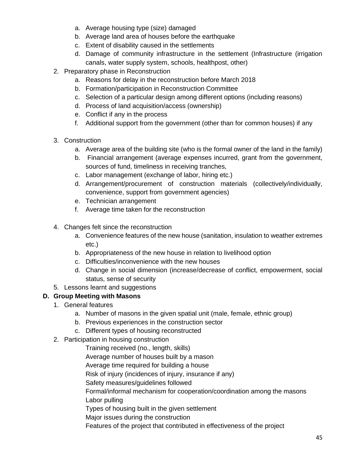- a. Average housing type (size) damaged
- b. Average land area of houses before the earthquake
- c. Extent of disability caused in the settlements
- d. Damage of community infrastructure in the settlement (Infrastructure (irrigation canals, water supply system, schools, healthpost, other)
- 2. Preparatory phase in Reconstruction
	- a. Reasons for delay in the reconstruction before March 2018
	- b. Formation/participation in Reconstruction Committee
	- c. Selection of a particular design among different options (including reasons)
	- d. Process of land acquisition/access (ownership)
	- e. Conflict if any in the process
	- f. Additional support from the government (other than for common houses) if any
- 3. Construction
	- a. Average area of the building site (who is the formal owner of the land in the family)
	- b. Financial arrangement (average expenses incurred, grant from the government, sources of fund, timeliness in receiving tranches,
	- c. Labor management (exchange of labor, hiring etc.)
	- d. Arrangement/procurement of construction materials (collectively/individually, convenience, support from government agencies)
	- e. Technician arrangement
	- f. Average time taken for the reconstruction
- 4. Changes felt since the reconstruction
	- a. Convenience features of the new house (sanitation, insulation to weather extremes etc.)
	- b. Appropriateness of the new house in relation to livelihood option
	- c. Difficulties/inconvenience with the new houses
	- d. Change in social dimension (increase/decrease of conflict, empowerment, social status, sense of security
- 5. Lessons learnt and suggestions

# **D. Group Meeting with Masons**

- 1. General features
	- a. Number of masons in the given spatial unit (male, female, ethnic group)
	- b. Previous experiences in the construction sector
	- c. Different types of housing reconstructed
- 2. Participation in housing construction

Training received (no., length, skills) Average number of houses built by a mason Average time required for building a house Risk of injury (incidences of injury, insurance if any) Safety measures/guidelines followed Formal/informal mechanism for cooperation/coordination among the masons Labor pulling Types of housing built in the given settlement Major issues during the construction Features of the project that contributed in effectiveness of the project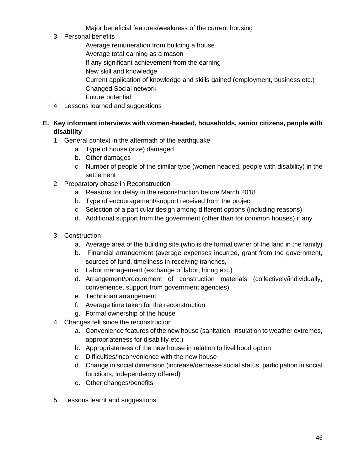Major beneficial features/weakness of the current housing

3. Personal benefits

Average remuneration from building a house

Average total earning as a mason

If any significant achievement from the earning

- New skill and knowledge
- Current application of knowledge and skills gained (employment, business etc.)
- Changed Social network
- Future potential
- 4. Lessons learned and suggestions

# **E. Key informant interviews with women-headed, households, senior citizens, people with disability**

- 1. General context in the aftermath of the earthquake
	- a. Type of house (size) damaged
	- b. Other damages
	- c. Number of people of the similar type (women headed, people with disability) in the settlement
- 2. Preparatory phase in Reconstruction
	- a. Reasons for delay in the reconstruction before March 2018
	- b. Type of encouragement/support received from the project
	- c. Selection of a particular design among different options (including reasons)
	- d. Additional support from the government (other than for common houses) if any
- 3. Construction
	- a. Average area of the building site (who is the formal owner of the land in the family)
	- b. Financial arrangement (average expenses incurred, grant from the government, sources of fund, timeliness in receiving tranches,
	- c. Labor management (exchange of labor, hiring etc.)
	- d. Arrangement/procurement of construction materials (collectively/individually, convenience, support from government agencies)
	- e. Technician arrangement
	- f. Average time taken for the reconstruction
	- g. Formal ownership of the house
- 4. Changes felt since the reconstruction
	- a. Convenience features of the new house (sanitation, insulation to weather extremes, appropriateness for disability etc.)
	- b. Appropriateness of the new house in relation to livelihood option
	- c. Difficulties/inconvenience with the new house
	- d. Change in social dimension (increase/decrease social status, participation in social functions, independency offered)
	- e. Other changes/benefits
- 5. Lessons learnt and suggestions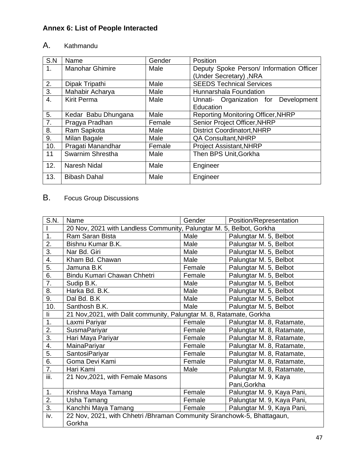# **Annex 6: List of People Interacted**

# A. Kathmandu

| S.N | Name                   | Gender | Position                                  |
|-----|------------------------|--------|-------------------------------------------|
| 1.  | <b>Manohar Ghimire</b> | Male   | Deputy Spoke Person/ Information Officer  |
|     |                        |        | (Under Secretary), NRA                    |
| 2.  | Dipak Tripathi         | Male   | <b>SEEDS Technical Services</b>           |
| 3.  | Mahabir Acharya        | Male   | Hunnarshala Foundation                    |
| 4.  | <b>Kirit Perma</b>     | Male   | Unnati- Organization for Development      |
|     |                        |        | Education                                 |
| 5.  | Kedar Babu Dhungana    | Male   | <b>Reporting Monitoring Officer, NHRP</b> |
| 7.  | Pragya Pradhan         | Female | <b>Senior Project Officer, NHRP</b>       |
| 8.  | Ram Sapkota            | Male   | <b>District Coordinatort, NHRP</b>        |
| 9.  | Milan Bagale           | Male   | <b>QA Consultant, NHRP</b>                |
| 10. | Pragati Manandhar      | Female | <b>Project Assistant, NHRP</b>            |
| 11  | Swarnim Shrestha       | Male   | Then BPS Unit, Gorkha                     |
| 12. | Naresh Nidal           | Male   | Engineer                                  |
| 13. | <b>Bibash Dahal</b>    | Male   | Engineer                                  |

# B. Focus Group Discussions

| S.N.             | Name                                                                     | Gender | Position/Representation    |
|------------------|--------------------------------------------------------------------------|--------|----------------------------|
|                  | 20 Nov, 2021 with Landless Community, Palungtar M. 5, Belbot, Gorkha     |        |                            |
| 1.               | Ram Saran Bista                                                          | Male   | Palungtar M. 5, Belbot     |
| 2.               | Bishnu Kumar B.K.                                                        | Male   | Palungtar M. 5, Belbot     |
| 3.               | Nar Bd. Giri                                                             | Male   | Palungtar M. 5, Belbot     |
| 4.               | Kham Bd. Chawan                                                          | Male   | Palungtar M. 5, Belbot     |
| 5.               | Jamuna B.K                                                               | Female | Palungtar M. 5, Belbot     |
| 6.               | Bindu Kumari Chawan Chhetri                                              | Female | Palungtar M. 5, Belbot     |
| $\overline{7}$ . | Sudip B.K.                                                               | Male   | Palungtar M. 5, Belbot     |
| 8.               | Harka Bd. B.K.                                                           | Male   | Palungtar M. 5, Belbot     |
| 9.               | Dal Bd. B.K                                                              | Male   | Palungtar M. 5, Belbot     |
| 10.              | Santhosh B.K.                                                            | Male   | Palungtar M. 5, Belbot     |
| li.              | 21 Nov, 2021, with Dalit community, Palungtar M. 8, Ratamate, Gorkha     |        |                            |
| 1.               | Laxmi Pariyar                                                            | Female | Palungtar M. 8, Ratamate,  |
| 2.               | <b>SusmaPariyar</b>                                                      | Female | Palungtar M. 8, Ratamate,  |
| 3.               | Hari Maya Pariyar                                                        | Female | Palungtar M. 8, Ratamate,  |
| 4.               | MainaPariyar                                                             | Female | Palungtar M. 8, Ratamate,  |
| 5.               | SantosiPariyar                                                           | Female | Palungtar M. 8, Ratamate,  |
| 6.               | Goma Devi Kami                                                           | Female | Palungtar M. 8, Ratamate,  |
| 7.               | Hari Kami                                                                | Male   | Palungtar M. 8, Ratamate,  |
| iii.             | 21 Nov, 2021, with Female Masons                                         |        | Palungtar M. 9, Kaya       |
|                  |                                                                          |        | Pani, Gorkha               |
| 1.               | Krishna Maya Tamang                                                      | Female | Palungtar M. 9, Kaya Pani, |
| 2.               | Usha Tamang                                                              | Female | Palungtar M. 9, Kaya Pani, |
| 3.               | Kanchhi Maya Tamang                                                      | Female | Palungtar M. 9, Kaya Pani, |
| iv.              | 22 Nov, 2021, with Chhetri / Bhraman Community Siranchowk-5, Bhattagaun, |        |                            |
|                  | Gorkha                                                                   |        |                            |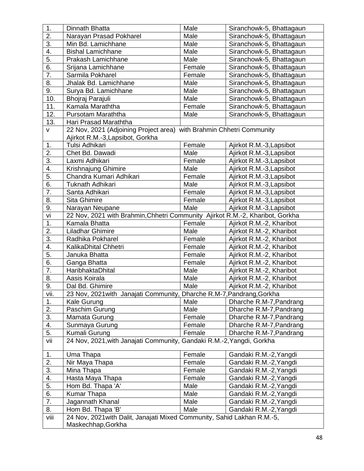| 1.               | Dinnath Bhatta                                                                | Male   | Siranchowk-5, Bhattagaun                           |
|------------------|-------------------------------------------------------------------------------|--------|----------------------------------------------------|
| $\overline{2}$ . | Narayan Prasad Pokharel                                                       | Male   | Siranchowk-5, Bhattagaun                           |
| 3.               | Min Bd. Lamichhane                                                            | Male   | Siranchowk-5, Bhattagaun                           |
| 4.               | <b>Bishal Lamichhane</b>                                                      | Male   | Siranchowk-5, Bhattagaun                           |
| 5.               | Prakash Lamichhane                                                            | Male   | Siranchowk-5, Bhattagaun                           |
| 6.               | Srijana Lamichhane                                                            | Female | Siranchowk-5, Bhattagaun                           |
| 7.               | Sarmila Pokharel                                                              | Female | Siranchowk-5, Bhattagaun                           |
| 8.               | Jhalak Bd. Lamichhane                                                         | Male   | Siranchowk-5, Bhattagaun                           |
| 9.               | Surya Bd. Lamichhane                                                          | Male   | Siranchowk-5, Bhattagaun                           |
| 10.              | Bhojraj Parajuli                                                              | Male   | Siranchowk-5, Bhattagaun                           |
| 11.              | Kamala Maraththa                                                              | Female | Siranchowk-5, Bhattagaun                           |
| 12.              | Pursotam Maraththa                                                            | Male   | Siranchowk-5, Bhattagaun                           |
| 13.              | Hari Prasad Maraththa                                                         |        |                                                    |
| V                | 22 Nov, 2021 (Adjoining Project area) with Brahmin Chhetri Community          |        |                                                    |
|                  | Ajirkot R.M.-3, Lapsibot, Gorkha                                              |        |                                                    |
| 1.               | Tulsi Adhikari                                                                | Female | Ajirkot R.M.-3, Lapsibot                           |
| 2.               | Chet Bd. Dawadi                                                               | Male   | Ajirkot R.M.-3, Lapsibot                           |
| 3.               | Laxmi Adhikari                                                                | Female | Ajirkot R.M.-3, Lapsibot                           |
| 4.               | Krishnajung Ghimire                                                           | Male   | Ajirkot R.M.-3, Lapsibot                           |
| 5.               | Chandra Kumari Adhikari                                                       | Female | Ajirkot R.M.-3, Lapsibot                           |
| 6.               | <b>Tuknath Adhikari</b>                                                       | Male   | Ajirkot R.M.-3, Lapsibot                           |
| 7.               | Santa Adhikari                                                                | Female | Ajirkot R.M.-3, Lapsibot                           |
| 8.               | <b>Sita Ghimire</b>                                                           | Female | Ajirkot R.M.-3, Lapsibot                           |
| 9.               | Male<br>Narayan Neupane<br>Ajirkot R.M.-3, Lapsibot                           |        |                                                    |
| vi               | 22 Nov, 2021 with Brahmin, Chhetri Community Ajirkot R.M.-2, Kharibot, Gorkha |        |                                                    |
| 1.               | Kamala Bhatta                                                                 | Female | Ajirkot R.M.-2, Kharibot                           |
| 2.               | Liladhar Ghimire                                                              | Male   | Ajirkot R.M.-2, Kharibot                           |
| 3.               | Radhika Pokharel                                                              | Female | Ajirkot R.M.-2, Kharibot                           |
| 4.               | KalikaDhital Chhetri                                                          | Female | Ajirkot R.M.-2, Kharibot                           |
| 5.               | Januka Bhatta                                                                 | Female | Ajirkot R.M.-2, Kharibot                           |
| 6.               | Ganga Bhatta                                                                  | Female | Ajirkot R.M.-2, Kharibot                           |
| $\overline{7}$ . | HaribhaktaDhital                                                              | Male   | Ajirkot R.M.-2, Kharibot                           |
| 8.               | Aasis Koirala                                                                 | Male   | Ajirkot R.M.-2, Kharibot                           |
| 9.               | Dal Bd. Ghimire                                                               | Male   | Ajirkot R.M.-2, Kharibot                           |
| vii.<br>1.       | 23 Nov, 2021 with Janajati Community, Dharche R.M-7, Pandrang, Gorkha         | Male   |                                                    |
| 2.               | Kale Gurung<br>Paschim Gurung                                                 | Male   | Dharche R.M-7, Pandrang<br>Dharche R.M-7, Pandrang |
| 3.               | Mamata Gurung                                                                 | Female | Dharche R.M-7, Pandrang                            |
| 4.               | Sunmaya Gurung                                                                | Female | Dharche R.M-7, Pandrang                            |
| 5.               | Kumali Gurung                                                                 | Female | Dharche R.M-7, Pandrang                            |
| vii              | 24 Nov, 2021, with Janajati Community, Gandaki R.M.-2, Yangdi, Gorkha         |        |                                                    |
|                  |                                                                               |        |                                                    |
| 1.               | Uma Thapa                                                                     | Female | Gandaki R.M.-2, Yangdi                             |
| $\overline{2}$ . | Nir Maya Thapa                                                                | Female | Gandaki R.M.-2, Yangdi                             |
| 3.               | Mina Thapa                                                                    | Female | Gandaki R.M.-2, Yangdi                             |
| 4.               | Hasta Maya Thapa                                                              | Female | Gandaki R.M.-2, Yangdi                             |
| 5.               | Hom Bd. Thapa 'A'                                                             | Male   | Gandaki R.M.-2, Yangdi                             |
| 6.               | Kumar Thapa                                                                   | Male   | Gandaki R.M.-2, Yangdi                             |
| 7.               | Jagannath Khanal                                                              | Male   | Gandaki R.M.-2, Yangdi                             |
| 8.               | Hom Bd. Thapa 'B'                                                             | Male   | Gandaki R.M.-2, Yangdi                             |
| viii             | 24 Nov, 2021 with Dalit, Janajati Mixed Community, Sahid Lakhan R.M.-5,       |        |                                                    |
|                  | Maskechhap, Gorkha                                                            |        |                                                    |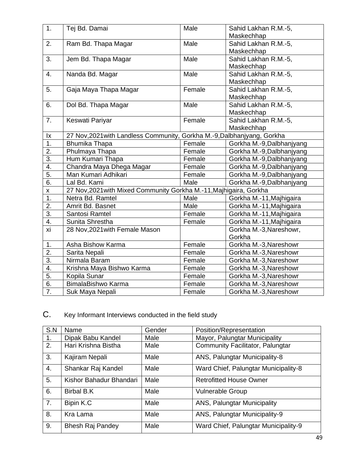| 1.               | Tej Bd. Damai                                                           | Male   | Sahid Lakhan R.M.-5,      |
|------------------|-------------------------------------------------------------------------|--------|---------------------------|
|                  |                                                                         |        | Maskechhap                |
| 2.               | Ram Bd. Thapa Magar                                                     | Male   | Sahid Lakhan R.M.-5,      |
|                  |                                                                         |        | Maskechhap                |
| 3.               | Jem Bd. Thapa Magar                                                     | Male   | Sahid Lakhan R.M.-5,      |
|                  |                                                                         |        | Maskechhap                |
| 4.               | Nanda Bd. Magar                                                         | Male   | Sahid Lakhan R.M.-5,      |
|                  |                                                                         |        | Maskechhap                |
| 5.               | Gaja Maya Thapa Magar                                                   | Female | Sahid Lakhan R.M.-5,      |
|                  |                                                                         |        | Maskechhap                |
| 6.               | Dol Bd. Thapa Magar                                                     | Male   | Sahid Lakhan R.M.-5,      |
|                  |                                                                         |        | Maskechhap                |
| 7.               | Keswati Pariyar                                                         | Female | Sahid Lakhan R.M.-5,      |
|                  |                                                                         |        | Maskechhap                |
| Ix               | 27 Nov, 2021 with Landless Community, Gorkha M.-9, Dalbhanjyang, Gorkha |        |                           |
| $\overline{1}$ . | Bhumika Thapa                                                           | Female | Gorkha M.-9, Dalbhanjyang |
| $\overline{2}$ . | Phulmaya Thapa                                                          | Female | Gorkha M.-9, Dalbhanjyang |
| $\overline{3}$ . | Hum Kumari Thapa                                                        | Female | Gorkha M.-9, Dalbhanjyang |
| 4.               | Chandra Maya Dhega Magar                                                | Female | Gorkha M.-9, Dalbhanjyang |
| 5.               | Man Kumari Adhikari                                                     | Female | Gorkha M.-9, Dalbhanjyang |
| $\overline{6}$ . | Lal Bd. Kami                                                            | Male   | Gorkha M.-9, Dalbhanjyang |
| X                | 27 Nov, 2021 with Mixed Community Gorkha M.-11, Majhigaira, Gorkha      |        |                           |
| $\overline{1}$ . | Netra Bd. Ramtel                                                        | Male   | Gorkha M.-11, Majhigaira  |
| $\overline{2}$ . | Amrit Bd. Basnet                                                        | Male   | Gorkha M.-11, Majhigaira  |
| $\overline{3}$ . | Santosi Ramtel                                                          | Female | Gorkha M.-11, Majhigaira  |
| 4.               | Sunita Shrestha                                                         | Female | Gorkha M.-11, Majhigaira  |
| xi               | 28 Nov, 2021 with Female Mason                                          |        | Gorkha M.-3, Nareshowr,   |
|                  |                                                                         |        | Gorkha                    |
| 1.               | Asha Bishow Karma                                                       | Female | Gorkha M.-3, Nareshowr    |
| $\overline{2}$ . | Sarita Nepali                                                           | Female | Gorkha M.-3, Nareshowr    |
| $\overline{3}$ . | Nirmala Baram                                                           | Female | Gorkha M.-3, Nareshowr    |
| 4.               | Krishna Maya Bishwo Karma                                               | Female | Gorkha M.-3, Nareshowr    |
| 5.               | Kopila Sunar                                                            | Female | Gorkha M.-3, Nareshowr    |
| 6.               | BimalaBishwo Karma                                                      | Female | Gorkha M.-3, Nareshowr    |
| $\overline{7}$ . | Suk Maya Nepali                                                         | Female | Gorkha M.-3, Nareshowr    |

C. Key Informant Interviews conducted in the field study

| S.N | Name                    | Gender | Position/Representation                 |
|-----|-------------------------|--------|-----------------------------------------|
| 1.  | Dipak Babu Kandel       | Male   | Mayor, Palungtar Municipality           |
| 2.  | Hari Krishna Bistha     | Male   | <b>Community Facilitator, Palungtar</b> |
| 3.  | Kajiram Nepali          | Male   | ANS, Palungtar Municipality-8           |
| 4.  | Shankar Raj Kandel      | Male   | Ward Chief, Palungtar Municipality-8    |
| 5.  | Kishor Bahadur Bhandari | Male   | <b>Retrofitted House Owner</b>          |
| 6.  | <b>Birbal B.K</b>       | Male   | <b>Vulnerable Group</b>                 |
| 7.  | Bipin K.C               | Male   | ANS, Palungtar Municipality             |
| 8.  | Kra Lama                | Male   | ANS, Palungtar Municipality-9           |
| 9.  | <b>Bhesh Raj Pandey</b> | Male   | Ward Chief, Palungtar Municipality-9    |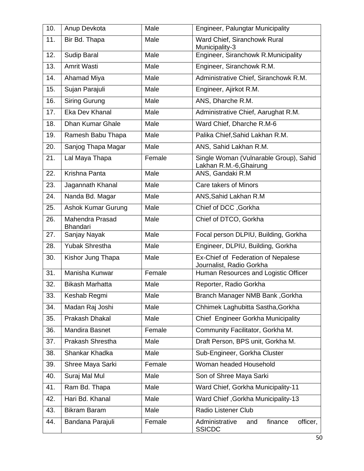| 10. | Anup Devkota                                                        | Male   | Engineer, Palungtar Municipality                                  |  |
|-----|---------------------------------------------------------------------|--------|-------------------------------------------------------------------|--|
| 11. | Bir Bd. Thapa                                                       | Male   | Ward Chief, Siranchowk Rural<br>Municipality-3                    |  |
| 12. | <b>Sudip Baral</b><br>Male                                          |        | Engineer, Siranchowk R.Municipality                               |  |
| 13. | Amrit Wasti                                                         | Male   | Engineer, Siranchowk R.M.                                         |  |
| 14. | Ahamad Miya                                                         | Male   | Administrative Chief, Siranchowk R.M.                             |  |
| 15. | Sujan Parajuli                                                      | Male   | Engineer, Ajirkot R.M.                                            |  |
| 16. | <b>Siring Gurung</b>                                                | Male   | ANS, Dharche R.M.                                                 |  |
| 17. | Eka Dev Khanal                                                      | Male   | Administrative Chief, Aarughat R.M.                               |  |
| 18. | <b>Dhan Kumar Ghale</b>                                             | Male   | Ward Chief, Dharche R.M-6                                         |  |
| 19. | Ramesh Babu Thapa                                                   | Male   | Palika Chief, Sahid Lakhan R.M.                                   |  |
| 20. | Sanjog Thapa Magar                                                  | Male   | ANS, Sahid Lakhan R.M.                                            |  |
| 21. | Lal Maya Thapa                                                      | Female | Single Woman (Vulnarable Group), Sahid<br>Lakhan R.M.-6, Ghairung |  |
| 22. | Krishna Panta                                                       | Male   | ANS, Gandaki R.M                                                  |  |
| 23. | Jagannath Khanal                                                    | Male   | Care takers of Minors                                             |  |
| 24. | Nanda Bd. Magar                                                     | Male   | ANS, Sahid Lakhan R.M                                             |  |
| 25. | <b>Ashok Kumar Gurung</b>                                           | Male   | Chief of DCC, Gorkha                                              |  |
| 26. | Mahendra Prasad<br>Male<br>Chief of DTCO, Gorkha<br><b>Bhandari</b> |        |                                                                   |  |
| 27. | Sanjay Nayak                                                        | Male   | Focal person DLPIU, Building, Gorkha                              |  |
| 28. | <b>Yubak Shrestha</b>                                               | Male   | Engineer, DLPIU, Building, Gorkha                                 |  |
| 30. | Kishor Jung Thapa                                                   | Male   | Ex-Chief of Federation of Nepalese<br>Journalist, Radio Gorkha    |  |
| 31. | Manisha Kunwar                                                      | Female | Human Resources and Logistic Officer                              |  |
| 32. | <b>Bikash Marhatta</b>                                              | Male   | Reporter, Radio Gorkha                                            |  |
| 33. | Keshab Regmi                                                        | Male   | <b>Branch Manager NMB Bank, Gorkha</b>                            |  |
| 34. | Madan Raj Joshi                                                     | Male   | Chhimek Laghubitta Sastha, Gorkha                                 |  |
| 35. | Prakash Dhakal                                                      | Male   | Chief Engineer Gorkha Municipality                                |  |
| 36. | <b>Mandira Basnet</b>                                               | Female | Community Facilitator, Gorkha M.                                  |  |
| 37. | Prakash Shrestha                                                    | Male   | Draft Person, BPS unit, Gorkha M.                                 |  |
| 38. | Shankar Khadka                                                      | Male   | Sub-Engineer, Gorkha Cluster                                      |  |
| 39. | Shree Maya Sarki                                                    | Female | Woman headed Household                                            |  |
| 40. | Suraj Mal Mul                                                       | Male   | Son of Shree Maya Sarki                                           |  |
| 41. | Ram Bd. Thapa                                                       | Male   | Ward Chief, Gorkha Municipality-11                                |  |
| 42. | Hari Bd. Khanal                                                     | Male   | Ward Chief, Gorkha Municipality-13                                |  |
| 43. | <b>Bikram Baram</b>                                                 | Male   | Radio Listener Club                                               |  |
| 44. | Bandana Parajuli                                                    | Female | Administrative<br>finance<br>officer,<br>and<br><b>SSICDC</b>     |  |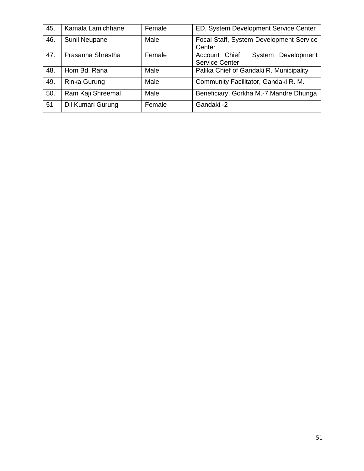| 45. | Kamala Lamichhane | Female | ED. System Development Service Center                            |
|-----|-------------------|--------|------------------------------------------------------------------|
| 46. | Sunil Neupane     | Male   | Focal Staff, System Development Service<br>Center                |
| 47. | Prasanna Shrestha | Female | Account Chief,<br>Development<br>System<br><b>Service Center</b> |
| 48. | Hom Bd. Rana      | Male   | Palika Chief of Gandaki R. Municipality                          |
| 49. | Rinka Gurung      | Male   | Community Facilitator, Gandaki R. M.                             |
| 50. | Ram Kaji Shreemal | Male   | Beneficiary, Gorkha M.-7, Mandre Dhunga                          |
| 51  | Dil Kumari Gurung | Female | Gandaki-2                                                        |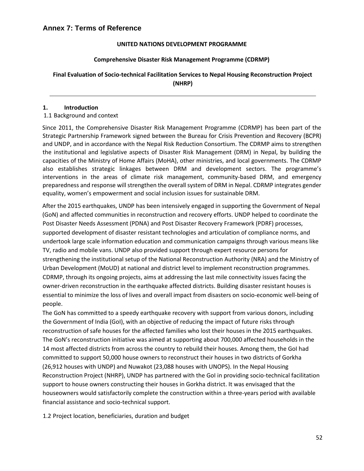#### **UNITED NATIONS DEVELOPMENT PROGRAMME**

#### **Comprehensive Disaster Risk Management Programme (CDRMP)**

**Final Evaluation of Socio-technical Facilitation Services to Nepal Housing Reconstruction Project (NHRP)** 

#### **1. Introduction**

#### 1.1 Background and context

Since 2011, the Comprehensive Disaster Risk Management Programme (CDRMP) has been part of the Strategic Partnership Framework signed between the Bureau for Crisis Prevention and Recovery (BCPR) and UNDP, and in accordance with the Nepal Risk Reduction Consortium. The CDRMP aims to strengthen the institutional and legislative aspects of Disaster Risk Management (DRM) in Nepal, by building the capacities of the Ministry of Home Affairs (MoHA), other ministries, and local governments. The CDRMP also establishes strategic linkages between DRM and development sectors. The programme's interventions in the areas of climate risk management, community-based DRM, and emergency preparedness and response will strengthen the overall system of DRM in Nepal. CDRMP integrates gender equality, women's empowerment and social inclusion issues for sustainable DRM.

After the 2015 earthquakes, UNDP has been intensively engaged in supporting the Government of Nepal (GoN) and affected communities in reconstruction and recovery efforts. UNDP helped to coordinate the Post Disaster Needs Assessment (PDNA) and Post Disaster Recovery Framework (PDRF) processes, supported development of disaster resistant technologies and articulation of compliance norms, and undertook large scale information education and communication campaigns through various means like TV, radio and mobile vans. UNDP also provided support through expert resource persons for strengthening the institutional setup of the National Reconstruction Authority (NRA) and the Ministry of Urban Development (MoUD) at national and district level to implement reconstruction programmes. CDRMP, through its ongoing projects, aims at addressing the last mile connectivity issues facing the owner-driven reconstruction in the earthquake affected districts. Building disaster resistant houses is essential to minimize the loss of lives and overall impact from disasters on socio-economic well-being of people.

The GoN has committed to a speedy earthquake recovery with support from various donors, including the Government of India (GoI), with an objective of reducing the impact of future risks through reconstruction of safe houses for the affected families who lost their houses in the 2015 earthquakes. The GoN's reconstruction initiative was aimed at supporting about 700,000 affected households in the 14 most affected districts from across the country to rebuild their houses. Among them, the GoI had committed to support 50,000 house owners to reconstruct their houses in two districts of Gorkha (26,912 houses with UNDP) and Nuwakot (23,088 houses with UNOPS). In the Nepal Housing Reconstruction Project (NHRP), UNDP has partnered with the GoI in providing socio-technical facilitation support to house owners constructing their houses in Gorkha district. It was envisaged that the houseowners would satisfactorily complete the construction within a three-years period with available financial assistance and socio-technical support.

1.2 Project location, beneficiaries, duration and budget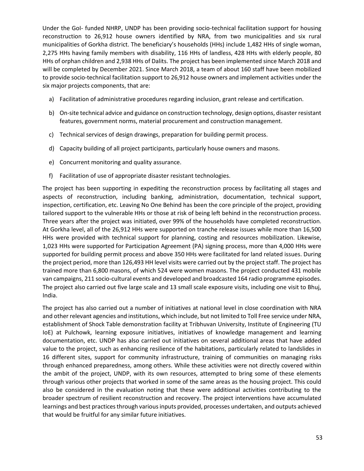Under the GoI- funded NHRP, UNDP has been providing socio-technical facilitation support for housing reconstruction to 26,912 house owners identified by NRA, from two municipalities and six rural municipalities of Gorkha district. The beneficiary's households (HHs) include 1,482 HHs of single woman, 2,275 HHs having family members with disability, 116 HHs of landless, 428 HHs with elderly people, 80 HHs of orphan children and 2,938 HHs of Dalits. The project has been implemented since March 2018 and will be completed by December 2021. Since March 2018, a team of about 160 staff have been mobilized to provide socio-technical facilitation support to 26,912 house owners and implement activities under the six major projects components, that are:

- a) Facilitation of administrative procedures regarding inclusion, grant release and certification.
- b) On-site technical advice and guidance on construction technology, design options, disaster resistant features, government norms, material procurement and construction management.
- c) Technical services of design drawings, preparation for building permit process.
- d) Capacity building of all project participants, particularly house owners and masons.
- e) Concurrent monitoring and quality assurance.
- f) Facilitation of use of appropriate disaster resistant technologies.

The project has been supporting in expediting the reconstruction process by facilitating all stages and aspects of reconstruction, including banking, administration, documentation, technical support, inspection, certification, etc. Leaving No One Behind has been the core principle of the project, providing tailored support to the vulnerable HHs or those at risk of being left behind in the reconstruction process. Three years after the project was initiated, over 99% of the households have completed reconstruction. At Gorkha level, all of the 26,912 HHs were supported on tranche release issues while more than 16,500 HHs were provided with technical support for planning, costing and resources mobilization. Likewise, 1,023 HHs were supported for Participation Agreement (PA) signing process, more than 4,000 HHs were supported for building permit process and above 350 HHs were facilitated for land related issues. During the project period, more than 126,493 HH level visits were carried out by the project staff. The project has trained more than 6,800 masons, of which 524 were women masons. The project conducted 431 mobile van campaigns, 211 socio-cultural events and developed and broadcasted 164 radio programme episodes. The project also carried out five large scale and 13 small scale exposure visits, including one visit to Bhuj, India.

The project has also carried out a number of initiatives at national level in close coordination with NRA and other relevant agencies and institutions, which include, but not limited to Toll Free service under NRA, establishment of Shock Table demonstration facility at Tribhuvan University, Institute of Engineering (TU IoE) at Pulchowk, learning exposure initiatives, initiatives of knowledge management and learning documentation, etc. UNDP has also carried out initiatives on several additional areas that have added value to the project, such as enhancing resilience of the habitations, particularly related to landslides in 16 different sites, support for community infrastructure, training of communities on managing risks through enhanced preparedness, among others. While these activities were not directly covered within the ambit of the project, UNDP, with its own resources, attempted to bring some of these elements through various other projects that worked in some of the same areas as the housing project. This could also be considered in the evaluation noting that these were additional activities contributing to the broader spectrum of resilient reconstruction and recovery. The project interventions have accumulated learnings and best practices through various inputs provided, processes undertaken, and outputs achieved that would be fruitful for any similar future initiatives.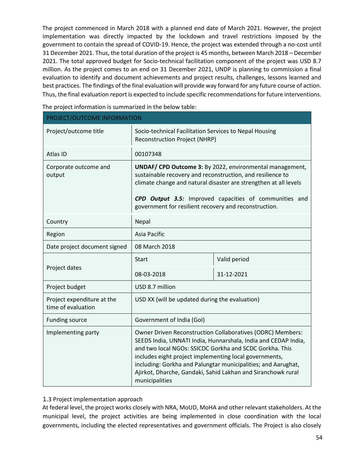The project commenced in March 2018 with a planned end date of March 2021. However, the project implementation was directly impacted by the lockdown and travel restrictions imposed by the government to contain the spread of COVID-19. Hence, the project was extended through a no-cost until 31 December 2021. Thus, the total duration of the project is 45 months, between March 2018 – December 2021. The total approved budget for Socio-technical facilitation component of the project was USD 8.7 million. As the project comes to an end on 31 December 2021, UNDP is planning to commission a final evaluation to identify and document achievements and project results, challenges, lessons learned and best practices. The findings of the final evaluation will provide way forward for any future course of action. Thus, the final evaluation report is expected to include specific recommendations for future interventions.

The project information is summarized in the below table:

| PROJECT/OUTCOME INFORMATION                      |                                                                                                                                                                                                                                                                                                                                                                                                      |              |  |
|--------------------------------------------------|------------------------------------------------------------------------------------------------------------------------------------------------------------------------------------------------------------------------------------------------------------------------------------------------------------------------------------------------------------------------------------------------------|--------------|--|
| Project/outcome title                            | Socio-technical Facilitation Services to Nepal Housing<br><b>Reconstruction Project (NHRP)</b>                                                                                                                                                                                                                                                                                                       |              |  |
| Atlas ID                                         | 00107348                                                                                                                                                                                                                                                                                                                                                                                             |              |  |
| Corporate outcome and<br>output                  | <b>UNDAF/ CPD Outcome 3: By 2022, environmental management,</b><br>sustainable recovery and reconstruction, and resilience to<br>climate change and natural disaster are strengthen at all levels<br>CPD Output 3.5: Improved capacities of communities and<br>government for resilient recovery and reconstruction.                                                                                 |              |  |
| Country                                          | Nepal                                                                                                                                                                                                                                                                                                                                                                                                |              |  |
| Region                                           | Asia Pacific                                                                                                                                                                                                                                                                                                                                                                                         |              |  |
| Date project document signed                     | 08 March 2018                                                                                                                                                                                                                                                                                                                                                                                        |              |  |
|                                                  | <b>Start</b>                                                                                                                                                                                                                                                                                                                                                                                         | Valid period |  |
| Project dates                                    | 08-03-2018                                                                                                                                                                                                                                                                                                                                                                                           | 31-12-2021   |  |
| Project budget                                   | USD 8.7 million                                                                                                                                                                                                                                                                                                                                                                                      |              |  |
| Project expenditure at the<br>time of evaluation | USD XX (will be updated during the evaluation)                                                                                                                                                                                                                                                                                                                                                       |              |  |
| Funding source<br>Government of India (GoI)      |                                                                                                                                                                                                                                                                                                                                                                                                      |              |  |
| Implementing party                               | Owner Driven Reconstruction Collaboratives (ODRC) Members:<br>SEEDS India, UNNATI India, Hunnarshala, India and CEDAP India,<br>and two local NGOs: SSICDC Gorkha and SCDC Gorkha. This<br>includes eight project implementing local governments,<br>including: Gorkha and Palungtar municipalities; and Aarughat,<br>Ajirkot, Dharche, Gandaki, Sahid Lakhan and Siranchowk rural<br>municipalities |              |  |

1.3 Project implementation approach

At federal level, the project works closely with NRA, MoUD, MoHA and other relevant stakeholders. At the municipal level, the project activities are being implemented in close coordination with the local governments, including the elected representatives and government officials. The Project is also closely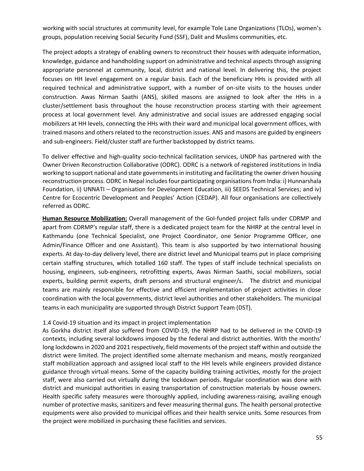working with social structures at community level, for example Tole Lane Organizations (TLOs), women's groups, population receiving Social Security Fund (SSF), Dalit and Muslims communities, etc.

The project adopts a strategy of enabling owners to reconstruct their houses with adequate information, knowledge, guidance and handholding support on administrative and technical aspects through assigning appropriate personnel at community, local, district and national level. In delivering this, the project focuses on HH level engagement on a regular basis. Each of the beneficiary HHs is provided with all required technical and administrative support, with a number of on-site visits to the houses under construction. Awas Nirman Saathi (ANS), skilled masons are assigned to look after the HHs in a cluster/settlement basis throughout the house reconstruction process starting with their agreement process at local government level. Any administrative and social issues are addressed engaging social mobilizers at HH levels, connecting the HHs with their ward and municipal local government offices, with trained masons and others related to the reconstruction issues. ANS and masons are guided by engineers and sub-engineers. Field/cluster staff are further backstopped by district teams.

To deliver effective and high-quality socio-technical facilitation services, UNDP has partnered with the Owner Driven Reconstruction Collaborative (ODRC). ODRC is a network of registered institutions in India working to support national and state governments in instituting and facilitating the owner driven housing reconstruction process. ODRC in Nepal includes four participating organisations from India: i) Hunnarshala Foundation, ii) UNNATI – Organisation for Development Education, iii) SEEDS Technical Services; and iv) Centre for Ecocentric Development and Peoples' Action (CEDAP). All four organisations are collectively referred as ODRC.

**Human Resource Mobilization:** Overall management of the GoI-funded project falls under CDRMP and apart from CDRMP's regular staff, there is a dedicated project team for the NHRP at the central level in Kathmandu (one Technical Specialist, one Project Coordinator, one Senior Programme Officer, one Admin/Finance Officer and one Assistant). This team is also supported by two international housing experts. At day-to-day delivery level, there are district level and Municipal teams put in place comprising certain staffing structures, which totalled 160 staff. The types of staff include technical specialists on housing, engineers, sub-engineers, retrofitting experts, Awas Nirman Saathi, social mobilizers, social experts, building permit experts, draft persons and structural engineer/s. The district and municipal teams are mainly responsible for effective and efficient implementation of project activities in close coordination with the local governments, district level authorities and other stakeholders. The municipal teams in each municipality are supported through District Support Team (DST).

#### 1.4 Covid-19 situation and its impact in project implementation

As Gorkha district itself also suffered from COVID-19, the NHRP had to be delivered in the COVID-19 contexts, including several lockdowns imposed by the federal and district authorities. With the months' long lockdowns in 2020 and 2021 respectively, field movements of the project staff within and outside the district were limited. The project identified some alternate mechanism and means, mostly reorganized staff mobilization approach and assigned local staff to the HH levels while engineers provided distance guidance through virtual means. Some of the capacity building training activities, mostly for the project staff, were also carried out virtually during the lockdown periods. Regular coordination was done with district and municipal authorities in easing transportation of construction materials by house owners. Health specific safety measures were thoroughly applied, including awareness-raising, availing enough number of protective masks, sanitizers and fever measuring thermal guns. The health personal protective equipments were also provided to municipal offices and their health service units. Some resources from the project were mobilized in purchasing these facilities and services.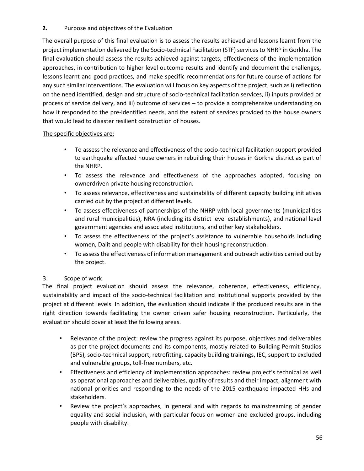## **2.** Purpose and objectives of the Evaluation

The overall purpose of this final evaluation is to assess the results achieved and lessons learnt from the project implementation delivered by the Socio-technical Facilitation (STF) services to NHRP in Gorkha. The final evaluation should assess the results achieved against targets, effectiveness of the implementation approaches, in contribution to higher level outcome results and identify and document the challenges, lessons learnt and good practices, and make specific recommendations for future course of actions for any such similar interventions. The evaluation will focus on key aspects of the project, such as i) reflection on the need identified, design and structure of socio-technical facilitation services, ii) inputs provided or process of service delivery, and iii) outcome of services – to provide a comprehensive understanding on how it responded to the pre-identified needs, and the extent of services provided to the house owners that would lead to disaster resilient construction of houses.

### The specific objectives are:

- To assess the relevance and effectiveness of the socio-technical facilitation support provided to earthquake affected house owners in rebuilding their houses in Gorkha district as part of the NHRP.
- To assess the relevance and effectiveness of the approaches adopted, focusing on ownerdriven private housing reconstruction.
- To assess relevance, effectiveness and sustainability of different capacity building initiatives carried out by the project at different levels.
- To assess effectiveness of partnerships of the NHRP with local governments (municipalities and rural municipalities), NRA (including its district level establishments), and national level government agencies and associated institutions, and other key stakeholders.
- To assess the effectiveness of the project's assistance to vulnerable households including women, Dalit and people with disability for their housing reconstruction.
- To assess the effectiveness of information management and outreach activities carried out by the project.

## 3. Scope of work

The final project evaluation should assess the relevance, coherence, effectiveness, efficiency, sustainability and impact of the socio-technical facilitation and institutional supports provided by the project at different levels. In addition, the evaluation should indicate if the produced results are in the right direction towards facilitating the owner driven safer housing reconstruction. Particularly, the evaluation should cover at least the following areas.

- Relevance of the project: review the progress against its purpose, objectives and deliverables as per the project documents and its components, mostly related to Building Permit Studios (BPS), socio-technical support, retrofitting, capacity building trainings, IEC, support to excluded and vulnerable groups, toll-free numbers, etc.
- Effectiveness and efficiency of implementation approaches: review project's technical as well as operational approaches and deliverables, quality of results and their impact, alignment with national priorities and responding to the needs of the 2015 earthquake impacted HHs and stakeholders.
- Review the project's approaches, in general and with regards to mainstreaming of gender equality and social inclusion, with particular focus on women and excluded groups, including people with disability.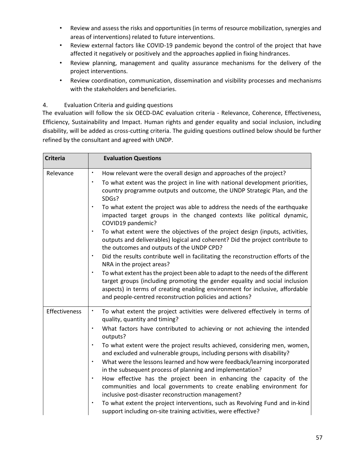- Review and assess the risks and opportunities (in terms of resource mobilization, synergies and areas of interventions) related to future interventions.
- Review external factors like COVID-19 pandemic beyond the control of the project that have affected it negatively or positively and the approaches applied in fixing hindrances.
- Review planning, management and quality assurance mechanisms for the delivery of the project interventions.
- Review coordination, communication, dissemination and visibility processes and mechanisms with the stakeholders and beneficiaries.

#### 4. Evaluation Criteria and guiding questions

The evaluation will follow the six OECD-DAC evaluation criteria - Relevance, Coherence, Effectiveness, Efficiency, Sustainability and Impact. Human rights and gender equality and social inclusion, including disability, will be added as cross-cutting criteria. The guiding questions outlined below should be further refined by the consultant and agreed with UNDP.

| <b>Criteria</b> | <b>Evaluation Questions</b>                                                                                                                                                                                                                                                                                            |
|-----------------|------------------------------------------------------------------------------------------------------------------------------------------------------------------------------------------------------------------------------------------------------------------------------------------------------------------------|
| Relevance       | How relevant were the overall design and approaches of the project?<br>$\bullet$                                                                                                                                                                                                                                       |
|                 | To what extent was the project in line with national development priorities,<br>$\bullet$<br>country programme outputs and outcome, the UNDP Strategic Plan, and the<br>SDGs?                                                                                                                                          |
|                 | $\bullet$<br>To what extent the project was able to address the needs of the earthquake<br>impacted target groups in the changed contexts like political dynamic,<br>COVID19 pandemic?                                                                                                                                 |
|                 | To what extent were the objectives of the project design (inputs, activities,<br>$\bullet$<br>outputs and deliverables) logical and coherent? Did the project contribute to<br>the outcomes and outputs of the UNDP CPD?                                                                                               |
|                 | Did the results contribute well in facilitating the reconstruction efforts of the<br>$\bullet$<br>NRA in the project areas?                                                                                                                                                                                            |
|                 | To what extent has the project been able to adapt to the needs of the different<br>$\bullet$<br>target groups (including promoting the gender equality and social inclusion<br>aspects) in terms of creating enabling environment for inclusive, affordable<br>and people-centred reconstruction policies and actions? |
| Effectiveness   | To what extent the project activities were delivered effectively in terms of<br>$\bullet$<br>quality, quantity and timing?                                                                                                                                                                                             |
|                 | What factors have contributed to achieving or not achieving the intended<br>$\bullet$<br>outputs?                                                                                                                                                                                                                      |
|                 | To what extent were the project results achieved, considering men, women,<br>$\bullet$<br>and excluded and vulnerable groups, including persons with disability?                                                                                                                                                       |
|                 | What were the lessons learned and how were feedback/learning incorporated<br>$\bullet$<br>in the subsequent process of planning and implementation?                                                                                                                                                                    |
|                 | How effective has the project been in enhancing the capacity of the<br>$\bullet$<br>communities and local governments to create enabling environment for<br>inclusive post-disaster reconstruction management?                                                                                                         |
|                 | To what extent the project interventions, such as Revolving Fund and in-kind<br>support including on-site training activities, were effective?                                                                                                                                                                         |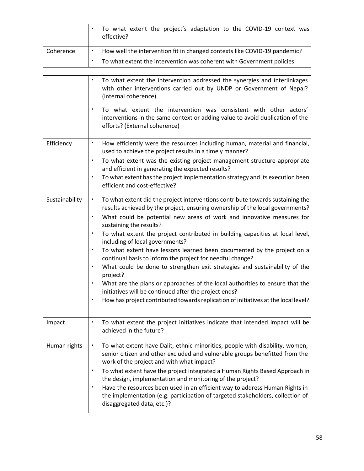|           | To what extent the project's adaptation to the COVID-19 context was<br>effective? |  |
|-----------|-----------------------------------------------------------------------------------|--|
| Coherence | How well the intervention fit in changed contexts like COVID-19 pandemic?         |  |
|           | To what extent the intervention was coherent with Government policies             |  |

|                | To what extent the intervention addressed the synergies and interlinkages<br>with other interventions carried out by UNDP or Government of Nepal?<br>(internal coherence)                                |
|----------------|----------------------------------------------------------------------------------------------------------------------------------------------------------------------------------------------------------|
|                | $\bullet$<br>To what extent the intervention was consistent with other actors'<br>interventions in the same context or adding value to avoid duplication of the<br>efforts? (External coherence)         |
| Efficiency     | ٠<br>How efficiently were the resources including human, material and financial,<br>used to achieve the project results in a timely manner?                                                              |
|                | To what extent was the existing project management structure appropriate<br>and efficient in generating the expected results?                                                                            |
|                | $\bullet$<br>To what extent has the project implementation strategy and its execution been<br>efficient and cost-effective?                                                                              |
| Sustainability | $\bullet$<br>To what extent did the project interventions contribute towards sustaining the<br>results achieved by the project, ensuring ownership of the local governments?                             |
|                | What could be potential new areas of work and innovative measures for<br>sustaining the results?                                                                                                         |
|                | To what extent the project contributed in building capacities at local level,<br>$\bullet$<br>including of local governments?                                                                            |
|                | To what extent have lessons learned been documented by the project on a<br>continual basis to inform the project for needful change?                                                                     |
|                | What could be done to strengthen exit strategies and sustainability of the<br>project?                                                                                                                   |
|                | What are the plans or approaches of the local authorities to ensure that the<br>initiatives will be continued after the project ends?                                                                    |
|                | How has project contributed towards replication of initiatives at the local level?<br>٠                                                                                                                  |
| Impact         | To what extent the project initiatives indicate that intended impact will be<br>achieved in the future?                                                                                                  |
| Human rights   | To what extent have Dalit, ethnic minorities, people with disability, women,<br>senior citizen and other excluded and vulnerable groups benefitted from the<br>work of the project and with what impact? |
|                | To what extent have the project integrated a Human Rights Based Approach in<br>the design, implementation and monitoring of the project?                                                                 |
|                | Have the resources been used in an efficient way to address Human Rights in<br>the implementation (e.g. participation of targeted stakeholders, collection of<br>disaggregated data, etc.)?              |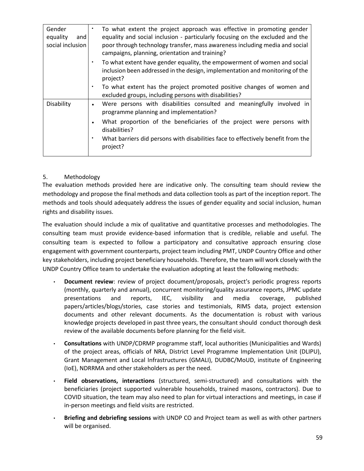| Gender<br>equality<br>and<br>social inclusion | To what extent the project approach was effective in promoting gender<br>equality and social inclusion - particularly focusing on the excluded and the<br>poor through technology transfer, mass awareness including media and social<br>campaigns, planning, orientation and training? |
|-----------------------------------------------|-----------------------------------------------------------------------------------------------------------------------------------------------------------------------------------------------------------------------------------------------------------------------------------------|
|                                               | To what extent have gender equality, the empowerment of women and social<br>٠<br>inclusion been addressed in the design, implementation and monitoring of the<br>project?                                                                                                               |
|                                               | To what extent has the project promoted positive changes of women and<br>$\bullet$<br>excluded groups, including persons with disabilities?                                                                                                                                             |
| Disability                                    | Were persons with disabilities consulted and meaningfully involved in<br>programme planning and implementation?                                                                                                                                                                         |
|                                               | What proportion of the beneficiaries of the project were persons with<br>disabilities?                                                                                                                                                                                                  |
|                                               | What barriers did persons with disabilities face to effectively benefit from the<br>project?                                                                                                                                                                                            |

#### 5. Methodology

The evaluation methods provided here are indicative only. The consulting team should review the methodology and propose the final methods and data collection tools as part of the inception report. The methods and tools should adequately address the issues of gender equality and social inclusion, human rights and disability issues.

The evaluation should include a mix of qualitative and quantitative processes and methodologies. The consulting team must provide evidence-based information that is credible, reliable and useful. The consulting team is expected to follow a participatory and consultative approach ensuring close engagement with government counterparts, project team including PMT, UNDP Country Office and other key stakeholders, including project beneficiary households. Therefore, the team will work closely with the UNDP Country Office team to undertake the evaluation adopting at least the following methods:

- **Document review**: review of project document/proposals, project's periodic progress reports (monthly, quarterly and annual), concurrent monitoring/quality assurance reports, JPMC update presentations and reports, IEC, visibility and media coverage, published papers/articles/blogs/stories, case stories and testimonials, RIMS data, project extension documents and other relevant documents. As the documentation is robust with various knowledge projects developed in past three years, the consultant should conduct thorough desk review of the available documents before planning for the field visit.
- **Consultations** with UNDP/CDRMP programme staff, local authorities (Municipalities and Wards) of the project areas, officials of NRA, District Level Programme Implementation Unit (DLIPU), Grant Management and Local Infrastructures (GMALI), DUDBC/MoUD, institute of Engineering (IoE), NDRRMA and other stakeholders as per the need.
- **Field observations, interactions** (structured, semi-structured) and consultations with the beneficiaries (project supported vulnerable households, trained masons, contractors). Due to COVID situation, the team may also need to plan for virtual interactions and meetings, in case if in-person meetings and field visits are restricted.
- **Briefing and debriefing sessions** with UNDP CO and Project team as well as with other partners will be organised.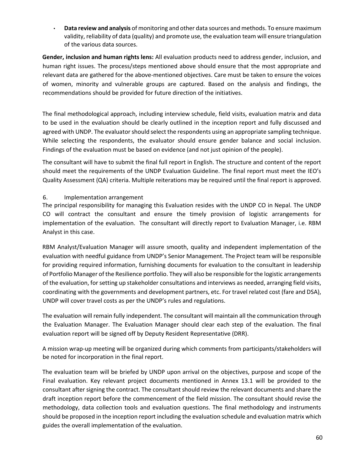• **Data review and analysis** of monitoring and other data sources and methods. To ensure maximum validity, reliability of data (quality) and promote use, the evaluation team will ensure triangulation of the various data sources.

**Gender, inclusion and human rights lens:** All evaluation products need to address gender, inclusion, and human right issues. The process/steps mentioned above should ensure that the most appropriate and relevant data are gathered for the above-mentioned objectives. Care must be taken to ensure the voices of women, minority and vulnerable groups are captured. Based on the analysis and findings, the recommendations should be provided for future direction of the initiatives.

The final methodological approach, including interview schedule, field visits, evaluation matrix and data to be used in the evaluation should be clearly outlined in the inception report and fully discussed and agreed with UNDP. The evaluator should select the respondents using an appropriate sampling technique. While selecting the respondents, the evaluator should ensure gender balance and social inclusion. Findings of the evaluation must be based on evidence (and not just opinion of the people).

The consultant will have to submit the final full report in English. The structure and content of the report should meet the requirements of the UNDP Evaluation Guideline. The final report must meet the IEO's Quality Assessment (QA) criteria. Multiple reiterations may be required until the final report is approved.

#### 6. Implementation arrangement

The principal responsibility for managing this Evaluation resides with the UNDP CO in Nepal. The UNDP CO will contract the consultant and ensure the timely provision of logistic arrangements for implementation of the evaluation. The consultant will directly report to Evaluation Manager, i.e. RBM Analyst in this case.

RBM Analyst/Evaluation Manager will assure smooth, quality and independent implementation of the evaluation with needful guidance from UNDP's Senior Management. The Project team will be responsible for providing required information, furnishing documents for evaluation to the consultant in leadership of Portfolio Manager of the Resilience portfolio. They will also be responsible for the logistic arrangements of the evaluation, for setting up stakeholder consultations and interviews as needed, arranging field visits, coordinating with the governments and development partners, etc. For travel related cost (fare and DSA), UNDP will cover travel costs as per the UNDP's rules and regulations.

The evaluation will remain fully independent. The consultant will maintain all the communication through the Evaluation Manager. The Evaluation Manager should clear each step of the evaluation. The final evaluation report will be signed off by Deputy Resident Representative (DRR).

A mission wrap-up meeting will be organized during which comments from participants/stakeholders will be noted for incorporation in the final report.

The evaluation team will be briefed by UNDP upon arrival on the objectives, purpose and scope of the Final evaluation. Key relevant project documents mentioned in Annex 13.1 will be provided to the consultant after signing the contract. The consultant should review the relevant documents and share the draft inception report before the commencement of the field mission. The consultant should revise the methodology, data collection tools and evaluation questions. The final methodology and instruments should be proposed in the inception report including the evaluation schedule and evaluation matrix which guides the overall implementation of the evaluation.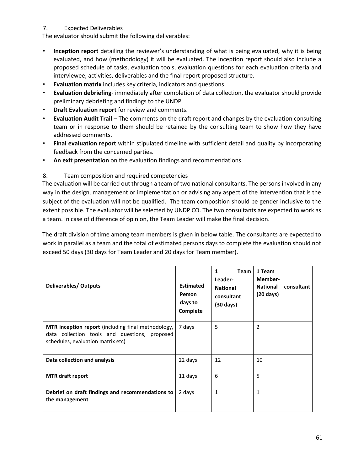## 7. Expected Deliverables

The evaluator should submit the following deliverables:

- **Inception report** detailing the reviewer's understanding of what is being evaluated, why it is being evaluated, and how (methodology) it will be evaluated. The inception report should also include a proposed schedule of tasks, evaluation tools, evaluation questions for each evaluation criteria and interviewee, activities, deliverables and the final report proposed structure.
- **Evaluation matrix** includes key criteria, indicators and questions
- **Evaluation debriefing** immediately after completion of data collection, the evaluator should provide preliminary debriefing and findings to the UNDP.
- **Draft Evaluation report** for review and comments.
- **Evaluation Audit Trail** The comments on the draft report and changes by the evaluation consulting team or in response to them should be retained by the consulting team to show how they have addressed comments.
- **Final evaluation report** within stipulated timeline with sufficient detail and quality by incorporating feedback from the concerned parties.
- **An exit presentation** on the evaluation findings and recommendations.

## 8. Team composition and required competencies

The evaluation will be carried out through a team of two national consultants. The persons involved in any way in the design, management or implementation or advising any aspect of the intervention that is the subject of the evaluation will not be qualified. The team composition should be gender inclusive to the extent possible. The evaluator will be selected by UNDP CO. The two consultants are expected to work as a team. In case of difference of opinion, the Team Leader will make the final decision.

The draft division of time among team members is given in below table. The consultants are expected to work in parallel as a team and the total of estimated persons days to complete the evaluation should not exceed 50 days (30 days for Team Leader and 20 days for Team member).

| Deliverables/Outputs                                                                                                                            | <b>Estimated</b><br><b>Person</b><br>days to<br>Complete | <b>Team</b><br>1<br>Leader-<br><b>National</b><br>consultant<br>$(30 \text{ days})$ | 1 Team<br>Member-<br><b>National</b><br>consultant<br>$(20 \text{ days})$ |
|-------------------------------------------------------------------------------------------------------------------------------------------------|----------------------------------------------------------|-------------------------------------------------------------------------------------|---------------------------------------------------------------------------|
| <b>MTR</b> inception report (including final methodology,<br>data collection tools and questions, proposed<br>schedules, evaluation matrix etc) | 7 days                                                   | 5                                                                                   | 2                                                                         |
| Data collection and analysis                                                                                                                    | 22 days                                                  | 12                                                                                  | 10                                                                        |
| <b>MTR</b> draft report                                                                                                                         | 11 days                                                  | 6                                                                                   | 5                                                                         |
| Debrief on draft findings and recommendations to<br>the management                                                                              | 2 days                                                   | 1                                                                                   | 1                                                                         |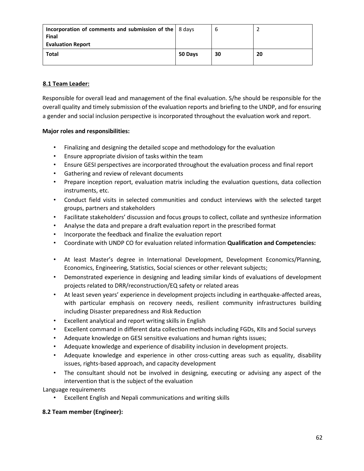| Incorporation of comments and submission of the $\vert$ 8 days<br>Final<br><b>Evaluation Report</b> |         | b  |    |
|-----------------------------------------------------------------------------------------------------|---------|----|----|
| <b>Total</b>                                                                                        | 50 Days | 30 | 20 |

## **8.1 Team Leader:**

Responsible for overall lead and management of the final evaluation. S/he should be responsible for the overall quality and timely submission of the evaluation reports and briefing to the UNDP, and for ensuring a gender and social inclusion perspective is incorporated throughout the evaluation work and report.

## **Major roles and responsibilities:**

- Finalizing and designing the detailed scope and methodology for the evaluation
- Ensure appropriate division of tasks within the team
- Ensure GESI perspectives are incorporated throughout the evaluation process and final report
- Gathering and review of relevant documents
- Prepare inception report, evaluation matrix including the evaluation questions, data collection instruments, etc.
- Conduct field visits in selected communities and conduct interviews with the selected target groups, partners and stakeholders
- Facilitate stakeholders' discussion and focus groups to collect, collate and synthesize information
- Analyse the data and prepare a draft evaluation report in the prescribed format
- Incorporate the feedback and finalize the evaluation report
- Coordinate with UNDP CO for evaluation related information **Qualification and Competencies:**
- At least Master's degree in International Development, Development Economics/Planning, Economics, Engineering, Statistics, Social sciences or other relevant subjects;
- Demonstrated experience in designing and leading similar kinds of evaluations of development projects related to DRR/reconstruction/EQ safety or related areas
- At least seven years' experience in development projects including in earthquake-affected areas, with particular emphasis on recovery needs, resilient community infrastructures building including Disaster preparedness and Risk Reduction
- Excellent analytical and report writing skills in English
- Excellent command in different data collection methods including FGDs, KIIs and Social surveys
- Adequate knowledge on GESI sensitive evaluations and human rights issues;
- Adequate knowledge and experience of disability inclusion in development projects.
- Adequate knowledge and experience in other cross-cutting areas such as equality, disability issues, rights-based approach, and capacity development
- The consultant should not be involved in designing, executing or advising any aspect of the intervention that is the subject of the evaluation

Language requirements

• Excellent English and Nepali communications and writing skills

## **8.2 Team member (Engineer):**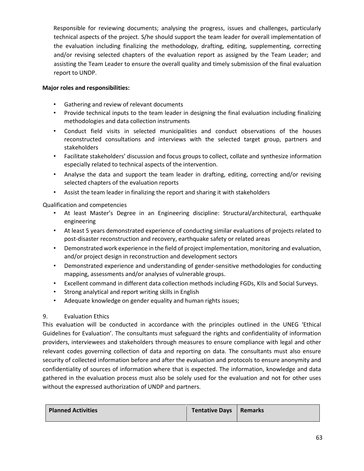Responsible for reviewing documents; analysing the progress, issues and challenges, particularly technical aspects of the project. S/he should support the team leader for overall implementation of the evaluation including finalizing the methodology, drafting, editing, supplementing, correcting and/or revising selected chapters of the evaluation report as assigned by the Team Leader; and assisting the Team Leader to ensure the overall quality and timely submission of the final evaluation report to UNDP.

#### **Major roles and responsibilities:**

- Gathering and review of relevant documents
- Provide technical inputs to the team leader in designing the final evaluation including finalizing methodologies and data collection instruments
- Conduct field visits in selected municipalities and conduct observations of the houses reconstructed consultations and interviews with the selected target group, partners and stakeholders
- Facilitate stakeholders' discussion and focus groups to collect, collate and synthesize information especially related to technical aspects of the intervention.
- Analyse the data and support the team leader in drafting, editing, correcting and/or revising selected chapters of the evaluation reports
- Assist the team leader in finalizing the report and sharing it with stakeholders

## Qualification and competencies

- At least Master's Degree in an Engineering discipline: Structural/architectural, earthquake engineering
- At least 5 years demonstrated experience of conducting similar evaluations of projects related to post-disaster reconstruction and recovery, earthquake safety or related areas
- Demonstrated work experience in the field of project implementation, monitoring and evaluation, and/or project design in reconstruction and development sectors
- Demonstrated experience and understanding of gender-sensitive methodologies for conducting mapping, assessments and/or analyses of vulnerable groups.
- Excellent command in different data collection methods including FGDs, KIIs and Social Surveys.
- Strong analytical and report writing skills in English
- Adequate knowledge on gender equality and human rights issues;

## 9. Evaluation Ethics

This evaluation will be conducted in accordance with the principles outlined in the UNEG 'Ethical Guidelines for Evaluation'. The consultants must safeguard the rights and confidentiality of information providers, interviewees and stakeholders through measures to ensure compliance with legal and other relevant codes governing collection of data and reporting on data. The consultants must also ensure security of collected information before and after the evaluation and protocols to ensure anonymity and confidentiality of sources of information where that is expected. The information, knowledge and data gathered in the evaluation process must also be solely used for the evaluation and not for other uses without the expressed authorization of UNDP and partners.

| <b>Planned Activities</b> | Tentative Days   Remarks |  |
|---------------------------|--------------------------|--|
|                           |                          |  |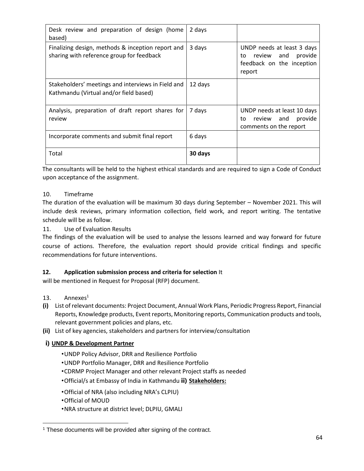| Desk review and preparation of design (home<br>based)                                          | 2 days  |                                                                                                     |
|------------------------------------------------------------------------------------------------|---------|-----------------------------------------------------------------------------------------------------|
| Finalizing design, methods & inception report and<br>sharing with reference group for feedback | 3 days  | UNDP needs at least 3 days<br>review<br>provide<br>and<br>to<br>feedback on the inception<br>report |
| Stakeholders' meetings and interviews in Field and<br>Kathmandu (Virtual and/or field based)   | 12 days |                                                                                                     |
| Analysis, preparation of draft report shares for<br>review                                     | 7 days  | UNDP needs at least 10 days<br>provide<br>review and<br>to<br>comments on the report                |
| Incorporate comments and submit final report                                                   | 6 days  |                                                                                                     |
| Total                                                                                          | 30 days |                                                                                                     |

The consultants will be held to the highest ethical standards and are required to sign a Code of Conduct upon acceptance of the assignment.

## 10. Timeframe

The duration of the evaluation will be maximum 30 days during September – November 2021. This will include desk reviews, primary information collection, field work, and report writing. The tentative schedule will be as follow.

11. Use of Evaluation Results

The findings of the evaluation will be used to analyse the lessons learned and way forward for future course of actions. Therefore, the evaluation report should provide critical findings and specific recommendations for future interventions.

## **12. Application submission process and criteria for selection** It

will be mentioned in Request for Proposal (RFP) document.

- 13. Annexes<sup>1</sup>
- **(i)** List of relevant documents: Project Document, Annual Work Plans, Periodic Progress Report, Financial Reports, Knowledge products, Event reports, Monitoring reports, Communication products and tools, relevant government policies and plans, etc.
- **(ii)** List of key agencies, stakeholders and partners for interview/consultation

## **i) UNDP & Development Partner**

- •UNDP Policy Advisor, DRR and Resilience Portfolio
- •UNDP Portfolio Manager, DRR and Resilience Portfolio
- •CDRMP Project Manager and other relevant Project staffs as needed
- •Official/s at Embassy of India in Kathmandu **ii) Stakeholders:**
- •Official of NRA (also including NRA's CLPIU)
- •Official of MOUD
- •NRA structure at district level; DLPIU, GMALI

<sup>&</sup>lt;sup>1</sup> These documents will be provided after signing of the contract.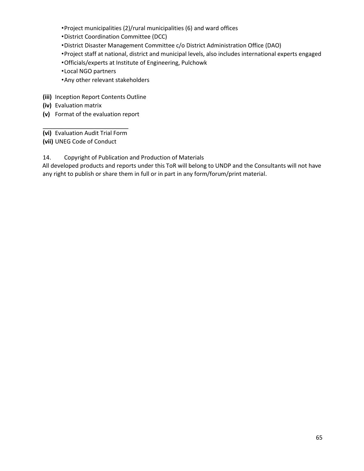- •Project municipalities (2)/rural municipalities (6) and ward offices
- •District Coordination Committee (DCC)
- •District Disaster Management Committee c/o District Administration Office (DAO)
- •Project staff at national, district and municipal levels, also includes international experts engaged
- •Officials/experts at Institute of Engineering, Pulchowk
- •Local NGO partners
- •Any other relevant stakeholders
- **(iii)** Inception Report Contents Outline
- **(iv)** Evaluation matrix
- **(v)** Format of the evaluation report
- **(vi)** Evaluation Audit Trial Form
- **(vii)** UNEG Code of Conduct
- 14. Copyright of Publication and Production of Materials
- All developed products and reports under this ToR will belong to UNDP and the Consultants will not have any right to publish or share them in full or in part in any form/forum/print material.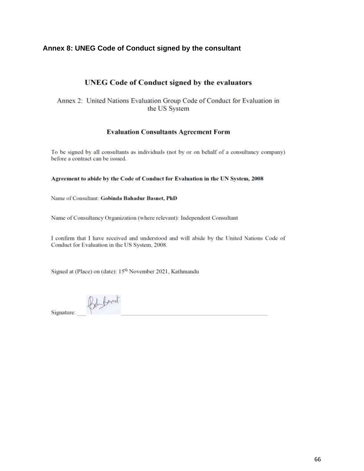## **Annex 8: UNEG Code of Conduct signed by the consultant**

## **UNEG Code of Conduct signed by the evaluators**

Annex 2: United Nations Evaluation Group Code of Conduct for Evaluation in the US System

#### **Evaluation Consultants Agreement Form**

To be signed by all consultants as individuals (not by or on behalf of a consultancy company) before a contract can be issued.

#### Agreement to abide by the Code of Conduct for Evaluation in the UN System, 2008

Name of Consultant: Gobinda Bahadur Basnet, PhD

Name of Consultancy Organization (where relevant): Independent Consultant

I confirm that I have received and understood and will abide by the United Nations Code of Conduct for Evaluation in the US System, 2008.

Signed at (Place) on (date): 15<sup>th</sup> November 2021, Kathmandu

Bely formet. Signature: